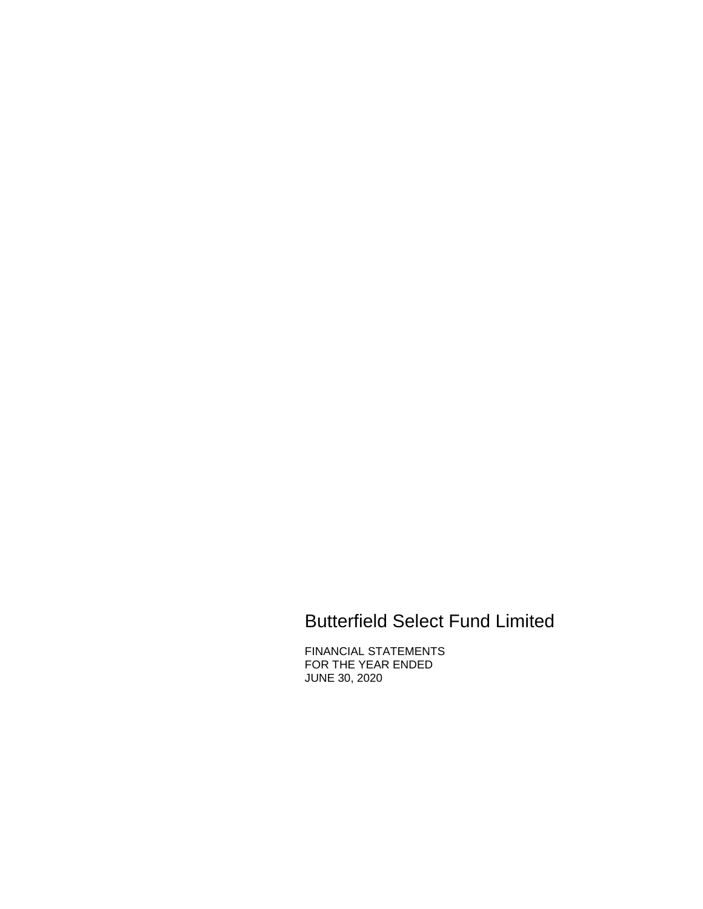# Butterfield Select Fund Limited

FINANCIAL STATEMENTS FOR THE YEAR ENDED JUNE 30, 2020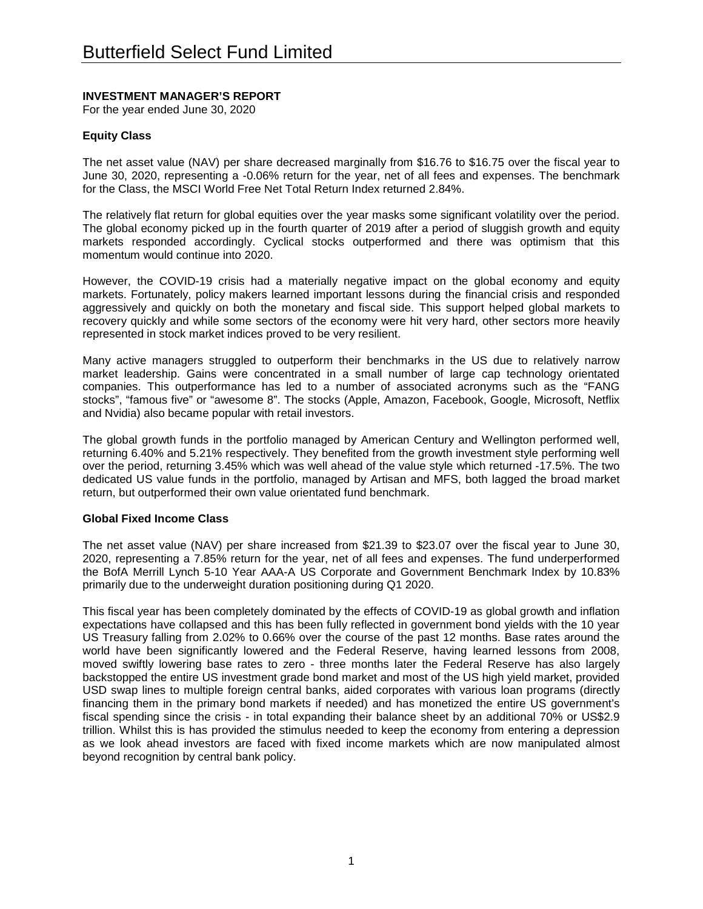### **INVESTMENT MANAGER'S REPORT**

For the year ended June 30, 2020

#### **Equity Class**

The net asset value (NAV) per share decreased marginally from \$16.76 to \$16.75 over the fiscal year to June 30, 2020, representing a -0.06% return for the year, net of all fees and expenses. The benchmark for the Class, the MSCI World Free Net Total Return Index returned 2.84%.

The relatively flat return for global equities over the year masks some significant volatility over the period. The global economy picked up in the fourth quarter of 2019 after a period of sluggish growth and equity markets responded accordingly. Cyclical stocks outperformed and there was optimism that this momentum would continue into 2020.

However, the COVID-19 crisis had a materially negative impact on the global economy and equity markets. Fortunately, policy makers learned important lessons during the financial crisis and responded aggressively and quickly on both the monetary and fiscal side. This support helped global markets to recovery quickly and while some sectors of the economy were hit very hard, other sectors more heavily represented in stock market indices proved to be very resilient.

Many active managers struggled to outperform their benchmarks in the US due to relatively narrow market leadership. Gains were concentrated in a small number of large cap technology orientated companies. This outperformance has led to a number of associated acronyms such as the "FANG stocks", "famous five" or "awesome 8". The stocks (Apple, Amazon, Facebook, Google, Microsoft, Netflix and Nvidia) also became popular with retail investors.

The global growth funds in the portfolio managed by American Century and Wellington performed well, returning 6.40% and 5.21% respectively. They benefited from the growth investment style performing well over the period, returning 3.45% which was well ahead of the value style which returned -17.5%. The two dedicated US value funds in the portfolio, managed by Artisan and MFS, both lagged the broad market return, but outperformed their own value orientated fund benchmark.

### **Global Fixed Income Class**

The net asset value (NAV) per share increased from \$21.39 to \$23.07 over the fiscal year to June 30, 2020, representing a 7.85% return for the year, net of all fees and expenses. The fund underperformed the BofA Merrill Lynch 5-10 Year AAA-A US Corporate and Government Benchmark Index by 10.83% primarily due to the underweight duration positioning during Q1 2020.

This fiscal year has been completely dominated by the effects of COVID-19 as global growth and inflation expectations have collapsed and this has been fully reflected in government bond yields with the 10 year US Treasury falling from 2.02% to 0.66% over the course of the past 12 months. Base rates around the world have been significantly lowered and the Federal Reserve, having learned lessons from 2008, moved swiftly lowering base rates to zero - three months later the Federal Reserve has also largely backstopped the entire US investment grade bond market and most of the US high yield market, provided USD swap lines to multiple foreign central banks, aided corporates with various loan programs (directly financing them in the primary bond markets if needed) and has monetized the entire US government's fiscal spending since the crisis - in total expanding their balance sheet by an additional 70% or US\$2.9 trillion. Whilst this is has provided the stimulus needed to keep the economy from entering a depression as we look ahead investors are faced with fixed income markets which are now manipulated almost beyond recognition by central bank policy.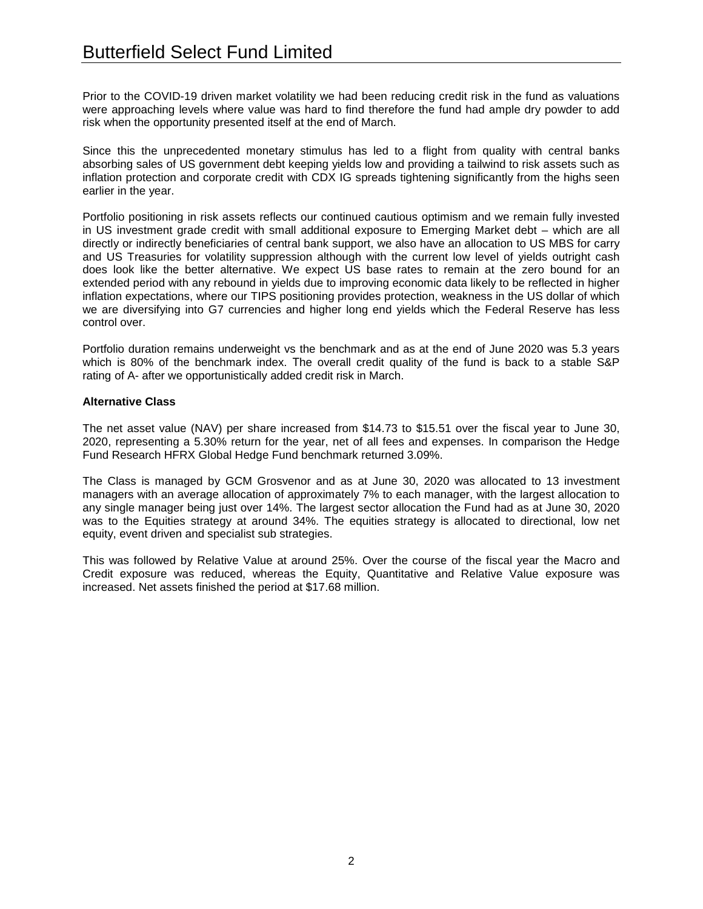Prior to the COVID-19 driven market volatility we had been reducing credit risk in the fund as valuations were approaching levels where value was hard to find therefore the fund had ample dry powder to add risk when the opportunity presented itself at the end of March.

Since this the unprecedented monetary stimulus has led to a flight from quality with central banks absorbing sales of US government debt keeping yields low and providing a tailwind to risk assets such as inflation protection and corporate credit with CDX IG spreads tightening significantly from the highs seen earlier in the year.

Portfolio positioning in risk assets reflects our continued cautious optimism and we remain fully invested in US investment grade credit with small additional exposure to Emerging Market debt – which are all directly or indirectly beneficiaries of central bank support, we also have an allocation to US MBS for carry and US Treasuries for volatility suppression although with the current low level of yields outright cash does look like the better alternative. We expect US base rates to remain at the zero bound for an extended period with any rebound in yields due to improving economic data likely to be reflected in higher inflation expectations, where our TIPS positioning provides protection, weakness in the US dollar of which we are diversifying into G7 currencies and higher long end yields which the Federal Reserve has less control over.

Portfolio duration remains underweight vs the benchmark and as at the end of June 2020 was 5.3 years which is 80% of the benchmark index. The overall credit quality of the fund is back to a stable S&P rating of A- after we opportunistically added credit risk in March.

#### **Alternative Class**

The net asset value (NAV) per share increased from \$14.73 to \$15.51 over the fiscal year to June 30, 2020, representing a 5.30% return for the year, net of all fees and expenses. In comparison the Hedge Fund Research HFRX Global Hedge Fund benchmark returned 3.09%.

The Class is managed by GCM Grosvenor and as at June 30, 2020 was allocated to 13 investment managers with an average allocation of approximately 7% to each manager, with the largest allocation to any single manager being just over 14%. The largest sector allocation the Fund had as at June 30, 2020 was to the Equities strategy at around 34%. The equities strategy is allocated to directional, low net equity, event driven and specialist sub strategies.

This was followed by Relative Value at around 25%. Over the course of the fiscal year the Macro and Credit exposure was reduced, whereas the Equity, Quantitative and Relative Value exposure was increased. Net assets finished the period at \$17.68 million.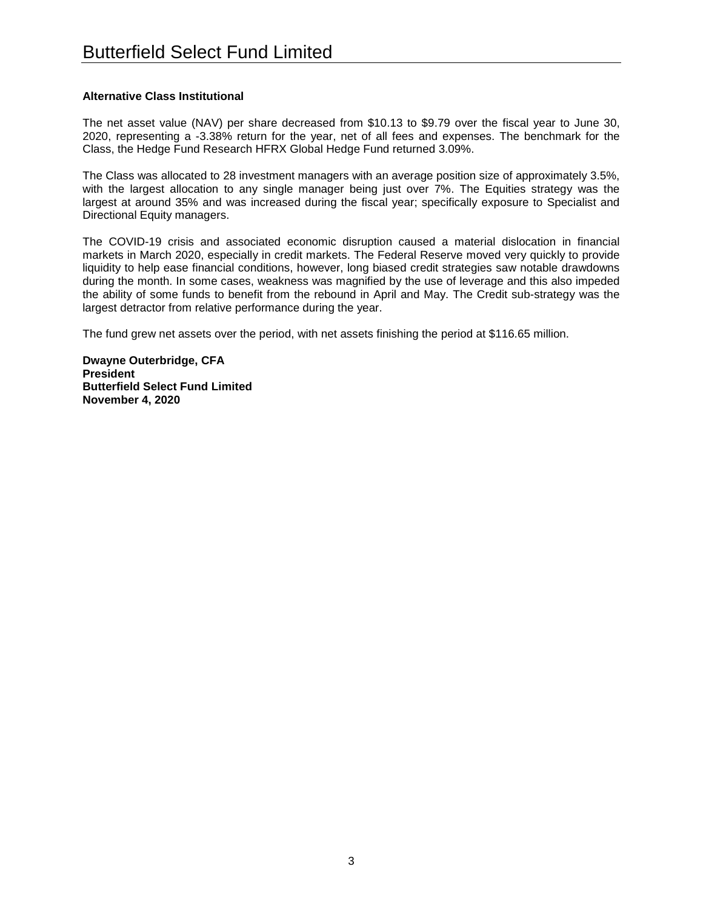### **Alternative Class Institutional**

The net asset value (NAV) per share decreased from \$10.13 to \$9.79 over the fiscal year to June 30, 2020, representing a -3.38% return for the year, net of all fees and expenses. The benchmark for the Class, the Hedge Fund Research HFRX Global Hedge Fund returned 3.09%.

The Class was allocated to 28 investment managers with an average position size of approximately 3.5%, with the largest allocation to any single manager being just over 7%. The Equities strategy was the largest at around 35% and was increased during the fiscal year; specifically exposure to Specialist and Directional Equity managers.

The COVID-19 crisis and associated economic disruption caused a material dislocation in financial markets in March 2020, especially in credit markets. The Federal Reserve moved very quickly to provide liquidity to help ease financial conditions, however, long biased credit strategies saw notable drawdowns during the month. In some cases, weakness was magnified by the use of leverage and this also impeded the ability of some funds to benefit from the rebound in April and May. The Credit sub-strategy was the largest detractor from relative performance during the year.

The fund grew net assets over the period, with net assets finishing the period at \$116.65 million.

**Dwayne Outerbridge, CFA President Butterfield Select Fund Limited November 4, 2020**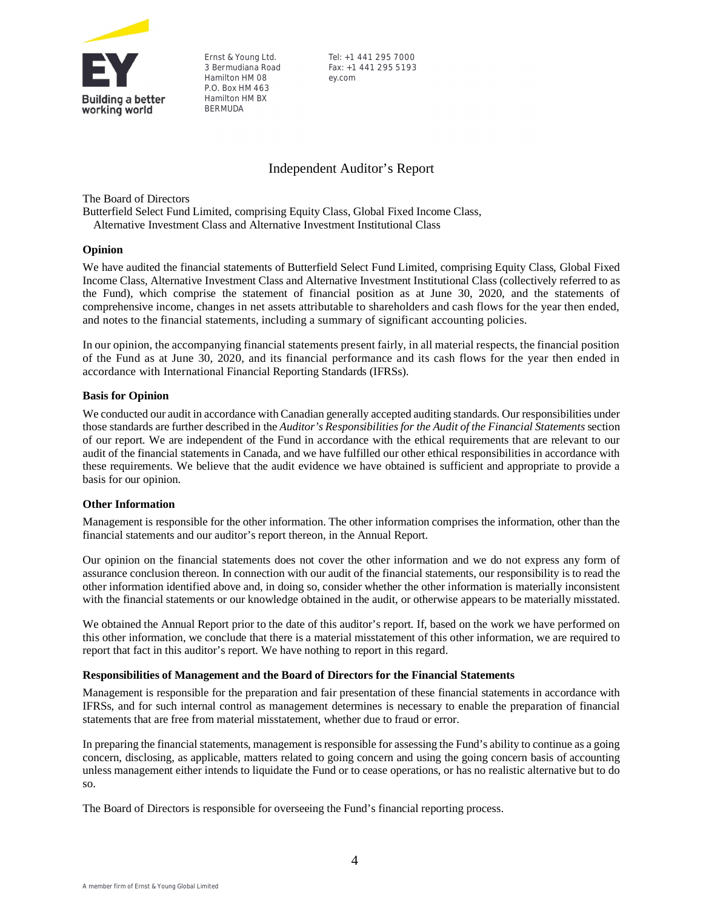

Ernst & Young Ltd. 3 Bermudiana Road Hamilton HM 08 P.O. Box HM 463 Hamilton HM BX BERMUDA

Tel: +1 441 295 7000 Fax: +1 441 295 5193 ey.com

### Independent Auditor's Report

The Board of Directors

Butterfield Select Fund Limited, comprising Equity Class, Global Fixed Income Class, Alternative Investment Class and Alternative Investment Institutional Class

#### **Opinion**

We have audited the financial statements of Butterfield Select Fund Limited, comprising Equity Class, Global Fixed Income Class, Alternative Investment Class and Alternative Investment Institutional Class (collectively referred to as the Fund), which comprise the statement of financial position as at June 30, 2020, and the statements of comprehensive income, changes in net assets attributable to shareholders and cash flows for the year then ended, and notes to the financial statements, including a summary of significant accounting policies.

In our opinion, the accompanying financial statements present fairly, in all material respects, the financial position of the Fund as at June 30, 2020, and its financial performance and its cash flows for the year then ended in accordance with International Financial Reporting Standards (IFRSs).

#### **Basis for Opinion**

We conducted our audit in accordance with Canadian generally accepted auditing standards. Our responsibilities under those standards are further described in the *Auditor's Responsibilities for the Audit of the Financial Statements* section of our report. We are independent of the Fund in accordance with the ethical requirements that are relevant to our audit of the financial statements in Canada, and we have fulfilled our other ethical responsibilities in accordance with these requirements. We believe that the audit evidence we have obtained is sufficient and appropriate to provide a basis for our opinion.

#### **Other Information**

Management is responsible for the other information. The other information comprises the information, other than the financial statements and our auditor's report thereon, in the Annual Report.

Our opinion on the financial statements does not cover the other information and we do not express any form of assurance conclusion thereon. In connection with our audit of the financial statements, our responsibility is to read the other information identified above and, in doing so, consider whether the other information is materially inconsistent with the financial statements or our knowledge obtained in the audit, or otherwise appears to be materially misstated.

We obtained the Annual Report prior to the date of this auditor's report. If, based on the work we have performed on this other information, we conclude that there is a material misstatement of this other information, we are required to report that fact in this auditor's report. We have nothing to report in this regard.

#### **Responsibilities of Management and the Board of Directors for the Financial Statements**

Management is responsible for the preparation and fair presentation of these financial statements in accordance with IFRSs, and for such internal control as management determines is necessary to enable the preparation of financial statements that are free from material misstatement, whether due to fraud or error.

In preparing the financial statements, management is responsible for assessing the Fund's ability to continue as a going concern, disclosing, as applicable, matters related to going concern and using the going concern basis of accounting unless management either intends to liquidate the Fund or to cease operations, or has no realistic alternative but to do so.

The Board of Directors is responsible for overseeing the Fund's financial reporting process.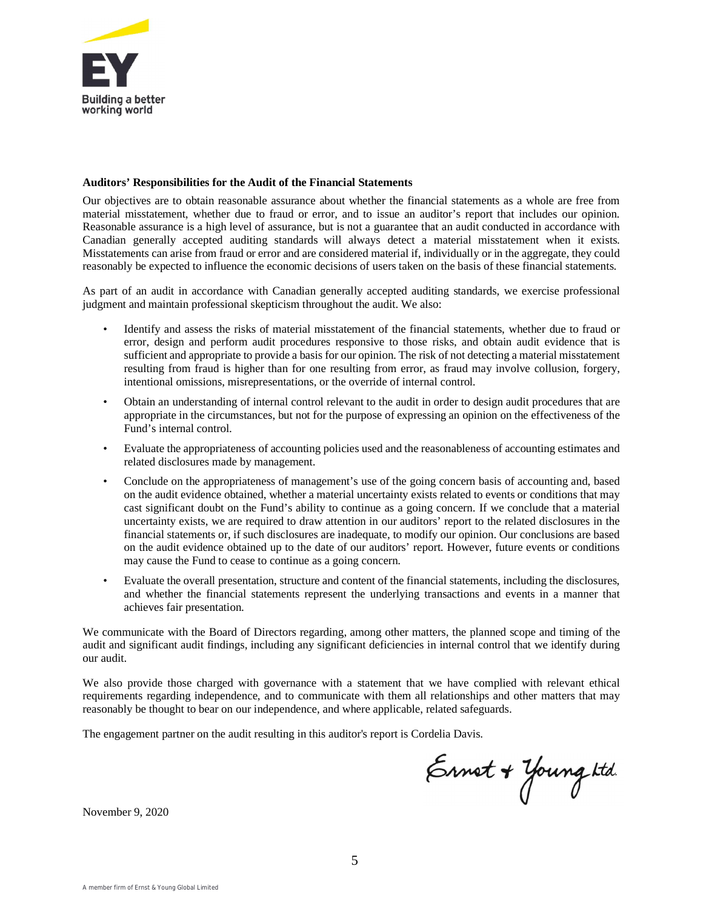

#### **Auditors' Responsibilities for the Audit of the Financial Statements**

Our objectives are to obtain reasonable assurance about whether the financial statements as a whole are free from material misstatement, whether due to fraud or error, and to issue an auditor's report that includes our opinion. Reasonable assurance is a high level of assurance, but is not a guarantee that an audit conducted in accordance with Canadian generally accepted auditing standards will always detect a material misstatement when it exists. Misstatements can arise from fraud or error and are considered material if, individually or in the aggregate, they could reasonably be expected to influence the economic decisions of users taken on the basis of these financial statements.

As part of an audit in accordance with Canadian generally accepted auditing standards, we exercise professional judgment and maintain professional skepticism throughout the audit. We also:

- Identify and assess the risks of material misstatement of the financial statements, whether due to fraud or error, design and perform audit procedures responsive to those risks, and obtain audit evidence that is sufficient and appropriate to provide a basis for our opinion. The risk of not detecting a material misstatement resulting from fraud is higher than for one resulting from error, as fraud may involve collusion, forgery, intentional omissions, misrepresentations, or the override of internal control.
- Obtain an understanding of internal control relevant to the audit in order to design audit procedures that are appropriate in the circumstances, but not for the purpose of expressing an opinion on the effectiveness of the Fund's internal control.
- Evaluate the appropriateness of accounting policies used and the reasonableness of accounting estimates and related disclosures made by management.
- Conclude on the appropriateness of management's use of the going concern basis of accounting and, based on the audit evidence obtained, whether a material uncertainty exists related to events or conditions that may cast significant doubt on the Fund's ability to continue as a going concern. If we conclude that a material uncertainty exists, we are required to draw attention in our auditors' report to the related disclosures in the financial statements or, if such disclosures are inadequate, to modify our opinion. Our conclusions are based on the audit evidence obtained up to the date of our auditors' report. However, future events or conditions may cause the Fund to cease to continue as a going concern.
- Evaluate the overall presentation, structure and content of the financial statements, including the disclosures, and whether the financial statements represent the underlying transactions and events in a manner that achieves fair presentation.

We communicate with the Board of Directors regarding, among other matters, the planned scope and timing of the audit and significant audit findings, including any significant deficiencies in internal control that we identify during our audit.

We also provide those charged with governance with a statement that we have complied with relevant ethical requirements regarding independence, and to communicate with them all relationships and other matters that may reasonably be thought to bear on our independence, and where applicable, related safeguards.

The engagement partner on the audit resulting in this auditor's report is Cordelia Davis.

Ennet + Young ttd.

November 9, 2020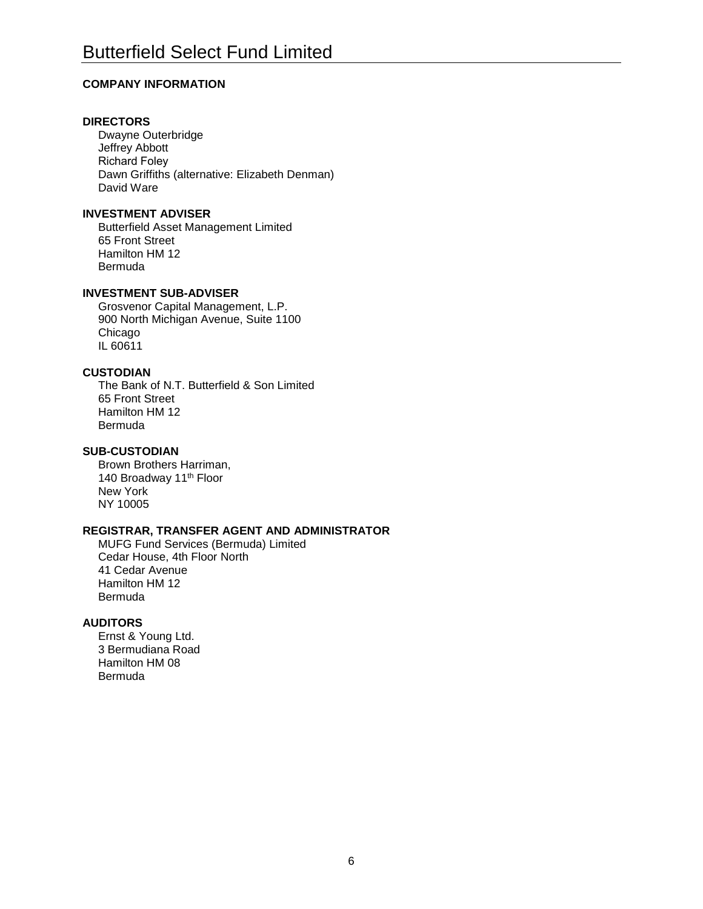### **COMPANY INFORMATION**

### **DIRECTORS**

Dwayne Outerbridge Jeffrey Abbott Richard Foley Dawn Griffiths (alternative: Elizabeth Denman) David Ware

### **INVESTMENT ADVISER**

Butterfield Asset Management Limited 65 Front Street Hamilton HM 12 Bermuda

# **INVESTMENT SUB-ADVISER**

Grosvenor Capital Management, L.P. 900 North Michigan Avenue, Suite 1100 Chicago IL 60611

### **CUSTODIAN**

The Bank of N.T. Butterfield & Son Limited 65 Front Street Hamilton HM 12 Bermuda

### **SUB-CUSTODIAN**

Brown Brothers Harriman, 140 Broadway 11<sup>th</sup> Floor New York NY 10005

### **REGISTRAR, TRANSFER AGENT AND ADMINISTRATOR**

MUFG Fund Services (Bermuda) Limited Cedar House, 4th Floor North 41 Cedar Avenue Hamilton HM 12 Bermuda

### **AUDITORS**

Ernst & Young Ltd. 3 Bermudiana Road Hamilton HM 08 Bermuda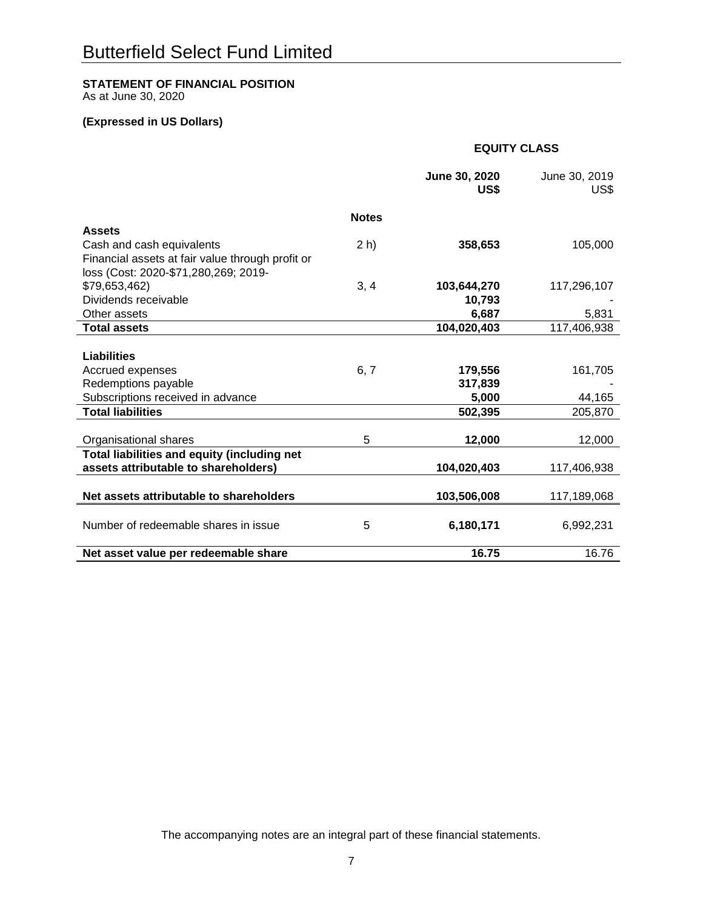### **STATEMENT OF FINANCIAL POSITION**

As at June 30, 2020

#### **(Expressed in US Dollars)**

**EQUITY CLASS June 30, 2020** June 30, 2019 **US\$** US\$ **Notes Assets** Cash and cash equivalents 2 h) **358,653** 105,000 Financial assets at fair value through profit or loss (Cost: 2020-\$71,280,269; 2019- \$79,653,462) 3, 4 **103,644,270** 117,296,107 Dividends receivable **10,793** - Other assets **6,687** 5,831 **Total assets 104,020,403** 117,406,938 **Liabilities** Accrued expenses 6, 7 **179,556** 161,705 Redemptions payable **317,839** Subscriptions received in advance **5,000** 44,165 **Total liabilities 502,395** 205,870 Organisational shares 5 **12,000** 12,000 **Total liabilities and equity (including net assets attributable to shareholders) 104,020,403** 117,406,938 **Net assets attributable to shareholders 103,506,008** 117,189,068 Number of redeemable shares in issue 5 **6,180,171** 6,992,231 **Net asset value per redeemable share 16.75** 16.76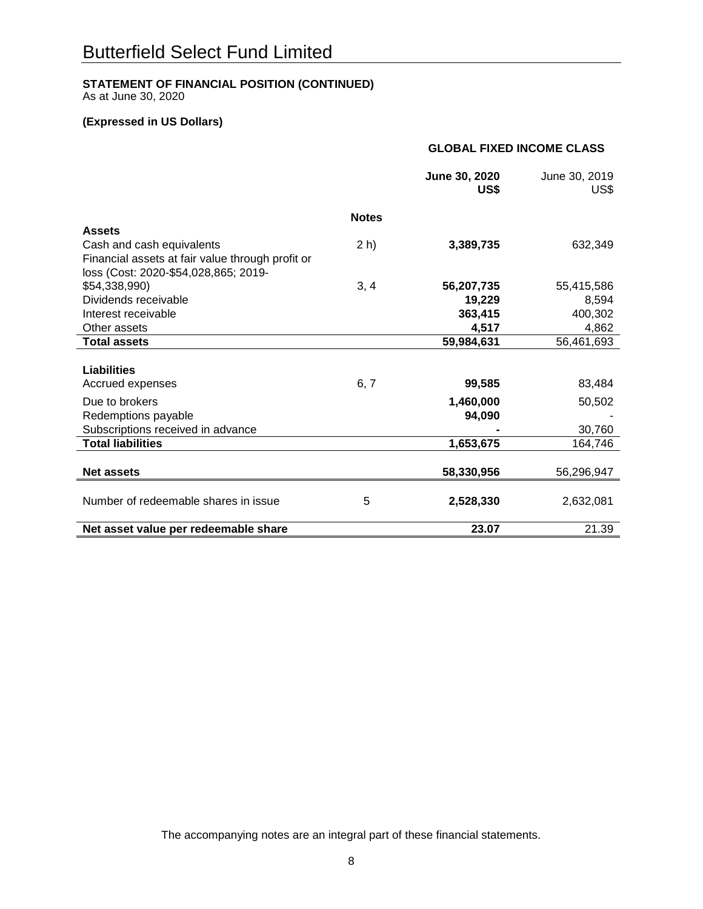### **STATEMENT OF FINANCIAL POSITION (CONTINUED)**

As at June 30, 2020

# **(Expressed in US Dollars)**

|                                                  |              | June 30, 2020<br>US\$ | June 30, 2019<br>US\$ |
|--------------------------------------------------|--------------|-----------------------|-----------------------|
|                                                  | <b>Notes</b> |                       |                       |
| <b>Assets</b>                                    |              |                       |                       |
| Cash and cash equivalents                        | $2 h$ )      | 3,389,735             | 632,349               |
| Financial assets at fair value through profit or |              |                       |                       |
| loss (Cost: 2020-\$54,028,865; 2019-             |              |                       |                       |
| \$54,338,990)                                    | 3, 4         | 56,207,735            | 55,415,586            |
| Dividends receivable                             |              | 19,229                | 8,594                 |
| Interest receivable                              |              | 363,415               | 400,302               |
| Other assets                                     |              | 4,517                 | 4,862                 |
| <b>Total assets</b>                              |              | 59,984,631            | 56,461,693            |
|                                                  |              |                       |                       |
| <b>Liabilities</b>                               |              |                       |                       |
| Accrued expenses                                 | 6, 7         | 99,585                | 83,484                |
| Due to brokers                                   |              | 1,460,000             | 50,502                |
| Redemptions payable                              |              | 94,090                |                       |
| Subscriptions received in advance                |              |                       | 30,760                |
| <b>Total liabilities</b>                         |              | 1,653,675             | 164,746               |
|                                                  |              |                       |                       |
| <b>Net assets</b>                                |              | 58,330,956            | 56,296,947            |
|                                                  |              |                       |                       |
| Number of redeemable shares in issue             | 5            | 2,528,330             | 2,632,081             |
| Net asset value per redeemable share             |              | 23.07                 | 21.39                 |
|                                                  |              |                       |                       |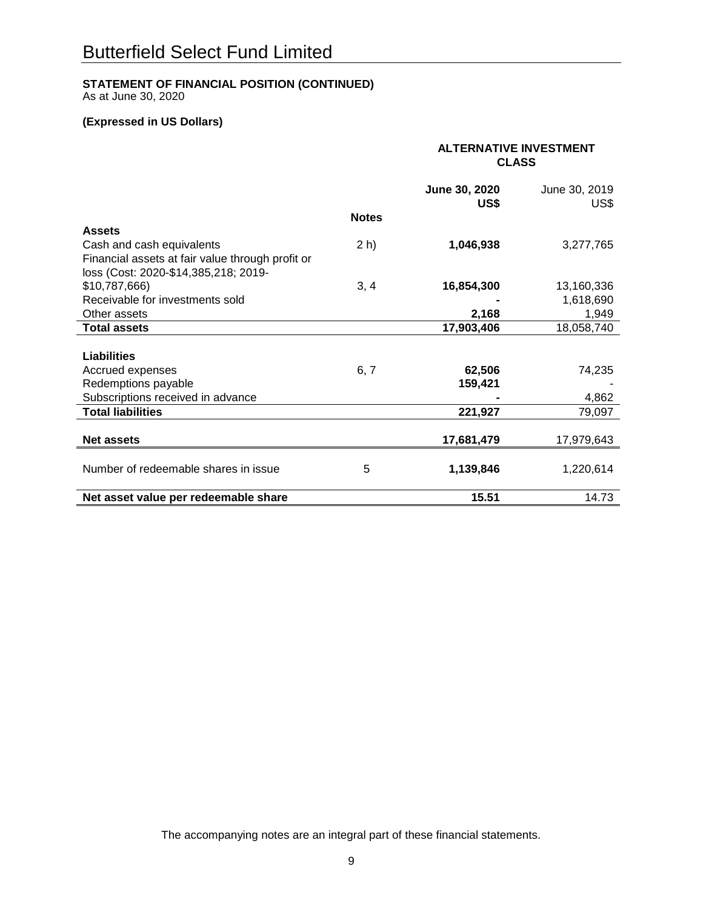### **STATEMENT OF FINANCIAL POSITION (CONTINUED)**

As at June 30, 2020

# **(Expressed in US Dollars)**

|                                                  |              | <b>ALTERNATIVE INVESTMENT</b><br><b>CLASS</b> |                       |  |
|--------------------------------------------------|--------------|-----------------------------------------------|-----------------------|--|
|                                                  |              | June 30, 2020<br>US\$                         | June 30, 2019<br>US\$ |  |
|                                                  | <b>Notes</b> |                                               |                       |  |
| <b>Assets</b>                                    |              |                                               |                       |  |
| Cash and cash equivalents                        | $2 h$ )      | 1,046,938                                     | 3,277,765             |  |
| Financial assets at fair value through profit or |              |                                               |                       |  |
| loss (Cost: 2020-\$14,385,218; 2019-             |              |                                               |                       |  |
| \$10,787,666)                                    | 3, 4         | 16,854,300                                    | 13,160,336            |  |
| Receivable for investments sold<br>Other assets  |              | 2,168                                         | 1,618,690<br>1,949    |  |
| <b>Total assets</b>                              |              | 17,903,406                                    | 18,058,740            |  |
|                                                  |              |                                               |                       |  |
| <b>Liabilities</b>                               |              |                                               |                       |  |
| Accrued expenses                                 | 6, 7         | 62,506                                        | 74,235                |  |
| Redemptions payable                              |              | 159,421                                       |                       |  |
| Subscriptions received in advance                |              |                                               | 4,862                 |  |
| <b>Total liabilities</b>                         |              | 221,927                                       | 79,097                |  |
|                                                  |              |                                               |                       |  |
| <b>Net assets</b>                                |              | 17,681,479                                    | 17,979,643            |  |
|                                                  |              |                                               |                       |  |
| Number of redeemable shares in issue             | 5            | 1,139,846                                     | 1,220,614             |  |
|                                                  |              |                                               |                       |  |
| Net asset value per redeemable share             |              | 15.51                                         | 14.73                 |  |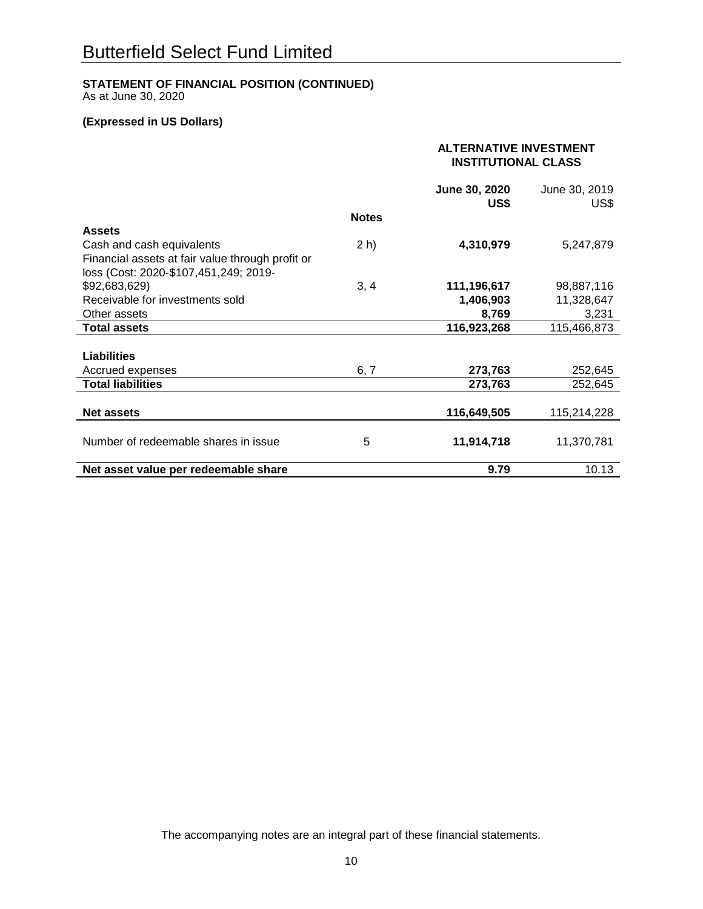### **STATEMENT OF FINANCIAL POSITION (CONTINUED)**

As at June 30, 2020

# **(Expressed in US Dollars)**

|                                                  |              | <b>ALTERNATIVE INVESTMENT</b><br><b>INSTITUTIONAL CLASS</b> |                       |  |
|--------------------------------------------------|--------------|-------------------------------------------------------------|-----------------------|--|
|                                                  |              | June 30, 2020<br>US\$                                       | June 30, 2019<br>US\$ |  |
|                                                  | <b>Notes</b> |                                                             |                       |  |
| <b>Assets</b>                                    |              |                                                             |                       |  |
| Cash and cash equivalents                        | $2 h$ )      | 4,310,979                                                   | 5,247,879             |  |
| Financial assets at fair value through profit or |              |                                                             |                       |  |
| loss (Cost: 2020-\$107,451,249; 2019-            |              |                                                             |                       |  |
| \$92,683,629)                                    | 3, 4         | 111,196,617                                                 | 98,887,116            |  |
| Receivable for investments sold                  |              | 1,406,903                                                   | 11,328,647            |  |
| Other assets                                     |              | 8,769                                                       | 3,231                 |  |
| <b>Total assets</b>                              |              | 116,923,268                                                 | 115,466,873           |  |
|                                                  |              |                                                             |                       |  |
| <b>Liabilities</b>                               |              |                                                             |                       |  |
| Accrued expenses                                 | 6, 7         | 273,763                                                     | 252,645               |  |
| <b>Total liabilities</b>                         |              | 273,763                                                     | 252,645               |  |
|                                                  |              |                                                             |                       |  |
| <b>Net assets</b>                                |              | 116,649,505                                                 | 115,214,228           |  |
|                                                  |              |                                                             |                       |  |
| Number of redeemable shares in issue             | 5            | 11,914,718                                                  | 11,370,781            |  |
|                                                  |              |                                                             |                       |  |
| Net asset value per redeemable share             |              | 9.79                                                        | 10.13                 |  |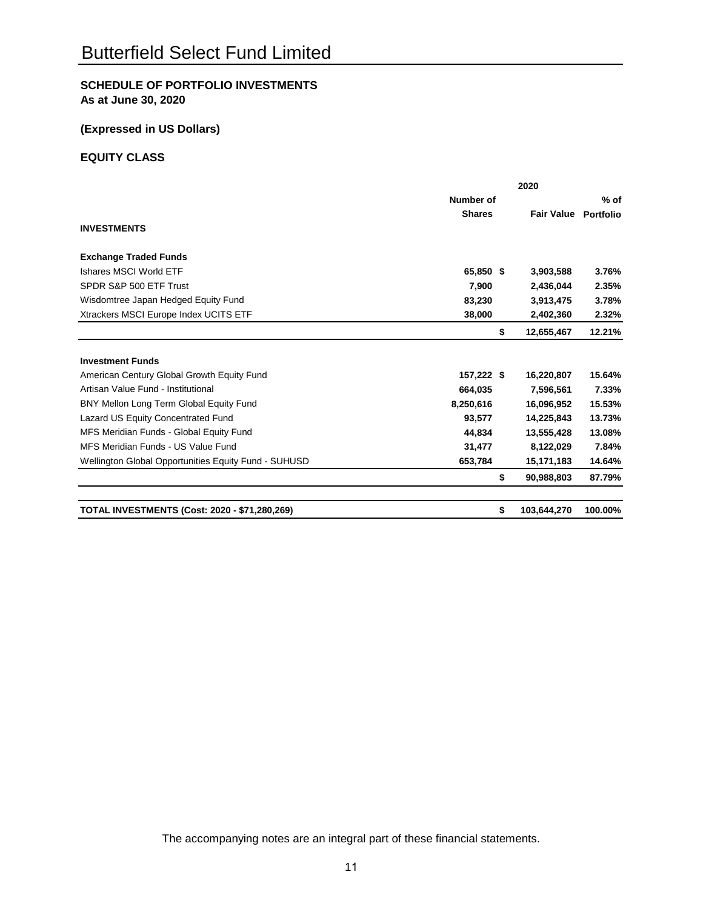### **SCHEDULE OF PORTFOLIO INVESTMENTS As at June 30, 2020**

# **(Expressed in US Dollars)**

### **EQUITY CLASS**

|                                                      |               | 2020                        |         |
|------------------------------------------------------|---------------|-----------------------------|---------|
|                                                      | Number of     |                             | $%$ of  |
|                                                      | <b>Shares</b> | <b>Fair Value Portfolio</b> |         |
| <b>INVESTMENTS</b>                                   |               |                             |         |
| <b>Exchange Traded Funds</b>                         |               |                             |         |
| Ishares MSCI World ETF                               | 65.850 \$     | 3,903,588                   | 3.76%   |
| SPDR S&P 500 ETF Trust                               | 7.900         | 2,436,044                   | 2.35%   |
| Wisdomtree Japan Hedged Equity Fund                  | 83,230        | 3,913,475                   | 3.78%   |
| Xtrackers MSCI Europe Index UCITS ETF                | 38,000        | 2,402,360                   | 2.32%   |
|                                                      |               | \$<br>12,655,467            | 12.21%  |
| <b>Investment Funds</b>                              |               |                             |         |
| American Century Global Growth Equity Fund           | 157,222 \$    | 16,220,807                  | 15.64%  |
| Artisan Value Fund - Institutional                   | 664,035       | 7,596,561                   | 7.33%   |
| BNY Mellon Long Term Global Equity Fund              | 8,250,616     | 16,096,952                  | 15.53%  |
| Lazard US Equity Concentrated Fund                   | 93,577        | 14,225,843                  | 13.73%  |
| MFS Meridian Funds - Global Equity Fund              | 44,834        | 13,555,428                  | 13.08%  |
| MFS Meridian Funds - US Value Fund                   | 31,477        | 8,122,029                   | 7.84%   |
| Wellington Global Opportunities Equity Fund - SUHUSD | 653,784       | 15,171,183                  | 14.64%  |
|                                                      |               | \$<br>90,988,803            | 87.79%  |
| TOTAL INVESTMENTS (Cost: 2020 - \$71,280,269)        |               | \$<br>103,644,270           | 100.00% |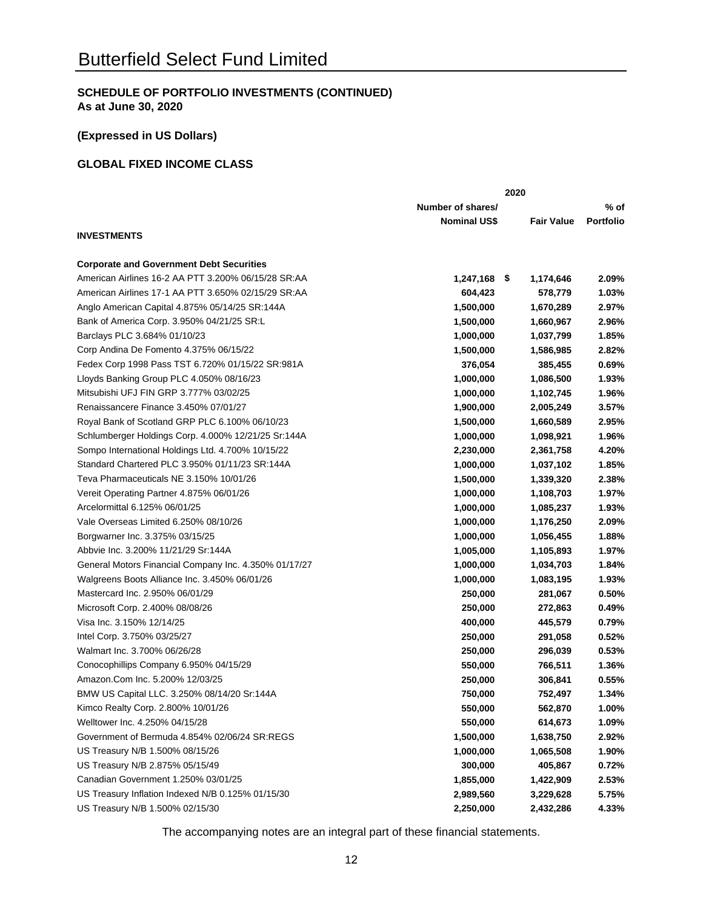# **(Expressed in US Dollars)**

#### **GLOBAL FIXED INCOME CLASS**

|                                                       | 2020                |  |                   |                  |
|-------------------------------------------------------|---------------------|--|-------------------|------------------|
|                                                       | Number of shares/   |  |                   | % of             |
|                                                       | <b>Nominal US\$</b> |  | <b>Fair Value</b> | <b>Portfolio</b> |
| <b>INVESTMENTS</b>                                    |                     |  |                   |                  |
| <b>Corporate and Government Debt Securities</b>       |                     |  |                   |                  |
| American Airlines 16-2 AA PTT 3.200% 06/15/28 SR:AA   | 1,247,168 \$        |  | 1,174,646         | 2.09%            |
| American Airlines 17-1 AA PTT 3.650% 02/15/29 SR:AA   | 604,423             |  | 578,779           | 1.03%            |
| Anglo American Capital 4.875% 05/14/25 SR:144A        | 1,500,000           |  | 1,670,289         | 2.97%            |
| Bank of America Corp. 3.950% 04/21/25 SR:L            | 1,500,000           |  | 1,660,967         | 2.96%            |
| Barclays PLC 3.684% 01/10/23                          | 1,000,000           |  | 1,037,799         | 1.85%            |
| Corp Andina De Fomento 4.375% 06/15/22                | 1,500,000           |  | 1,586,985         | 2.82%            |
| Fedex Corp 1998 Pass TST 6.720% 01/15/22 SR:981A      | 376,054             |  | 385,455           | $0.69\%$         |
| Lloyds Banking Group PLC 4.050% 08/16/23              | 1,000,000           |  | 1,086,500         | 1.93%            |
| Mitsubishi UFJ FIN GRP 3.777% 03/02/25                | 1,000,000           |  | 1,102,745         | 1.96%            |
| Renaissancere Finance 3.450% 07/01/27                 | 1,900,000           |  | 2,005,249         | 3.57%            |
| Royal Bank of Scotland GRP PLC 6.100% 06/10/23        | 1,500,000           |  | 1,660,589         | 2.95%            |
| Schlumberger Holdings Corp. 4.000% 12/21/25 Sr:144A   | 1,000,000           |  | 1,098,921         | 1.96%            |
| Sompo International Holdings Ltd. 4.700% 10/15/22     | 2,230,000           |  | 2,361,758         | 4.20%            |
| Standard Chartered PLC 3.950% 01/11/23 SR:144A        | 1,000,000           |  | 1,037,102         | 1.85%            |
| Teva Pharmaceuticals NE 3.150% 10/01/26               | 1,500,000           |  | 1,339,320         | 2.38%            |
| Vereit Operating Partner 4.875% 06/01/26              | 1,000,000           |  | 1,108,703         | 1.97%            |
| Arcelormittal 6.125% 06/01/25                         | 1,000,000           |  | 1,085,237         | 1.93%            |
| Vale Overseas Limited 6.250% 08/10/26                 | 1,000,000           |  | 1,176,250         | 2.09%            |
| Borgwarner Inc. 3.375% 03/15/25                       | 1,000,000           |  | 1,056,455         | 1.88%            |
| Abbyie Inc. 3.200% 11/21/29 Sr:144A                   | 1,005,000           |  | 1,105,893         | 1.97%            |
| General Motors Financial Company Inc. 4.350% 01/17/27 | 1,000,000           |  | 1,034,703         | 1.84%            |
| Walgreens Boots Alliance Inc. 3.450% 06/01/26         | 1,000,000           |  | 1,083,195         | 1.93%            |
| Mastercard Inc. 2.950% 06/01/29                       | 250,000             |  | 281,067           | 0.50%            |
| Microsoft Corp. 2.400% 08/08/26                       | 250,000             |  | 272,863           | 0.49%            |
| Visa Inc. 3.150% 12/14/25                             | 400,000             |  | 445,579           | 0.79%            |
| Intel Corp. 3.750% 03/25/27                           | 250,000             |  | 291,058           | 0.52%            |
| Walmart Inc. 3.700% 06/26/28                          | 250,000             |  | 296,039           | 0.53%            |
| Conocophillips Company 6.950% 04/15/29                | 550,000             |  | 766,511           | 1.36%            |
| Amazon.Com Inc. 5.200% 12/03/25                       | 250,000             |  | 306,841           | 0.55%            |
| BMW US Capital LLC. 3.250% 08/14/20 Sr:144A           | 750,000             |  | 752,497           | 1.34%            |
| Kimco Realty Corp. 2.800% 10/01/26                    | 550,000             |  | 562,870           | 1.00%            |
| Welltower Inc. 4.250% 04/15/28                        | 550,000             |  | 614,673           | 1.09%            |
| Government of Bermuda 4.854% 02/06/24 SR:REGS         | 1,500,000           |  | 1,638,750         | 2.92%            |
| US Treasury N/B 1.500% 08/15/26                       | 1,000,000           |  | 1,065,508         | 1.90%            |
| US Treasury N/B 2.875% 05/15/49                       | 300,000             |  | 405,867           | 0.72%            |
| Canadian Government 1.250% 03/01/25                   | 1,855,000           |  | 1,422,909         | 2.53%            |
| US Treasury Inflation Indexed N/B 0.125% 01/15/30     | 2,989,560           |  | 3,229,628         | 5.75%            |
| US Treasury N/B 1.500% 02/15/30                       | 2,250,000           |  | 2,432,286         | 4.33%            |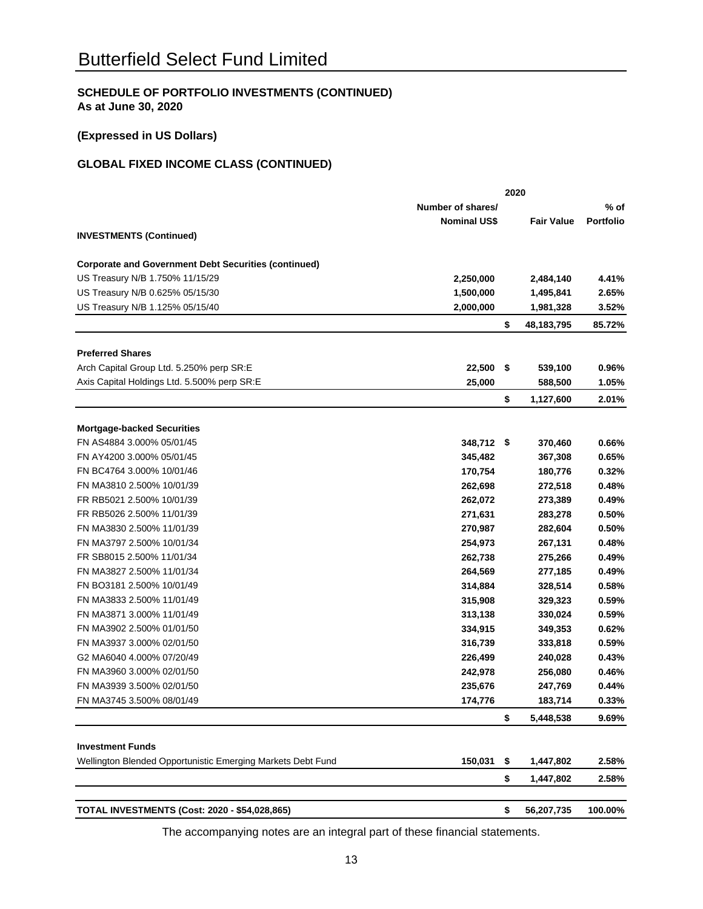# **(Expressed in US Dollars)**

# **GLOBAL FIXED INCOME CLASS (CONTINUED)**

|                                                                |                     | 2020 |                    |                  |
|----------------------------------------------------------------|---------------------|------|--------------------|------------------|
|                                                                | Number of shares/   |      |                    | % of             |
|                                                                | <b>Nominal US\$</b> |      | <b>Fair Value</b>  | <b>Portfolio</b> |
| <b>INVESTMENTS (Continued)</b>                                 |                     |      |                    |                  |
| <b>Corporate and Government Debt Securities (continued)</b>    |                     |      |                    |                  |
| US Treasury N/B 1.750% 11/15/29                                | 2,250,000           |      | 2,484,140          | 4.41%            |
| US Treasury N/B 0.625% 05/15/30                                | 1,500,000           |      | 1,495,841          | 2.65%            |
| US Treasury N/B 1.125% 05/15/40                                | 2,000,000           |      | 1,981,328          | 3.52%            |
|                                                                |                     | \$   | 48,183,795         | 85.72%           |
| <b>Preferred Shares</b>                                        |                     |      |                    |                  |
| Arch Capital Group Ltd. 5.250% perp SR:E                       | 22,500              | \$   | 539,100            | 0.96%            |
| Axis Capital Holdings Ltd. 5.500% perp SR:E                    | 25,000              |      | 588,500            | 1.05%            |
|                                                                |                     | \$   | 1,127,600          | 2.01%            |
|                                                                |                     |      |                    |                  |
| <b>Mortgage-backed Securities</b><br>FN AS4884 3.000% 05/01/45 | 348,712 \$          |      | 370,460            | 0.66%            |
| FN AY4200 3.000% 05/01/45                                      | 345,482             |      | 367,308            | 0.65%            |
| FN BC4764 3.000% 10/01/46                                      | 170,754             |      | 180,776            | 0.32%            |
| FN MA3810 2.500% 10/01/39                                      | 262,698             |      | 272,518            | 0.48%            |
| FR RB5021 2.500% 10/01/39                                      |                     |      |                    | 0.49%            |
| FR RB5026 2.500% 11/01/39                                      | 262,072             |      | 273,389            |                  |
| FN MA3830 2.500% 11/01/39                                      | 271,631<br>270,987  |      | 283,278<br>282,604 | 0.50%<br>0.50%   |
| FN MA3797 2.500% 10/01/34                                      | 254,973             |      | 267,131            | 0.48%            |
| FR SB8015 2.500% 11/01/34                                      | 262,738             |      |                    |                  |
| FN MA3827 2.500% 11/01/34                                      |                     |      | 275,266            | 0.49%<br>0.49%   |
| FN BO3181 2.500% 10/01/49                                      | 264,569             |      | 277,185            | 0.58%            |
| FN MA3833 2.500% 11/01/49                                      | 314,884             |      | 328,514            |                  |
|                                                                | 315,908             |      | 329,323            | 0.59%            |
| FN MA3871 3.000% 11/01/49<br>FN MA3902 2.500% 01/01/50         | 313,138             |      | 330,024<br>349,353 | 0.59%<br>0.62%   |
| FN MA3937 3.000% 02/01/50                                      | 334,915             |      |                    | 0.59%            |
| G2 MA6040 4.000% 07/20/49                                      | 316,739             |      | 333,818            |                  |
| FN MA3960 3.000% 02/01/50                                      | 226,499             |      | 240,028            | 0.43%<br>0.46%   |
|                                                                | 242,978             |      | 256,080            |                  |
| FN MA3939 3.500% 02/01/50<br>FN MA3745 3.500% 08/01/49         | 235,676             |      | 247,769            | 0.44%            |
|                                                                | 174,776             |      | 183,714            | 0.33%            |
|                                                                |                     | \$   | 5,448,538          | 9.69%            |
| <b>Investment Funds</b>                                        |                     |      |                    |                  |
| Wellington Blended Opportunistic Emerging Markets Debt Fund    | 150,031             | \$   | 1,447,802          | 2.58%            |
|                                                                |                     | \$   | 1,447,802          | 2.58%            |
| TOTAL INVESTMENTS (Cost: 2020 - \$54,028,865)                  |                     | \$   | 56,207,735         | 100.00%          |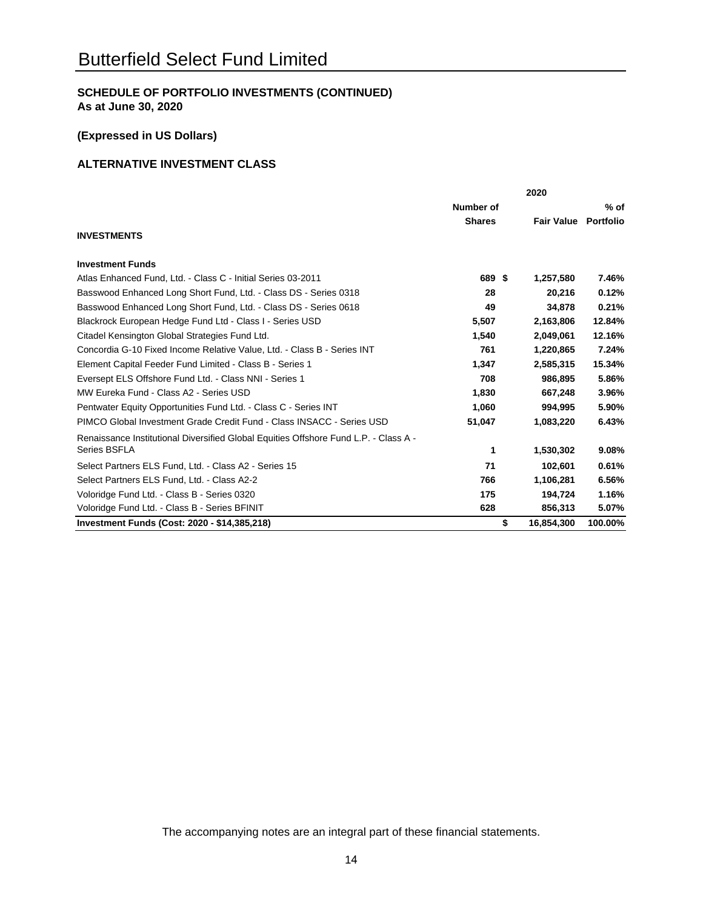# **(Expressed in US Dollars)**

### **ALTERNATIVE INVESTMENT CLASS**

|                                                                                      | 2020          |    |                             |          |
|--------------------------------------------------------------------------------------|---------------|----|-----------------------------|----------|
|                                                                                      | Number of     |    |                             | $%$ of   |
|                                                                                      | <b>Shares</b> |    | <b>Fair Value Portfolio</b> |          |
| <b>INVESTMENTS</b>                                                                   |               |    |                             |          |
| <b>Investment Funds</b>                                                              |               |    |                             |          |
| Atlas Enhanced Fund, Ltd. - Class C - Initial Series 03-2011                         | 689 \$        |    | 1,257,580                   | 7.46%    |
| Basswood Enhanced Long Short Fund, Ltd. - Class DS - Series 0318                     | 28            |    | 20,216                      | 0.12%    |
| Basswood Enhanced Long Short Fund, Ltd. - Class DS - Series 0618                     | 49            |    | 34,878                      | 0.21%    |
| Blackrock European Hedge Fund Ltd - Class I - Series USD                             | 5,507         |    | 2,163,806                   | 12.84%   |
| Citadel Kensington Global Strategies Fund Ltd.                                       | 1,540         |    | 2,049,061                   | 12.16%   |
| Concordia G-10 Fixed Income Relative Value, Ltd. - Class B - Series INT              | 761           |    | 1,220,865                   | 7.24%    |
| Element Capital Feeder Fund Limited - Class B - Series 1                             | 1,347         |    | 2,585,315                   | 15.34%   |
| Eversept ELS Offshore Fund Ltd. - Class NNI - Series 1                               | 708           |    | 986,895                     | 5.86%    |
| MW Eureka Fund - Class A2 - Series USD                                               | 1,830         |    | 667.248                     | 3.96%    |
| Pentwater Equity Opportunities Fund Ltd. - Class C - Series INT                      | 1,060         |    | 994.995                     | 5.90%    |
| PIMCO Global Investment Grade Credit Fund - Class INSACC - Series USD                | 51,047        |    | 1,083,220                   | 6.43%    |
| Renaissance Institutional Diversified Global Equities Offshore Fund L.P. - Class A - |               |    |                             |          |
| Series BSFLA                                                                         | 1             |    | 1,530,302                   | $9.08\%$ |
| Select Partners ELS Fund, Ltd. - Class A2 - Series 15                                | 71            |    | 102.601                     | 0.61%    |
| Select Partners ELS Fund, Ltd. - Class A2-2                                          | 766           |    | 1,106,281                   | 6.56%    |
| Voloridge Fund Ltd. - Class B - Series 0320                                          | 175           |    | 194,724                     | 1.16%    |
| Voloridge Fund Ltd. - Class B - Series BFINIT                                        | 628           |    | 856,313                     | 5.07%    |
| Investment Funds (Cost: 2020 - \$14,385,218)                                         |               | \$ | 16.854.300                  | 100.00%  |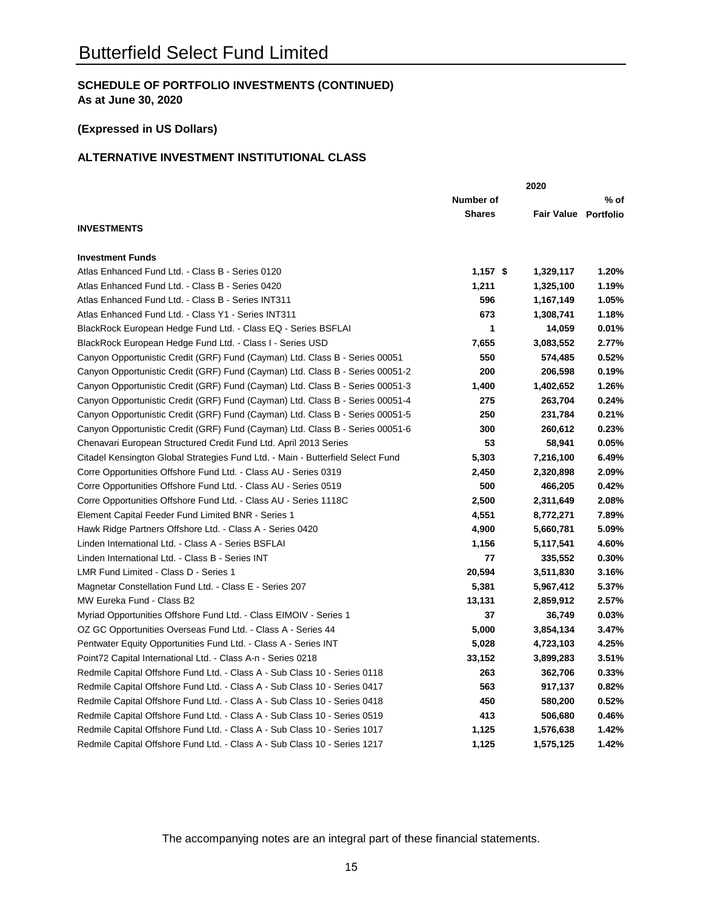# **(Expressed in US Dollars)**

### **ALTERNATIVE INVESTMENT INSTITUTIONAL CLASS**

|                                                                                 | 2020          |                      |       |  |
|---------------------------------------------------------------------------------|---------------|----------------------|-------|--|
|                                                                                 | Number of     |                      | % of  |  |
|                                                                                 | <b>Shares</b> | Fair Value Portfolio |       |  |
| <b>INVESTMENTS</b>                                                              |               |                      |       |  |
| <b>Investment Funds</b>                                                         |               |                      |       |  |
| Atlas Enhanced Fund Ltd. - Class B - Series 0120                                | $1,157$ \$    | 1,329,117            | 1.20% |  |
| Atlas Enhanced Fund Ltd. - Class B - Series 0420                                | 1,211         | 1,325,100            | 1.19% |  |
| Atlas Enhanced Fund Ltd. - Class B - Series INT311                              | 596           | 1,167,149            | 1.05% |  |
| Atlas Enhanced Fund Ltd. - Class Y1 - Series INT311                             | 673           | 1,308,741            | 1.18% |  |
| BlackRock European Hedge Fund Ltd. - Class EQ - Series BSFLAI                   | 1             | 14,059               | 0.01% |  |
| BlackRock European Hedge Fund Ltd. - Class I - Series USD                       | 7,655         | 3,083,552            | 2.77% |  |
| Canyon Opportunistic Credit (GRF) Fund (Cayman) Ltd. Class B - Series 00051     | 550           | 574,485              | 0.52% |  |
| Canyon Opportunistic Credit (GRF) Fund (Cayman) Ltd. Class B - Series 00051-2   | 200           | 206,598              | 0.19% |  |
| Canyon Opportunistic Credit (GRF) Fund (Cayman) Ltd. Class B - Series 00051-3   | 1,400         | 1,402,652            | 1.26% |  |
| Canyon Opportunistic Credit (GRF) Fund (Cayman) Ltd. Class B - Series 00051-4   | 275           | 263,704              | 0.24% |  |
| Canyon Opportunistic Credit (GRF) Fund (Cayman) Ltd. Class B - Series 00051-5   | 250           | 231,784              | 0.21% |  |
| Canyon Opportunistic Credit (GRF) Fund (Cayman) Ltd. Class B - Series 00051-6   | 300           | 260,612              | 0.23% |  |
| Chenavari European Structured Credit Fund Ltd. April 2013 Series                | 53            | 58,941               | 0.05% |  |
| Citadel Kensington Global Strategies Fund Ltd. - Main - Butterfield Select Fund | 5,303         | 7,216,100            | 6.49% |  |
| Corre Opportunities Offshore Fund Ltd. - Class AU - Series 0319                 | 2,450         | 2,320,898            | 2.09% |  |
| Corre Opportunities Offshore Fund Ltd. - Class AU - Series 0519                 | 500           | 466,205              | 0.42% |  |
| Corre Opportunities Offshore Fund Ltd. - Class AU - Series 1118C                | 2,500         | 2,311,649            | 2.08% |  |
| Element Capital Feeder Fund Limited BNR - Series 1                              | 4,551         | 8,772,271            | 7.89% |  |
| Hawk Ridge Partners Offshore Ltd. - Class A - Series 0420                       | 4,900         | 5,660,781            | 5.09% |  |
| Linden International Ltd. - Class A - Series BSFLAI                             | 1,156         | 5,117,541            | 4.60% |  |
| Linden International Ltd. - Class B - Series INT                                | 77            | 335,552              | 0.30% |  |
| LMR Fund Limited - Class D - Series 1                                           | 20,594        | 3,511,830            | 3.16% |  |
| Magnetar Constellation Fund Ltd. - Class E - Series 207                         | 5,381         | 5,967,412            | 5.37% |  |
| MW Eureka Fund - Class B2                                                       | 13,131        | 2,859,912            | 2.57% |  |
| Myriad Opportunities Offshore Fund Ltd. - Class EIMOIV - Series 1               | 37            | 36,749               | 0.03% |  |
| OZ GC Opportunities Overseas Fund Ltd. - Class A - Series 44                    | 5,000         | 3,854,134            | 3.47% |  |
| Pentwater Equity Opportunities Fund Ltd. - Class A - Series INT                 | 5,028         | 4,723,103            | 4.25% |  |
| Point72 Capital International Ltd. - Class A-n - Series 0218                    | 33,152        | 3,899,283            | 3.51% |  |
| Redmile Capital Offshore Fund Ltd. - Class A - Sub Class 10 - Series 0118       | 263           | 362,706              | 0.33% |  |
| Redmile Capital Offshore Fund Ltd. - Class A - Sub Class 10 - Series 0417       | 563           | 917,137              | 0.82% |  |
| Redmile Capital Offshore Fund Ltd. - Class A - Sub Class 10 - Series 0418       | 450           | 580,200              | 0.52% |  |
| Redmile Capital Offshore Fund Ltd. - Class A - Sub Class 10 - Series 0519       | 413           | 506,680              | 0.46% |  |
| Redmile Capital Offshore Fund Ltd. - Class A - Sub Class 10 - Series 1017       | 1,125         | 1,576,638            | 1.42% |  |
| Redmile Capital Offshore Fund Ltd. - Class A - Sub Class 10 - Series 1217       | 1,125         | 1,575,125            | 1.42% |  |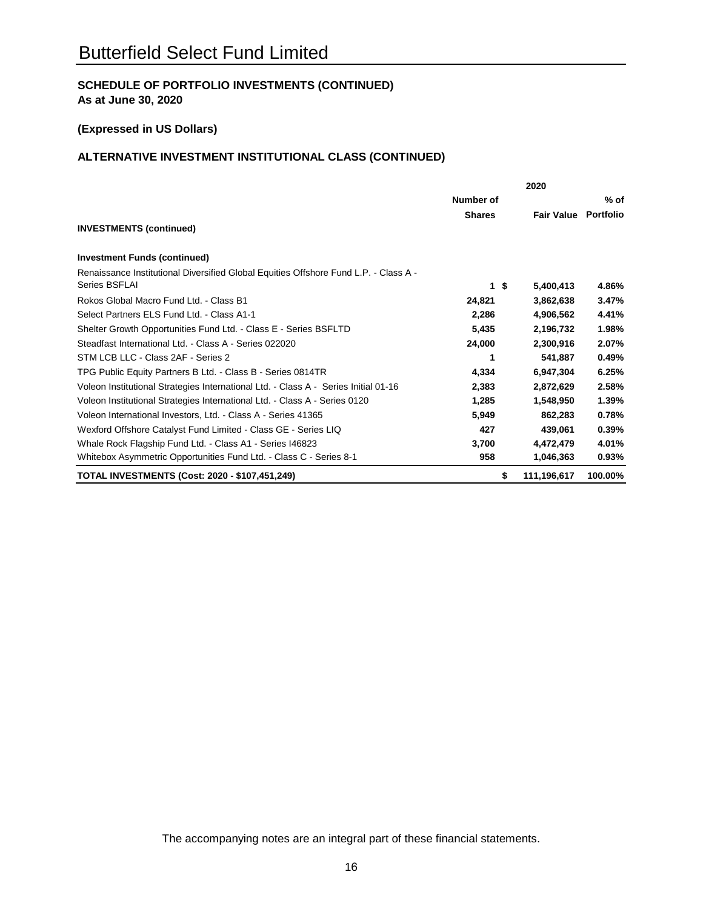# **(Expressed in US Dollars)**

# **ALTERNATIVE INVESTMENT INSTITUTIONAL CLASS (CONTINUED)**

|                                                                                      | 2020          |     |                   |                  |
|--------------------------------------------------------------------------------------|---------------|-----|-------------------|------------------|
|                                                                                      | Number of     |     |                   | $%$ of           |
|                                                                                      | <b>Shares</b> |     | <b>Fair Value</b> | <b>Portfolio</b> |
| <b>INVESTMENTS (continued)</b>                                                       |               |     |                   |                  |
| <b>Investment Funds (continued)</b>                                                  |               |     |                   |                  |
| Renaissance Institutional Diversified Global Equities Offshore Fund L.P. - Class A - |               |     |                   |                  |
| Series BSFLAI                                                                        |               | 1\$ | 5,400,413         | 4.86%            |
| Rokos Global Macro Fund Ltd. - Class B1                                              | 24,821        |     | 3,862,638         | 3.47%            |
| Select Partners ELS Fund Ltd. - Class A1-1                                           | 2,286         |     | 4,906,562         | 4.41%            |
| Shelter Growth Opportunities Fund Ltd. - Class E - Series BSFLTD                     | 5,435         |     | 2,196,732         | 1.98%            |
| Steadfast International Ltd. - Class A - Series 022020                               | 24,000        |     | 2,300,916         | 2.07%            |
| STM LCB LLC - Class 2AF - Series 2                                                   | 1             |     | 541,887           | 0.49%            |
| TPG Public Equity Partners B Ltd. - Class B - Series 0814TR                          | 4,334         |     | 6,947,304         | 6.25%            |
| Voleon Institutional Strategies International Ltd. - Class A - Series Initial 01-16  | 2,383         |     | 2,872,629         | 2.58%            |
| Voleon Institutional Strategies International Ltd. - Class A - Series 0120           | 1,285         |     | 1,548,950         | 1.39%            |
| Voleon International Investors, Ltd. - Class A - Series 41365                        | 5,949         |     | 862,283           | 0.78%            |
| Wexford Offshore Catalyst Fund Limited - Class GE - Series LIQ                       | 427           |     | 439,061           | 0.39%            |
| Whale Rock Flagship Fund Ltd. - Class A1 - Series I46823                             | 3,700         |     | 4,472,479         | 4.01%            |
| Whitebox Asymmetric Opportunities Fund Ltd. - Class C - Series 8-1                   | 958           |     | 1,046,363         | 0.93%            |
| <b>TOTAL INVESTMENTS (Cost: 2020 - \$107,451,249)</b>                                |               | \$  | 111,196,617       | 100.00%          |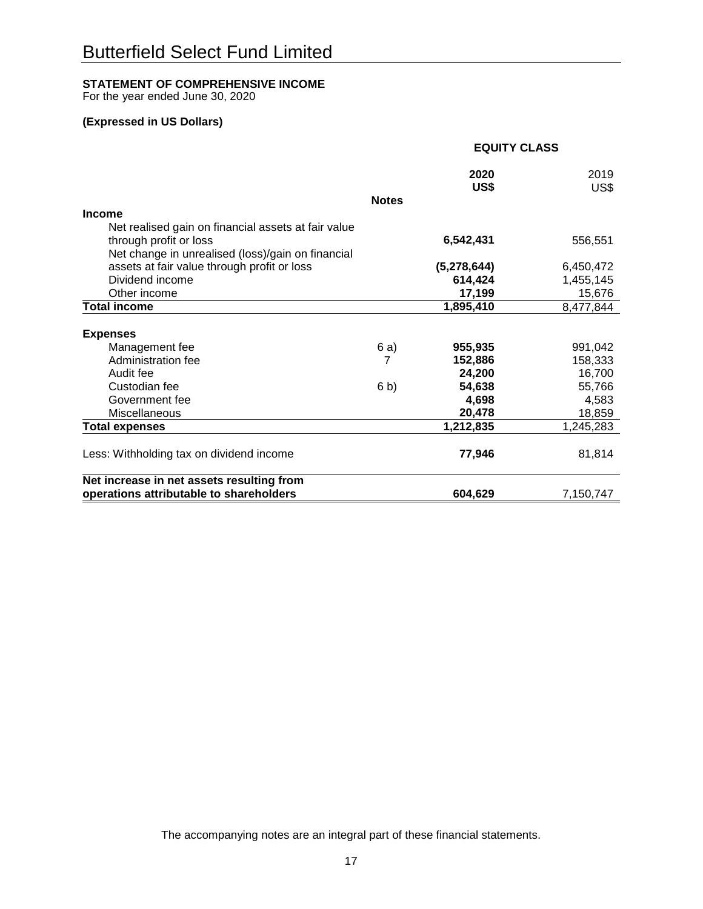### **STATEMENT OF COMPREHENSIVE INCOME**

For the year ended June 30, 2020

# **(Expressed in US Dollars)**

|                                                                                      | <b>EQUITY CLASS</b> |              |              |  |
|--------------------------------------------------------------------------------------|---------------------|--------------|--------------|--|
|                                                                                      |                     | 2020<br>US\$ | 2019<br>US\$ |  |
|                                                                                      | <b>Notes</b>        |              |              |  |
| <b>Income</b>                                                                        |                     |              |              |  |
| Net realised gain on financial assets at fair value                                  |                     |              |              |  |
| through profit or loss                                                               |                     | 6,542,431    | 556,551      |  |
| Net change in unrealised (loss)/gain on financial                                    |                     |              |              |  |
| assets at fair value through profit or loss                                          |                     | (5,278,644)  | 6,450,472    |  |
| Dividend income                                                                      |                     | 614,424      | 1,455,145    |  |
| Other income                                                                         |                     | 17,199       | 15,676       |  |
| <b>Total income</b>                                                                  |                     | 1,895,410    | 8,477,844    |  |
| <b>Expenses</b>                                                                      |                     |              |              |  |
| Management fee                                                                       | 6 a)                | 955,935      | 991,042      |  |
| Administration fee                                                                   | 7                   | 152,886      | 158,333      |  |
| Audit fee                                                                            |                     | 24,200       | 16,700       |  |
| Custodian fee                                                                        | 6 b)                | 54,638       | 55,766       |  |
| Government fee                                                                       |                     | 4,698        | 4,583        |  |
| Miscellaneous                                                                        |                     | 20,478       | 18,859       |  |
| <b>Total expenses</b>                                                                |                     | 1,212,835    | 1,245,283    |  |
| Less: Withholding tax on dividend income                                             |                     | 77,946       | 81,814       |  |
| Net increase in net assets resulting from<br>operations attributable to shareholders |                     | 604,629      | 7,150,747    |  |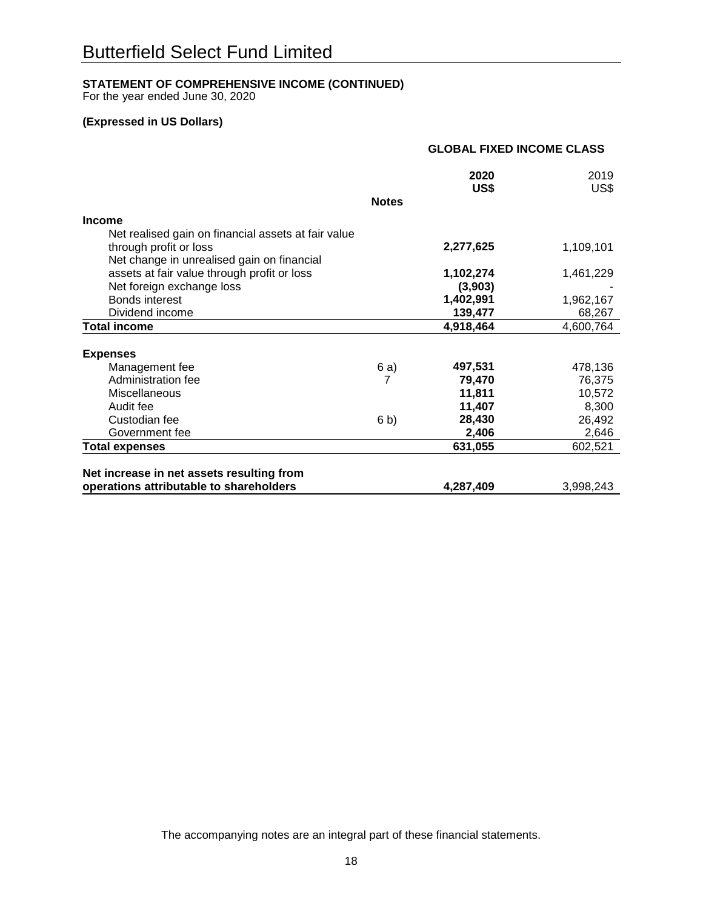### **STATEMENT OF COMPREHENSIVE INCOME (CONTINUED)**

For the year ended June 30, 2020

# **(Expressed in US Dollars)**

|                                                     |              | <b>GLOBAL FIXED INCOME CLASS</b> |              |  |
|-----------------------------------------------------|--------------|----------------------------------|--------------|--|
|                                                     |              | 2020<br>US\$                     | 2019<br>US\$ |  |
|                                                     | <b>Notes</b> |                                  |              |  |
| <b>Income</b>                                       |              |                                  |              |  |
| Net realised gain on financial assets at fair value |              |                                  |              |  |
| through profit or loss                              |              | 2,277,625                        | 1,109,101    |  |
| Net change in unrealised gain on financial          |              |                                  |              |  |
| assets at fair value through profit or loss         |              | 1,102,274                        | 1,461,229    |  |
| Net foreign exchange loss                           |              | (3,903)                          |              |  |
| Bonds interest                                      |              | 1,402,991                        | 1,962,167    |  |
| Dividend income                                     |              | 139,477                          | 68,267       |  |
| <b>Total income</b>                                 |              | 4,918,464                        | 4,600,764    |  |
| <b>Expenses</b>                                     |              |                                  |              |  |
| Management fee                                      | 6 a)         | 497,531                          | 478,136      |  |
| Administration fee                                  | 7            | 79,470                           | 76,375       |  |
| Miscellaneous                                       |              | 11,811                           | 10,572       |  |
| Audit fee                                           |              | 11,407                           | 8,300        |  |
| Custodian fee                                       | 6 b)         | 28,430                           | 26,492       |  |
| Government fee                                      |              | 2,406                            | 2,646        |  |
| <b>Total expenses</b>                               |              | 631,055                          | 602,521      |  |
|                                                     |              |                                  |              |  |
| Net increase in net assets resulting from           |              |                                  |              |  |
| operations attributable to shareholders             |              | 4,287,409                        | 3,998,243    |  |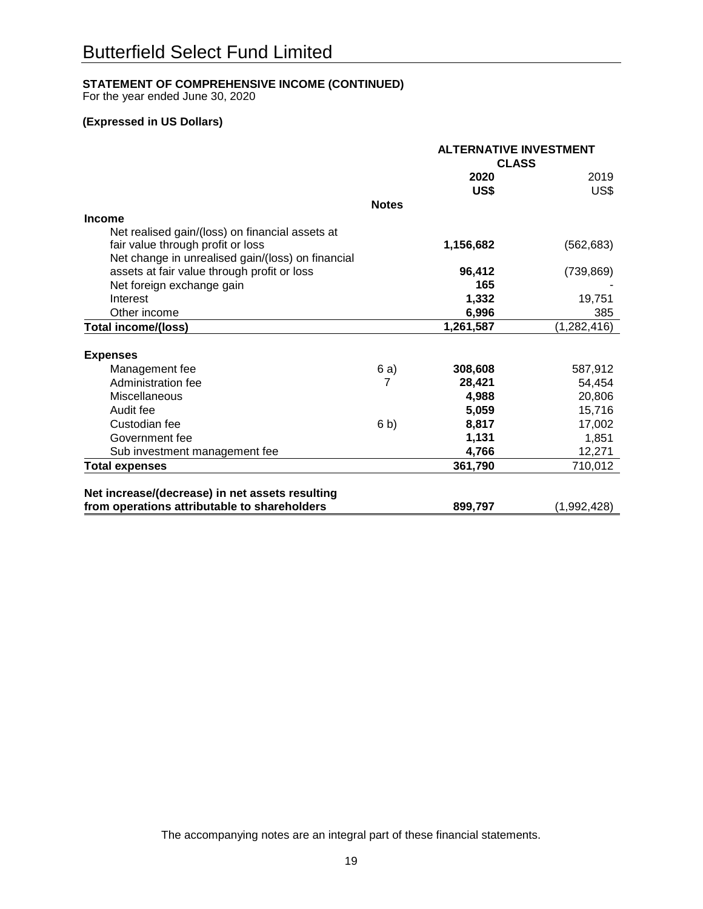### **STATEMENT OF COMPREHENSIVE INCOME (CONTINUED)**

For the year ended June 30, 2020

# **(Expressed in US Dollars)**

|                                                   |              | <b>ALTERNATIVE INVESTMENT</b> |               |
|---------------------------------------------------|--------------|-------------------------------|---------------|
|                                                   |              | <b>CLASS</b>                  |               |
|                                                   |              | 2020                          | 2019          |
|                                                   |              | US\$                          | US\$          |
|                                                   | <b>Notes</b> |                               |               |
| <b>Income</b>                                     |              |                               |               |
| Net realised gain/(loss) on financial assets at   |              |                               |               |
| fair value through profit or loss                 |              | 1,156,682                     | (562, 683)    |
| Net change in unrealised gain/(loss) on financial |              |                               |               |
| assets at fair value through profit or loss       |              | 96,412                        | (739, 869)    |
| Net foreign exchange gain                         |              | 165                           |               |
| Interest                                          |              | 1,332                         | 19,751        |
| Other income                                      |              | 6,996                         | 385           |
| <b>Total income/(loss)</b>                        |              | 1,261,587                     | (1, 282, 416) |
|                                                   |              |                               |               |
| <b>Expenses</b>                                   |              |                               |               |
| Management fee                                    | 6 a)         | 308,608                       | 587,912       |
| Administration fee                                | 7            | 28,421                        | 54,454        |
| Miscellaneous                                     |              | 4,988                         | 20,806        |
| Audit fee                                         |              | 5,059                         | 15,716        |
| Custodian fee                                     | 6 b)         | 8,817                         | 17,002        |
| Government fee                                    |              | 1,131                         | 1,851         |
| Sub investment management fee                     |              | 4,766                         | 12,271        |
| <b>Total expenses</b>                             |              | 361,790                       | 710,012       |
|                                                   |              |                               |               |
| Net increase/(decrease) in net assets resulting   |              |                               |               |
| from operations attributable to shareholders      |              | 899,797                       | (1,992,428)   |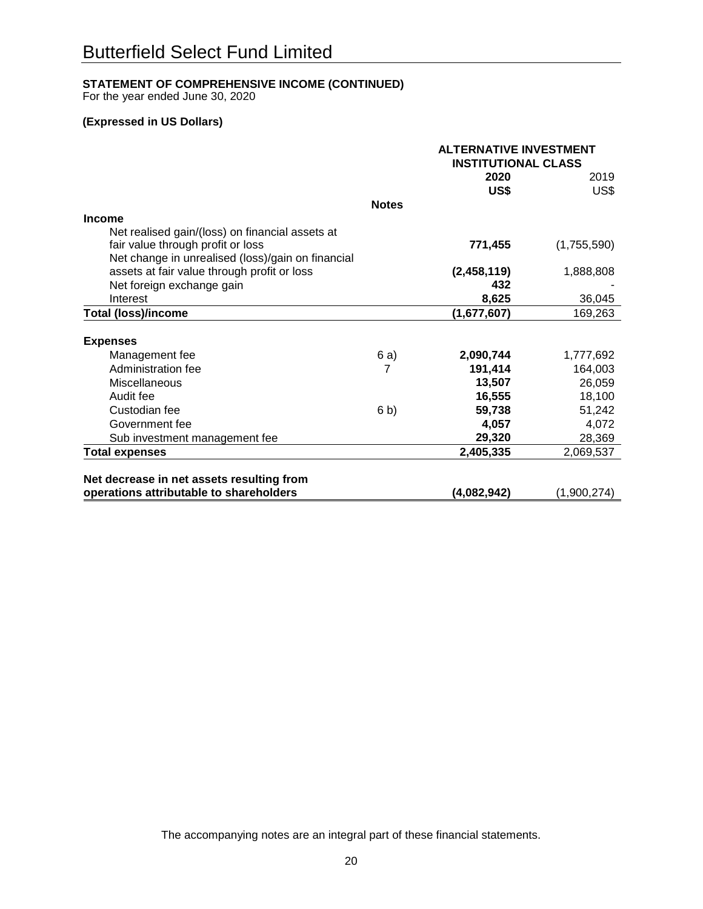### **STATEMENT OF COMPREHENSIVE INCOME (CONTINUED)**

For the year ended June 30, 2020

# **(Expressed in US Dollars)**

|                                                   |              | <b>ALTERNATIVE INVESTMENT</b> |             |
|---------------------------------------------------|--------------|-------------------------------|-------------|
|                                                   |              | <b>INSTITUTIONAL CLASS</b>    |             |
|                                                   |              | 2020                          | 2019        |
|                                                   |              | US\$                          | US\$        |
|                                                   | <b>Notes</b> |                               |             |
| <b>Income</b>                                     |              |                               |             |
| Net realised gain/(loss) on financial assets at   |              |                               |             |
| fair value through profit or loss                 |              | 771,455                       | (1,755,590) |
| Net change in unrealised (loss)/gain on financial |              |                               |             |
| assets at fair value through profit or loss       |              | (2,458,119)                   | 1,888,808   |
| Net foreign exchange gain                         |              | 432                           |             |
| Interest                                          |              | 8,625                         | 36,045      |
| <b>Total (loss)/income</b>                        |              | (1,677,607)                   | 169,263     |
| <b>Expenses</b>                                   |              |                               |             |
| Management fee                                    | 6 a)         | 2,090,744                     | 1,777,692   |
| Administration fee                                | 7            | 191,414                       | 164,003     |
| Miscellaneous                                     |              | 13,507                        | 26,059      |
| Audit fee                                         |              | 16,555                        | 18,100      |
| Custodian fee                                     | 6 b)         | 59,738                        | 51,242      |
| Government fee                                    |              | 4,057                         | 4,072       |
| Sub investment management fee                     |              | 29,320                        | 28,369      |
| <b>Total expenses</b>                             |              | 2,405,335                     | 2,069,537   |
|                                                   |              |                               |             |
| Net decrease in net assets resulting from         |              |                               |             |
| operations attributable to shareholders           |              | (4,082,942)                   | (1,900,274) |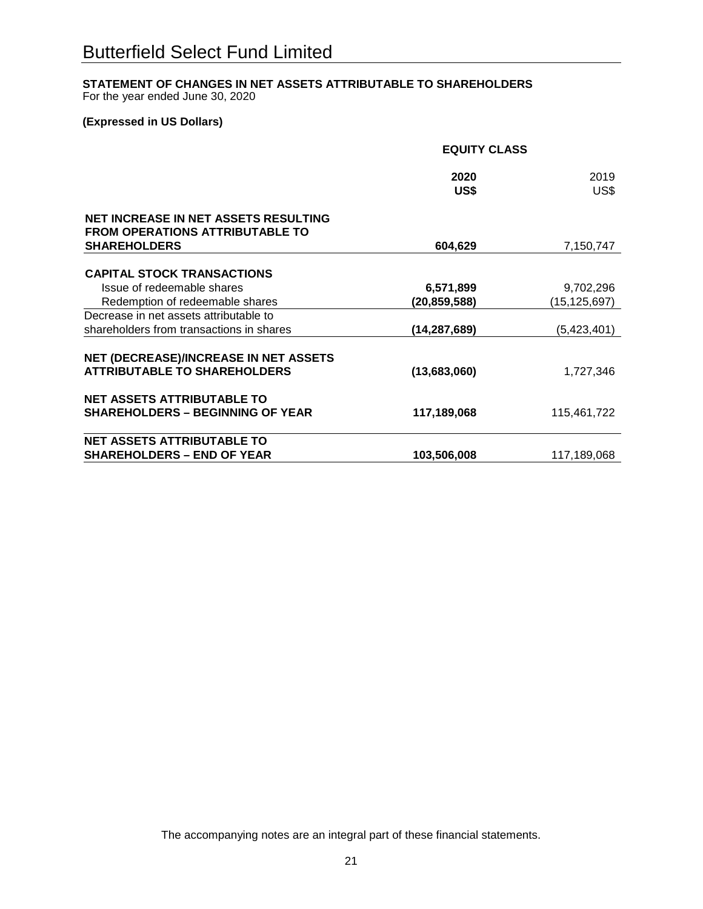# **STATEMENT OF CHANGES IN NET ASSETS ATTRIBUTABLE TO SHAREHOLDERS**

For the year ended June 30, 2020

# **(Expressed in US Dollars)**

|                                                                                       | <b>EQUITY CLASS</b> |              |
|---------------------------------------------------------------------------------------|---------------------|--------------|
|                                                                                       | 2020<br>US\$        | 2019<br>US\$ |
| <b>NET INCREASE IN NET ASSETS RESULTING</b><br><b>FROM OPERATIONS ATTRIBUTABLE TO</b> |                     |              |
| <b>SHAREHOLDERS</b>                                                                   | 604,629             | 7,150,747    |
| <b>CAPITAL STOCK TRANSACTIONS</b>                                                     |                     |              |
| Issue of redeemable shares                                                            | 6,571,899           | 9,702,296    |
| Redemption of redeemable shares                                                       | (20,859,588)        | (15,125,697) |
| Decrease in net assets attributable to                                                |                     |              |
| shareholders from transactions in shares                                              | (14,287,689)        | (5,423,401)  |
| NET (DECREASE)/INCREASE IN NET ASSETS                                                 |                     |              |
| <b>ATTRIBUTABLE TO SHAREHOLDERS</b>                                                   | (13,683,060)        | 1,727,346    |
| <b>NET ASSETS ATTRIBUTABLE TO</b>                                                     |                     |              |
| <b>SHAREHOLDERS – BEGINNING OF YEAR</b>                                               | 117,189,068         | 115,461,722  |
| <b>NET ASSETS ATTRIBUTABLE TO</b>                                                     |                     |              |
| <b>SHAREHOLDERS - END OF YEAR</b>                                                     | 103,506,008         | 117,189,068  |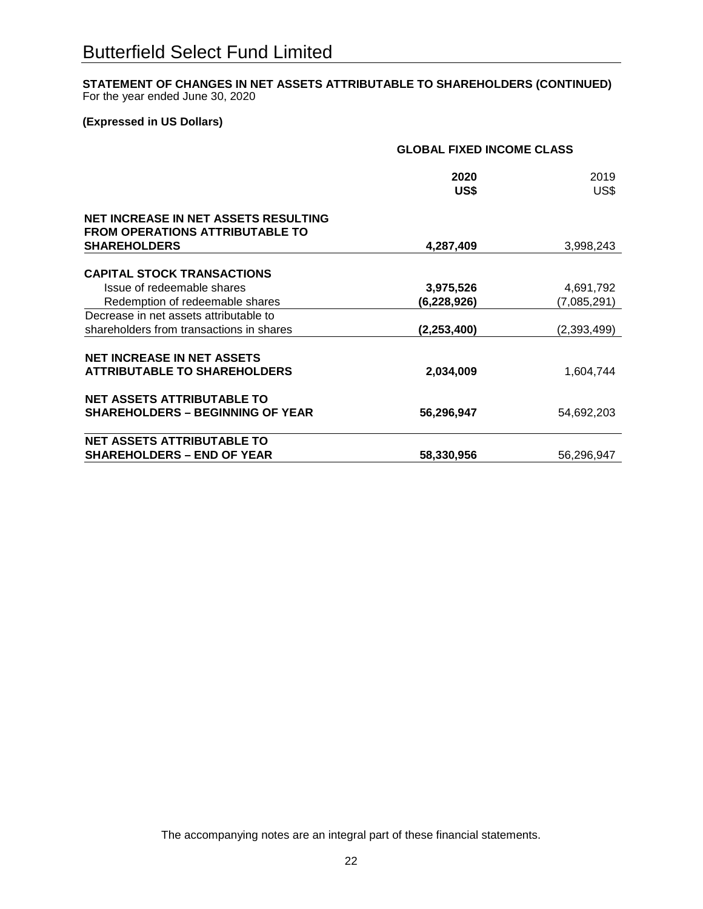#### **STATEMENT OF CHANGES IN NET ASSETS ATTRIBUTABLE TO SHAREHOLDERS (CONTINUED)** For the year ended June 30, 2020

# **(Expressed in US Dollars)**

|                                                                                       | <b>GLOBAL FIXED INCOME CLASS</b> |              |  |
|---------------------------------------------------------------------------------------|----------------------------------|--------------|--|
|                                                                                       | 2020<br>US\$                     | 2019<br>US\$ |  |
| <b>NET INCREASE IN NET ASSETS RESULTING</b><br><b>FROM OPERATIONS ATTRIBUTABLE TO</b> |                                  |              |  |
| <b>SHAREHOLDERS</b>                                                                   | 4,287,409                        | 3,998,243    |  |
| <b>CAPITAL STOCK TRANSACTIONS</b>                                                     |                                  |              |  |
| Issue of redeemable shares                                                            | 3,975,526                        | 4,691,792    |  |
| Redemption of redeemable shares                                                       | (6, 228, 926)                    | (7,085,291)  |  |
| Decrease in net assets attributable to                                                |                                  |              |  |
| shareholders from transactions in shares                                              | (2, 253, 400)                    | (2,393,499)  |  |
| <b>NET INCREASE IN NET ASSETS</b>                                                     |                                  |              |  |
| <b>ATTRIBUTABLE TO SHAREHOLDERS</b>                                                   | 2,034,009                        | 1,604,744    |  |
| <b>NET ASSETS ATTRIBUTABLE TO</b>                                                     |                                  |              |  |
| <b>SHAREHOLDERS – BEGINNING OF YEAR</b>                                               | 56,296,947                       | 54,692,203   |  |
| <b>NET ASSETS ATTRIBUTABLE TO</b>                                                     |                                  |              |  |
| <b>SHAREHOLDERS - END OF YEAR</b>                                                     | 58,330,956                       | 56,296,947   |  |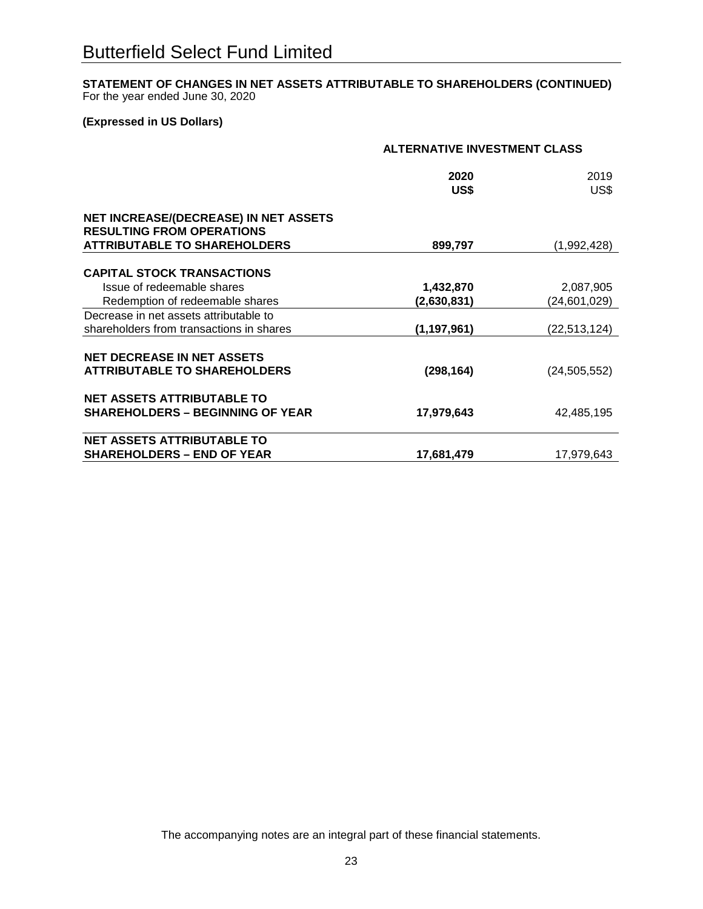#### **STATEMENT OF CHANGES IN NET ASSETS ATTRIBUTABLE TO SHAREHOLDERS (CONTINUED)** For the year ended June 30, 2020

# **(Expressed in US Dollars)**

|                                                                                                                  | <b>ALTERNATIVE INVESTMENT CLASS</b> |                |  |
|------------------------------------------------------------------------------------------------------------------|-------------------------------------|----------------|--|
|                                                                                                                  | 2020<br>US\$                        | 2019<br>US\$   |  |
| NET INCREASE/(DECREASE) IN NET ASSETS<br><b>RESULTING FROM OPERATIONS</b><br><b>ATTRIBUTABLE TO SHAREHOLDERS</b> | 899,797                             | (1,992,428)    |  |
|                                                                                                                  |                                     |                |  |
| <b>CAPITAL STOCK TRANSACTIONS</b>                                                                                |                                     |                |  |
| Issue of redeemable shares                                                                                       | 1,432,870                           | 2,087,905      |  |
| Redemption of redeemable shares                                                                                  | (2,630,831)                         | (24,601,029)   |  |
| Decrease in net assets attributable to                                                                           |                                     |                |  |
| shareholders from transactions in shares                                                                         | (1, 197, 961)                       | (22,513,124)   |  |
| <b>NET DECREASE IN NET ASSETS</b><br><b>ATTRIBUTABLE TO SHAREHOLDERS</b>                                         | (298, 164)                          | (24, 505, 552) |  |
| <b>NET ASSETS ATTRIBUTABLE TO</b>                                                                                |                                     |                |  |
| <b>SHAREHOLDERS – BEGINNING OF YEAR</b>                                                                          | 17,979,643                          | 42,485,195     |  |
| <b>NET ASSETS ATTRIBUTABLE TO</b>                                                                                |                                     |                |  |
| <b>SHAREHOLDERS – END OF YEAR</b>                                                                                | 17,681,479                          | 17,979,643     |  |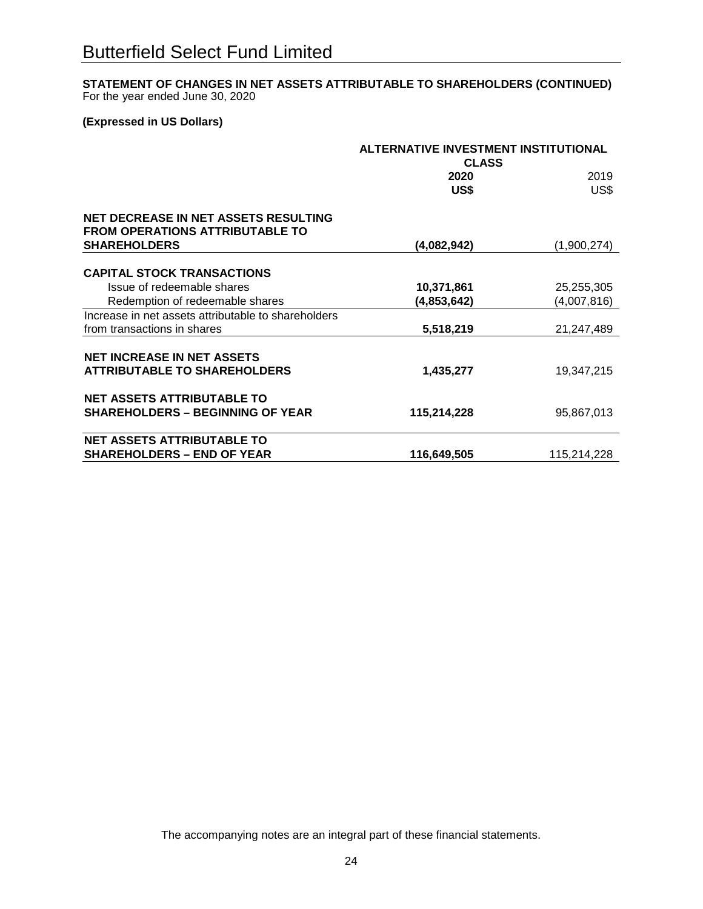#### **STATEMENT OF CHANGES IN NET ASSETS ATTRIBUTABLE TO SHAREHOLDERS (CONTINUED)** For the year ended June 30, 2020

# **(Expressed in US Dollars)**

|                                                     | ALTERNATIVE INVESTMENT INSTITUTIONAL |             |
|-----------------------------------------------------|--------------------------------------|-------------|
|                                                     | <b>CLASS</b>                         |             |
|                                                     | 2020                                 | 2019        |
|                                                     | US\$                                 | US\$        |
| <b>NET DECREASE IN NET ASSETS RESULTING</b>         |                                      |             |
| FROM OPERATIONS ATTRIBUTABLE TO                     |                                      |             |
| <b>SHAREHOLDERS</b>                                 | (4,082,942)                          | (1,900,274) |
| <b>CAPITAL STOCK TRANSACTIONS</b>                   |                                      |             |
| Issue of redeemable shares                          | 10,371,861                           | 25,255,305  |
| Redemption of redeemable shares                     | (4,853,642)                          | (4,007,816) |
| Increase in net assets attributable to shareholders |                                      |             |
| from transactions in shares                         | 5,518,219                            | 21,247,489  |
| <b>NET INCREASE IN NET ASSETS</b>                   |                                      |             |
| <b>ATTRIBUTABLE TO SHAREHOLDERS</b>                 | 1,435,277                            | 19,347,215  |
| <b>NET ASSETS ATTRIBUTABLE TO</b>                   |                                      |             |
| <b>SHAREHOLDERS – BEGINNING OF YEAR</b>             | 115,214,228                          | 95,867,013  |
| <b>NET ASSETS ATTRIBUTABLE TO</b>                   |                                      |             |
| <b>SHAREHOLDERS – END OF YEAR</b>                   | 116,649,505                          | 115,214,228 |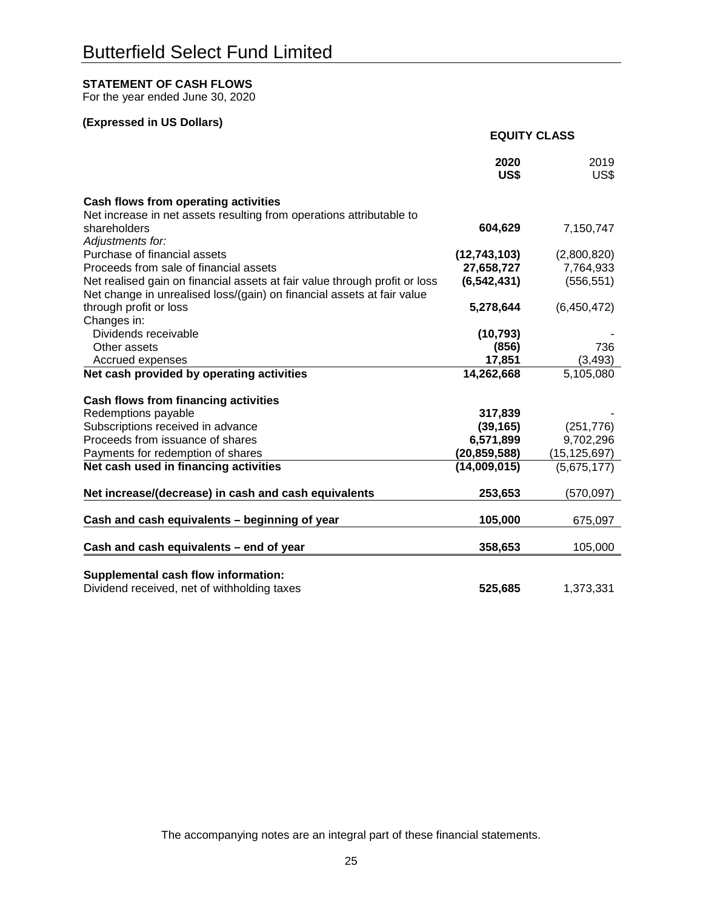### **STATEMENT OF CASH FLOWS**

For the year ended June 30, 2020

# **(Expressed in US Dollars)**

|                                                                            | <b>EQUITY CLASS</b> |                |
|----------------------------------------------------------------------------|---------------------|----------------|
|                                                                            | 2020<br>US\$        | 2019<br>US\$   |
| Cash flows from operating activities                                       |                     |                |
| Net increase in net assets resulting from operations attributable to       |                     |                |
| shareholders                                                               | 604,629             | 7,150,747      |
| Adjustments for:                                                           |                     |                |
| Purchase of financial assets                                               | (12, 743, 103)      | (2,800,820)    |
| Proceeds from sale of financial assets                                     | 27,658,727          | 7,764,933      |
| Net realised gain on financial assets at fair value through profit or loss | (6, 542, 431)       | (556, 551)     |
| Net change in unrealised loss/(gain) on financial assets at fair value     |                     |                |
| through profit or loss                                                     | 5,278,644           | (6,450,472)    |
| Changes in:                                                                |                     |                |
| Dividends receivable                                                       | (10, 793)           |                |
| Other assets                                                               | (856)               | 736            |
| Accrued expenses                                                           | 17,851              | (3, 493)       |
| Net cash provided by operating activities                                  | 14,262,668          | 5,105,080      |
| <b>Cash flows from financing activities</b>                                |                     |                |
| Redemptions payable                                                        | 317,839             |                |
| Subscriptions received in advance                                          | (39, 165)           | (251, 776)     |
| Proceeds from issuance of shares                                           | 6,571,899           | 9,702,296      |
| Payments for redemption of shares                                          | (20, 859, 588)      | (15, 125, 697) |
| Net cash used in financing activities                                      | (14,009,015)        | (5,675,177)    |
| Net increase/(decrease) in cash and cash equivalents                       | 253,653             | (570, 097)     |
|                                                                            |                     |                |
| Cash and cash equivalents - beginning of year                              | 105,000             | 675,097        |
| Cash and cash equivalents - end of year                                    | 358,653             | 105,000        |
|                                                                            |                     |                |
| Supplemental cash flow information:                                        |                     |                |
| Dividend received, net of withholding taxes                                | 525,685             | 1,373,331      |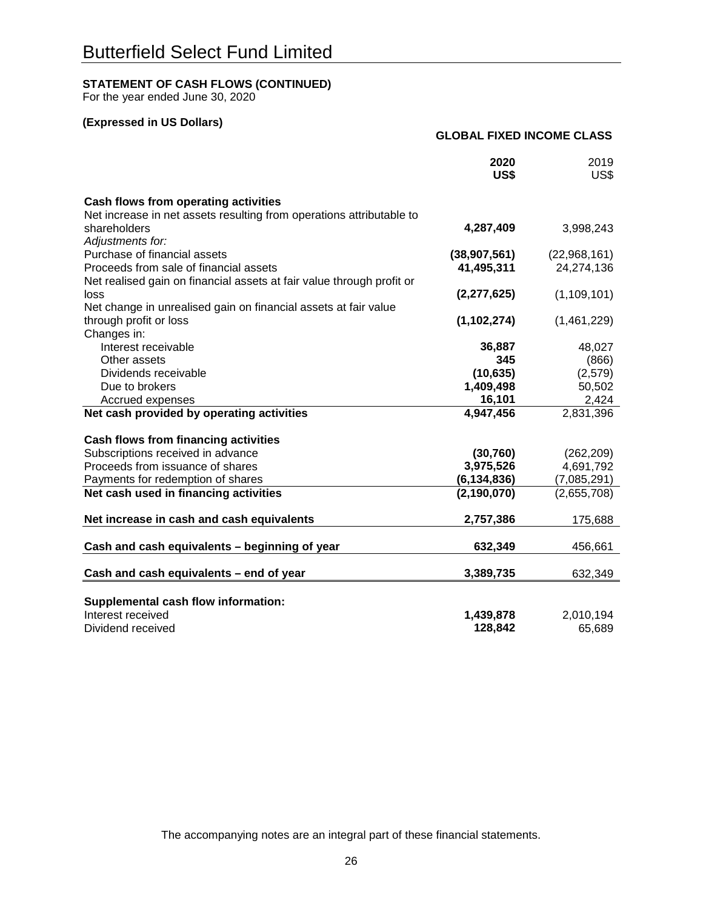### **STATEMENT OF CASH FLOWS (CONTINUED)**

For the year ended June 30, 2020

# **(Expressed in US Dollars)**

#### **GLOBAL FIXED INCOME CLASS**

|                                                                        | 2020<br>US\$               | 2019<br>US\$               |
|------------------------------------------------------------------------|----------------------------|----------------------------|
| Cash flows from operating activities                                   |                            |                            |
| Net increase in net assets resulting from operations attributable to   |                            |                            |
| shareholders                                                           | 4,287,409                  | 3,998,243                  |
| Adjustments for:                                                       |                            |                            |
| Purchase of financial assets<br>Proceeds from sale of financial assets | (38,907,561)<br>41,495,311 | (22,968,161)<br>24,274,136 |
| Net realised gain on financial assets at fair value through profit or  |                            |                            |
| loss                                                                   | (2,277,625)                | (1, 109, 101)              |
| Net change in unrealised gain on financial assets at fair value        |                            |                            |
| through profit or loss                                                 | (1, 102, 274)              | (1,461,229)                |
| Changes in:                                                            |                            |                            |
| Interest receivable                                                    | 36,887                     | 48,027                     |
| Other assets                                                           | 345                        | (866)                      |
| Dividends receivable                                                   | (10, 635)                  | (2,579)                    |
| Due to brokers                                                         | 1,409,498                  | 50,502                     |
| Accrued expenses                                                       | 16,101                     | 2,424                      |
| Net cash provided by operating activities                              | 4,947,456                  | 2,831,396                  |
| <b>Cash flows from financing activities</b>                            |                            |                            |
| Subscriptions received in advance                                      | (30, 760)                  | (262, 209)                 |
| Proceeds from issuance of shares                                       | 3,975,526                  | 4,691,792                  |
| Payments for redemption of shares                                      | (6, 134, 836)              | (7,085,291)                |
| Net cash used in financing activities                                  | (2, 190, 070)              | (2,655,708)                |
| Net increase in cash and cash equivalents                              | 2,757,386                  | 175,688                    |
|                                                                        |                            |                            |
| Cash and cash equivalents - beginning of year                          | 632,349                    | 456,661                    |
| Cash and cash equivalents - end of year                                | 3,389,735                  | 632,349                    |
|                                                                        |                            |                            |
| Supplemental cash flow information:                                    |                            |                            |
| Interest received                                                      | 1,439,878                  | 2,010,194                  |
| Dividend received                                                      | 128,842                    | 65,689                     |
|                                                                        |                            |                            |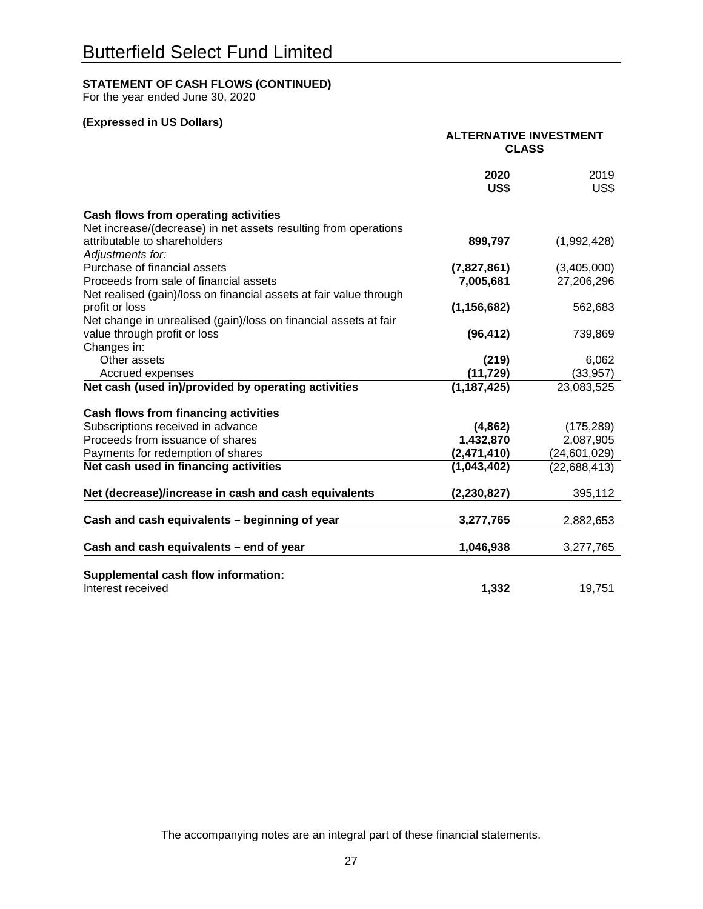### **STATEMENT OF CASH FLOWS (CONTINUED)**

For the year ended June 30, 2020

# **(Expressed in US Dollars)**

|                                                                                    | ALTERNATIVE INVESTMENT<br><b>CLASS</b> |                |
|------------------------------------------------------------------------------------|----------------------------------------|----------------|
|                                                                                    | 2020<br>US\$                           | 2019<br>US\$   |
| Cash flows from operating activities                                               |                                        |                |
| Net increase/(decrease) in net assets resulting from operations                    |                                        |                |
| attributable to shareholders                                                       | 899,797                                | (1,992,428)    |
| Adjustments for:                                                                   |                                        |                |
| Purchase of financial assets                                                       | (7,827,861)                            | (3,405,000)    |
| Proceeds from sale of financial assets                                             | 7,005,681                              | 27,206,296     |
| Net realised (gain)/loss on financial assets at fair value through                 | (1, 156, 682)                          |                |
| profit or loss<br>Net change in unrealised (gain)/loss on financial assets at fair |                                        | 562,683        |
| value through profit or loss                                                       | (96, 412)                              | 739,869        |
| Changes in:                                                                        |                                        |                |
| Other assets                                                                       | (219)                                  | 6,062          |
| Accrued expenses                                                                   | (11, 729)                              | (33, 957)      |
| Net cash (used in)/provided by operating activities                                | (1, 187, 425)                          | 23,083,525     |
| Cash flows from financing activities                                               |                                        |                |
| Subscriptions received in advance                                                  | (4,862)                                | (175, 289)     |
| Proceeds from issuance of shares                                                   | 1,432,870                              | 2,087,905      |
| Payments for redemption of shares                                                  | (2,471,410)                            | (24,601,029)   |
| Net cash used in financing activities                                              | (1,043,402)                            | (22, 688, 413) |
| Net (decrease)/increase in cash and cash equivalents                               | (2, 230, 827)                          | 395,112        |
|                                                                                    |                                        |                |
| Cash and cash equivalents - beginning of year                                      | 3,277,765                              | 2,882,653      |
| Cash and cash equivalents - end of year                                            | 1,046,938                              | 3,277,765      |
|                                                                                    |                                        |                |
| Supplemental cash flow information:                                                |                                        |                |
| Interest received                                                                  | 1,332                                  | 19,751         |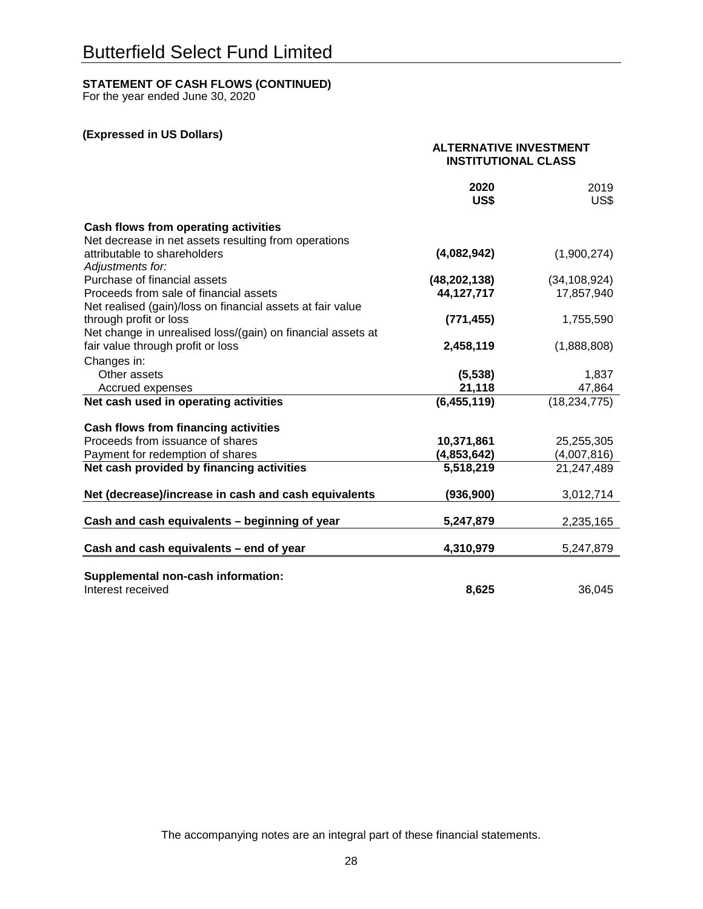### **STATEMENT OF CASH FLOWS (CONTINUED)**

For the year ended June 30, 2020

### **(Expressed in US Dollars)**

|                                                                                                      | <b>ALTERNATIVE INVESTMENT</b><br><b>INSTITUTIONAL CLASS</b> |                |
|------------------------------------------------------------------------------------------------------|-------------------------------------------------------------|----------------|
|                                                                                                      | 2020<br>US\$                                                | 2019<br>US\$   |
| Cash flows from operating activities<br>Net decrease in net assets resulting from operations         |                                                             |                |
| attributable to shareholders<br>Adjustments for:                                                     | (4,082,942)                                                 | (1,900,274)    |
| Purchase of financial assets                                                                         | (48, 202, 138)                                              | (34, 108, 924) |
| Proceeds from sale of financial assets<br>Net realised (gain)/loss on financial assets at fair value | 44,127,717                                                  | 17,857,940     |
| through profit or loss<br>Net change in unrealised loss/(gain) on financial assets at                | (771, 455)                                                  | 1,755,590      |
| fair value through profit or loss                                                                    | 2,458,119                                                   | (1,888,808)    |
| Changes in:                                                                                          |                                                             |                |
| Other assets                                                                                         | (5, 538)                                                    | 1,837          |
| Accrued expenses                                                                                     | 21,118                                                      | 47,864         |
| Net cash used in operating activities                                                                | (6, 455, 119)                                               | (18, 234, 775) |
| Cash flows from financing activities                                                                 |                                                             |                |
| Proceeds from issuance of shares                                                                     | 10,371,861                                                  | 25,255,305     |
| Payment for redemption of shares                                                                     | (4,853,642)                                                 | (4,007,816)    |
| Net cash provided by financing activities                                                            | 5,518,219                                                   | 21,247,489     |
| Net (decrease)/increase in cash and cash equivalents                                                 | (936,900)                                                   | 3,012,714      |
| Cash and cash equivalents - beginning of year                                                        | 5,247,879                                                   | 2,235,165      |
| Cash and cash equivalents - end of year                                                              | 4,310,979                                                   | 5,247,879      |
| Supplemental non-cash information:                                                                   |                                                             |                |
| Interest received                                                                                    | 8,625                                                       | 36,045         |
|                                                                                                      |                                                             |                |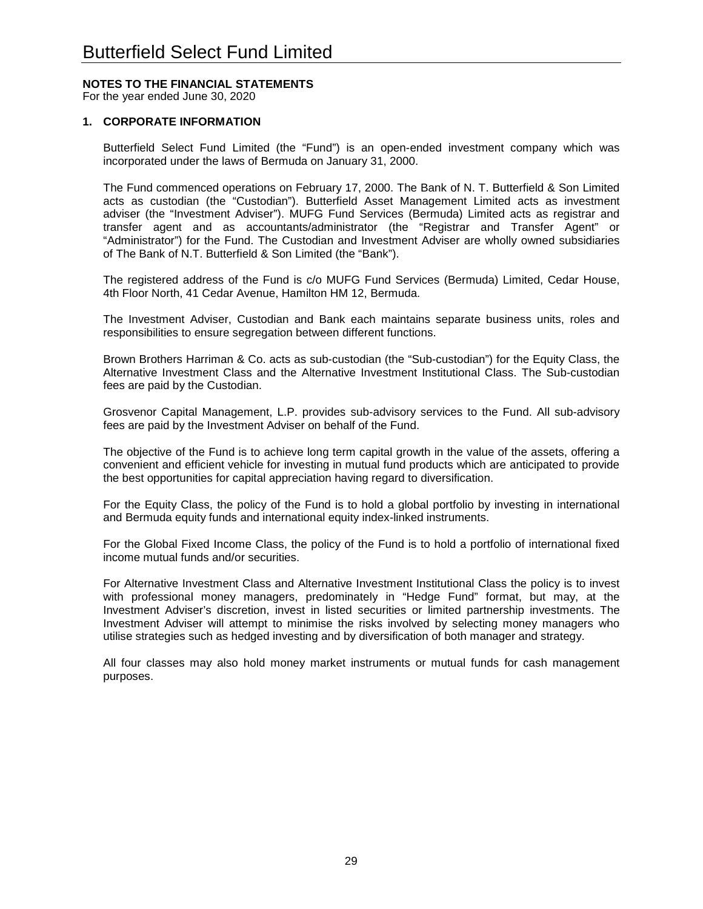### **NOTES TO THE FINANCIAL STATEMENTS**

For the year ended June 30, 2020

#### **1. CORPORATE INFORMATION**

Butterfield Select Fund Limited (the "Fund") is an open-ended investment company which was incorporated under the laws of Bermuda on January 31, 2000.

The Fund commenced operations on February 17, 2000. The Bank of N. T. Butterfield & Son Limited acts as custodian (the "Custodian"). Butterfield Asset Management Limited acts as investment adviser (the "Investment Adviser"). MUFG Fund Services (Bermuda) Limited acts as registrar and transfer agent and as accountants/administrator (the "Registrar and Transfer Agent" or "Administrator") for the Fund. The Custodian and Investment Adviser are wholly owned subsidiaries of The Bank of N.T. Butterfield & Son Limited (the "Bank").

The registered address of the Fund is c/o MUFG Fund Services (Bermuda) Limited, Cedar House, 4th Floor North, 41 Cedar Avenue, Hamilton HM 12, Bermuda.

The Investment Adviser, Custodian and Bank each maintains separate business units, roles and responsibilities to ensure segregation between different functions.

Brown Brothers Harriman & Co. acts as sub-custodian (the "Sub-custodian") for the Equity Class, the Alternative Investment Class and the Alternative Investment Institutional Class. The Sub-custodian fees are paid by the Custodian.

Grosvenor Capital Management, L.P. provides sub-advisory services to the Fund. All sub-advisory fees are paid by the Investment Adviser on behalf of the Fund.

The objective of the Fund is to achieve long term capital growth in the value of the assets, offering a convenient and efficient vehicle for investing in mutual fund products which are anticipated to provide the best opportunities for capital appreciation having regard to diversification.

For the Equity Class, the policy of the Fund is to hold a global portfolio by investing in international and Bermuda equity funds and international equity index-linked instruments.

For the Global Fixed Income Class, the policy of the Fund is to hold a portfolio of international fixed income mutual funds and/or securities.

For Alternative Investment Class and Alternative Investment Institutional Class the policy is to invest with professional money managers, predominately in "Hedge Fund" format, but may, at the Investment Adviser's discretion, invest in listed securities or limited partnership investments. The Investment Adviser will attempt to minimise the risks involved by selecting money managers who utilise strategies such as hedged investing and by diversification of both manager and strategy.

All four classes may also hold money market instruments or mutual funds for cash management purposes.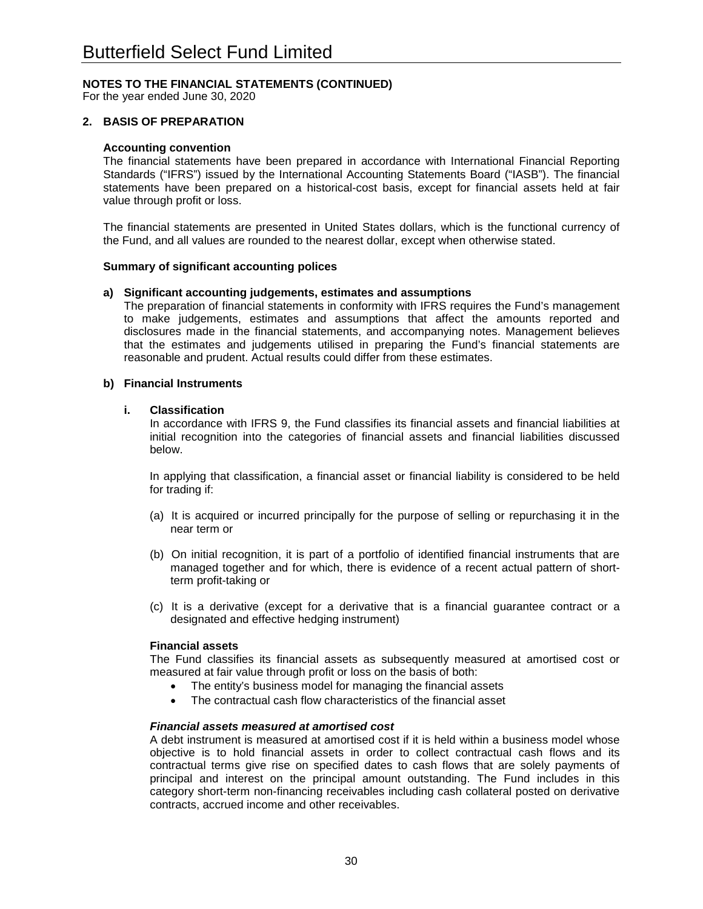For the year ended June 30, 2020

#### **2. BASIS OF PREPARATION**

#### **Accounting convention**

The financial statements have been prepared in accordance with International Financial Reporting Standards ("IFRS") issued by the International Accounting Statements Board ("IASB"). The financial statements have been prepared on a historical-cost basis, except for financial assets held at fair value through profit or loss.

The financial statements are presented in United States dollars, which is the functional currency of the Fund, and all values are rounded to the nearest dollar, except when otherwise stated.

#### **Summary of significant accounting polices**

#### **a) Significant accounting judgements, estimates and assumptions**

The preparation of financial statements in conformity with IFRS requires the Fund's management to make judgements, estimates and assumptions that affect the amounts reported and disclosures made in the financial statements, and accompanying notes. Management believes that the estimates and judgements utilised in preparing the Fund's financial statements are reasonable and prudent. Actual results could differ from these estimates.

#### **b) Financial Instruments**

#### **i. Classification**

In accordance with IFRS 9, the Fund classifies its financial assets and financial liabilities at initial recognition into the categories of financial assets and financial liabilities discussed below.

In applying that classification, a financial asset or financial liability is considered to be held for trading if:

- (a) It is acquired or incurred principally for the purpose of selling or repurchasing it in the near term or
- (b) On initial recognition, it is part of a portfolio of identified financial instruments that are managed together and for which, there is evidence of a recent actual pattern of shortterm profit-taking or
- (c) It is a derivative (except for a derivative that is a financial guarantee contract or a designated and effective hedging instrument)

#### **Financial assets**

The Fund classifies its financial assets as subsequently measured at amortised cost or measured at fair value through profit or loss on the basis of both:

- The entity's business model for managing the financial assets
- The contractual cash flow characteristics of the financial asset

#### *Financial assets measured at amortised cost*

A debt instrument is measured at amortised cost if it is held within a business model whose objective is to hold financial assets in order to collect contractual cash flows and its contractual terms give rise on specified dates to cash flows that are solely payments of principal and interest on the principal amount outstanding. The Fund includes in this category short-term non-financing receivables including cash collateral posted on derivative contracts, accrued income and other receivables.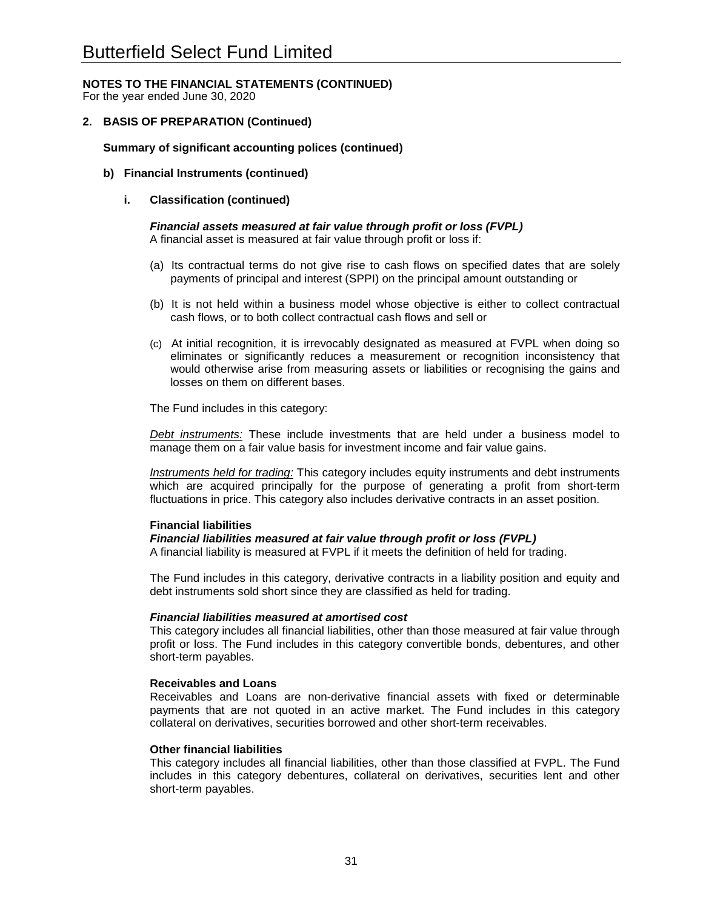For the year ended June 30, 2020

#### **2. BASIS OF PREPARATION (Continued)**

#### **Summary of significant accounting polices (continued)**

#### **b) Financial Instruments (continued)**

#### **i. Classification (continued)**

#### *Financial assets measured at fair value through profit or loss (FVPL)* A financial asset is measured at fair value through profit or loss if:

- (a) Its contractual terms do not give rise to cash flows on specified dates that are solely payments of principal and interest (SPPI) on the principal amount outstanding or
- (b) It is not held within a business model whose objective is either to collect contractual cash flows, or to both collect contractual cash flows and sell or
- (c) At initial recognition, it is irrevocably designated as measured at FVPL when doing so eliminates or significantly reduces a measurement or recognition inconsistency that would otherwise arise from measuring assets or liabilities or recognising the gains and losses on them on different bases.

The Fund includes in this category:

*Debt instruments:* These include investments that are held under a business model to manage them on a fair value basis for investment income and fair value gains.

*Instruments held for trading:* This category includes equity instruments and debt instruments which are acquired principally for the purpose of generating a profit from short-term fluctuations in price. This category also includes derivative contracts in an asset position.

#### **Financial liabilities**

#### *Financial liabilities measured at fair value through profit or loss (FVPL)*

A financial liability is measured at FVPL if it meets the definition of held for trading.

The Fund includes in this category, derivative contracts in a liability position and equity and debt instruments sold short since they are classified as held for trading.

#### *Financial liabilities measured at amortised cost*

This category includes all financial liabilities, other than those measured at fair value through profit or loss. The Fund includes in this category convertible bonds, debentures, and other short-term payables.

#### **Receivables and Loans**

Receivables and Loans are non-derivative financial assets with fixed or determinable payments that are not quoted in an active market. The Fund includes in this category collateral on derivatives, securities borrowed and other short-term receivables.

#### **Other financial liabilities**

This category includes all financial liabilities, other than those classified at FVPL. The Fund includes in this category debentures, collateral on derivatives, securities lent and other short-term payables.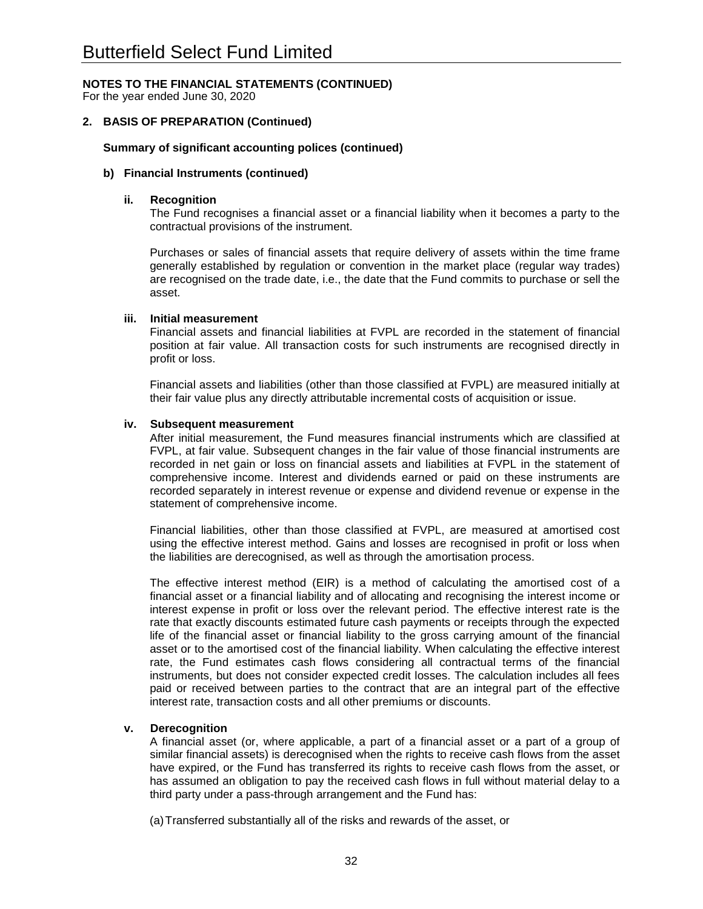For the year ended June 30, 2020

#### **2. BASIS OF PREPARATION (Continued)**

#### **Summary of significant accounting polices (continued)**

#### **b) Financial Instruments (continued)**

#### **ii. Recognition**

The Fund recognises a financial asset or a financial liability when it becomes a party to the contractual provisions of the instrument.

Purchases or sales of financial assets that require delivery of assets within the time frame generally established by regulation or convention in the market place (regular way trades) are recognised on the trade date, i.e., the date that the Fund commits to purchase or sell the asset.

#### **iii. Initial measurement**

Financial assets and financial liabilities at FVPL are recorded in the statement of financial position at fair value. All transaction costs for such instruments are recognised directly in profit or loss.

Financial assets and liabilities (other than those classified at FVPL) are measured initially at their fair value plus any directly attributable incremental costs of acquisition or issue.

#### **iv. Subsequent measurement**

After initial measurement, the Fund measures financial instruments which are classified at FVPL, at fair value. Subsequent changes in the fair value of those financial instruments are recorded in net gain or loss on financial assets and liabilities at FVPL in the statement of comprehensive income. Interest and dividends earned or paid on these instruments are recorded separately in interest revenue or expense and dividend revenue or expense in the statement of comprehensive income.

Financial liabilities, other than those classified at FVPL, are measured at amortised cost using the effective interest method. Gains and losses are recognised in profit or loss when the liabilities are derecognised, as well as through the amortisation process.

The effective interest method (EIR) is a method of calculating the amortised cost of a financial asset or a financial liability and of allocating and recognising the interest income or interest expense in profit or loss over the relevant period. The effective interest rate is the rate that exactly discounts estimated future cash payments or receipts through the expected life of the financial asset or financial liability to the gross carrying amount of the financial asset or to the amortised cost of the financial liability. When calculating the effective interest rate, the Fund estimates cash flows considering all contractual terms of the financial instruments, but does not consider expected credit losses. The calculation includes all fees paid or received between parties to the contract that are an integral part of the effective interest rate, transaction costs and all other premiums or discounts.

#### **v. Derecognition**

A financial asset (or, where applicable, a part of a financial asset or a part of a group of similar financial assets) is derecognised when the rights to receive cash flows from the asset have expired, or the Fund has transferred its rights to receive cash flows from the asset, or has assumed an obligation to pay the received cash flows in full without material delay to a third party under a pass-through arrangement and the Fund has:

(a)Transferred substantially all of the risks and rewards of the asset, or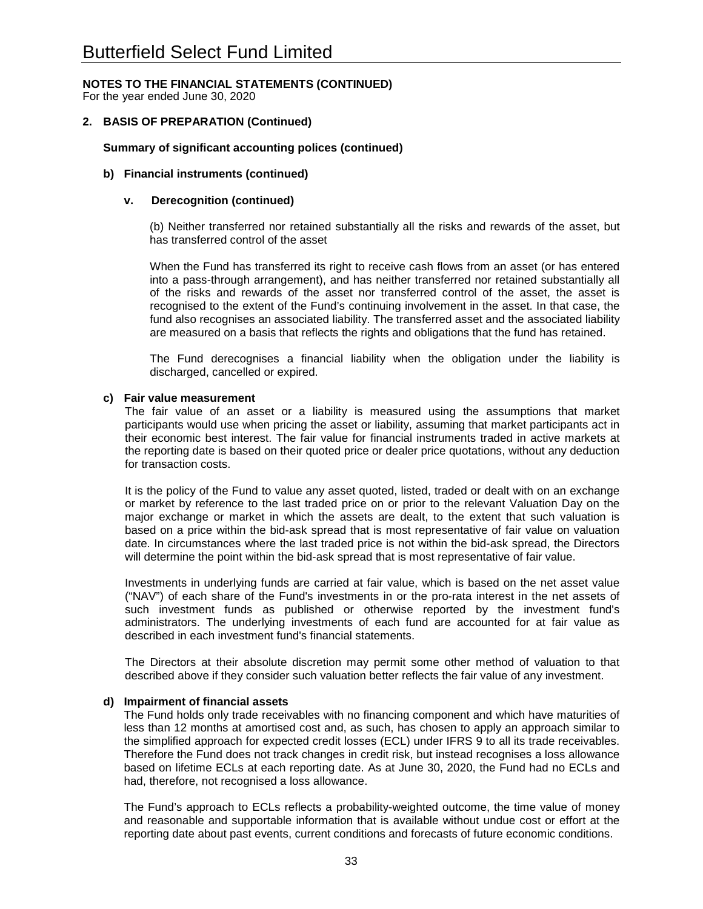For the year ended June 30, 2020

#### **2. BASIS OF PREPARATION (Continued)**

#### **Summary of significant accounting polices (continued)**

#### **b) Financial instruments (continued)**

#### **v. Derecognition (continued)**

(b) Neither transferred nor retained substantially all the risks and rewards of the asset, but has transferred control of the asset

When the Fund has transferred its right to receive cash flows from an asset (or has entered into a pass-through arrangement), and has neither transferred nor retained substantially all of the risks and rewards of the asset nor transferred control of the asset, the asset is recognised to the extent of the Fund's continuing involvement in the asset. In that case, the fund also recognises an associated liability. The transferred asset and the associated liability are measured on a basis that reflects the rights and obligations that the fund has retained.

The Fund derecognises a financial liability when the obligation under the liability is discharged, cancelled or expired.

#### **c) Fair value measurement**

The fair value of an asset or a liability is measured using the assumptions that market participants would use when pricing the asset or liability, assuming that market participants act in their economic best interest. The fair value for financial instruments traded in active markets at the reporting date is based on their quoted price or dealer price quotations, without any deduction for transaction costs.

It is the policy of the Fund to value any asset quoted, listed, traded or dealt with on an exchange or market by reference to the last traded price on or prior to the relevant Valuation Day on the major exchange or market in which the assets are dealt, to the extent that such valuation is based on a price within the bid-ask spread that is most representative of fair value on valuation date. In circumstances where the last traded price is not within the bid-ask spread, the Directors will determine the point within the bid-ask spread that is most representative of fair value.

Investments in underlying funds are carried at fair value, which is based on the net asset value ("NAV") of each share of the Fund's investments in or the pro-rata interest in the net assets of such investment funds as published or otherwise reported by the investment fund's administrators. The underlying investments of each fund are accounted for at fair value as described in each investment fund's financial statements.

The Directors at their absolute discretion may permit some other method of valuation to that described above if they consider such valuation better reflects the fair value of any investment.

#### **d) Impairment of financial assets**

The Fund holds only trade receivables with no financing component and which have maturities of less than 12 months at amortised cost and, as such, has chosen to apply an approach similar to the simplified approach for expected credit losses (ECL) under IFRS 9 to all its trade receivables. Therefore the Fund does not track changes in credit risk, but instead recognises a loss allowance based on lifetime ECLs at each reporting date. As at June 30, 2020, the Fund had no ECLs and had, therefore, not recognised a loss allowance.

The Fund's approach to ECLs reflects a probability-weighted outcome, the time value of money and reasonable and supportable information that is available without undue cost or effort at the reporting date about past events, current conditions and forecasts of future economic conditions.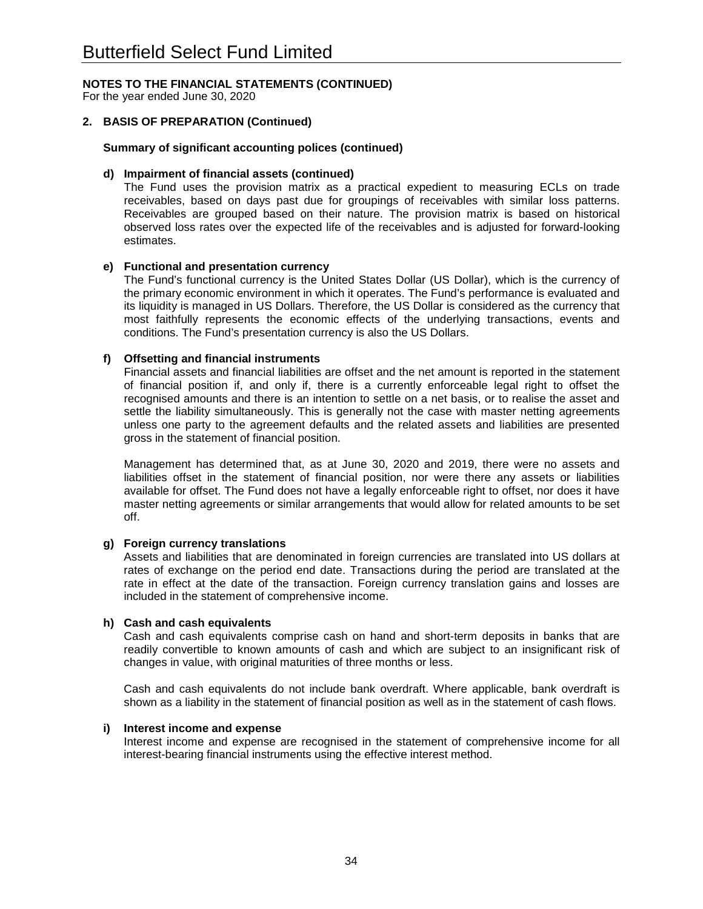For the year ended June 30, 2020

#### **2. BASIS OF PREPARATION (Continued)**

#### **Summary of significant accounting polices (continued)**

#### **d) Impairment of financial assets (continued)**

The Fund uses the provision matrix as a practical expedient to measuring ECLs on trade receivables, based on days past due for groupings of receivables with similar loss patterns. Receivables are grouped based on their nature. The provision matrix is based on historical observed loss rates over the expected life of the receivables and is adjusted for forward-looking estimates.

#### **e) Functional and presentation currency**

The Fund's functional currency is the United States Dollar (US Dollar), which is the currency of the primary economic environment in which it operates. The Fund's performance is evaluated and its liquidity is managed in US Dollars. Therefore, the US Dollar is considered as the currency that most faithfully represents the economic effects of the underlying transactions, events and conditions. The Fund's presentation currency is also the US Dollars.

#### **f) Offsetting and financial instruments**

Financial assets and financial liabilities are offset and the net amount is reported in the statement of financial position if, and only if, there is a currently enforceable legal right to offset the recognised amounts and there is an intention to settle on a net basis, or to realise the asset and settle the liability simultaneously. This is generally not the case with master netting agreements unless one party to the agreement defaults and the related assets and liabilities are presented gross in the statement of financial position.

Management has determined that, as at June 30, 2020 and 2019, there were no assets and liabilities offset in the statement of financial position, nor were there any assets or liabilities available for offset. The Fund does not have a legally enforceable right to offset, nor does it have master netting agreements or similar arrangements that would allow for related amounts to be set off.

#### **g) Foreign currency translations**

Assets and liabilities that are denominated in foreign currencies are translated into US dollars at rates of exchange on the period end date. Transactions during the period are translated at the rate in effect at the date of the transaction. Foreign currency translation gains and losses are included in the statement of comprehensive income.

#### **h) Cash and cash equivalents**

Cash and cash equivalents comprise cash on hand and short-term deposits in banks that are readily convertible to known amounts of cash and which are subject to an insignificant risk of changes in value, with original maturities of three months or less.

Cash and cash equivalents do not include bank overdraft. Where applicable, bank overdraft is shown as a liability in the statement of financial position as well as in the statement of cash flows.

#### **i) Interest income and expense**

Interest income and expense are recognised in the statement of comprehensive income for all interest-bearing financial instruments using the effective interest method.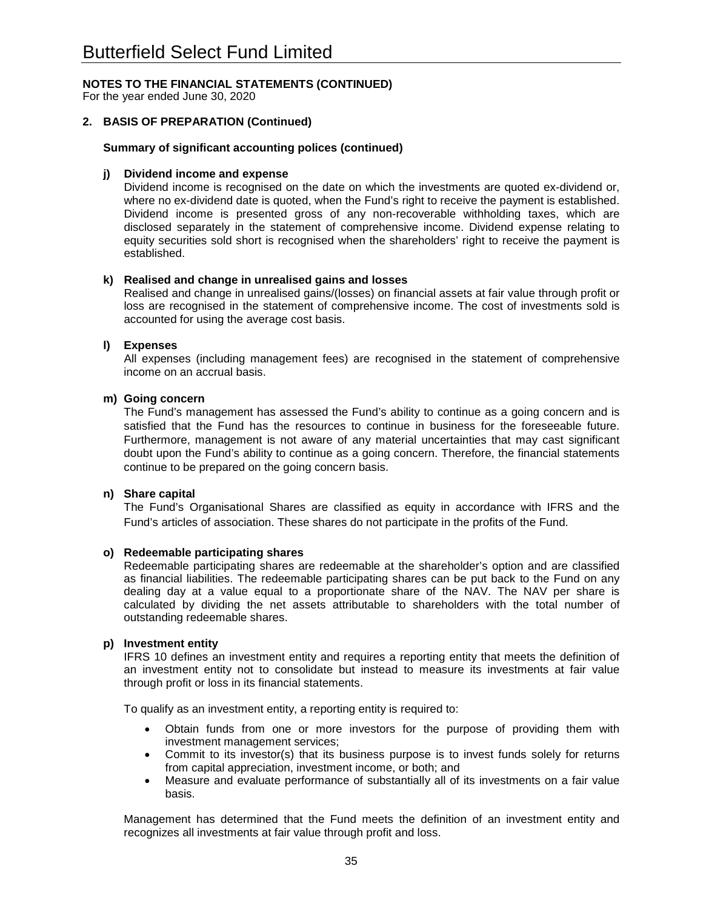For the year ended June 30, 2020

### **2. BASIS OF PREPARATION (Continued)**

#### **Summary of significant accounting polices (continued)**

#### **j) Dividend income and expense**

Dividend income is recognised on the date on which the investments are quoted ex-dividend or, where no ex-dividend date is quoted, when the Fund's right to receive the payment is established. Dividend income is presented gross of any non-recoverable withholding taxes, which are disclosed separately in the statement of comprehensive income. Dividend expense relating to equity securities sold short is recognised when the shareholders' right to receive the payment is established.

#### **k) Realised and change in unrealised gains and losses**

Realised and change in unrealised gains/(losses) on financial assets at fair value through profit or loss are recognised in the statement of comprehensive income. The cost of investments sold is accounted for using the average cost basis.

#### **l) Expenses**

All expenses (including management fees) are recognised in the statement of comprehensive income on an accrual basis.

#### **m) Going concern**

The Fund's management has assessed the Fund's ability to continue as a going concern and is satisfied that the Fund has the resources to continue in business for the foreseeable future. Furthermore, management is not aware of any material uncertainties that may cast significant doubt upon the Fund's ability to continue as a going concern. Therefore, the financial statements continue to be prepared on the going concern basis.

#### **n) Share capital**

The Fund's Organisational Shares are classified as equity in accordance with IFRS and the Fund's articles of association. These shares do not participate in the profits of the Fund.

#### **o) Redeemable participating shares**

Redeemable participating shares are redeemable at the shareholder's option and are classified as financial liabilities. The redeemable participating shares can be put back to the Fund on any dealing day at a value equal to a proportionate share of the NAV. The NAV per share is calculated by dividing the net assets attributable to shareholders with the total number of outstanding redeemable shares.

#### **p) Investment entity**

IFRS 10 defines an investment entity and requires a reporting entity that meets the definition of an investment entity not to consolidate but instead to measure its investments at fair value through profit or loss in its financial statements.

To qualify as an investment entity, a reporting entity is required to:

- Obtain funds from one or more investors for the purpose of providing them with investment management services;
- Commit to its investor(s) that its business purpose is to invest funds solely for returns from capital appreciation, investment income, or both; and
- Measure and evaluate performance of substantially all of its investments on a fair value basis.

Management has determined that the Fund meets the definition of an investment entity and recognizes all investments at fair value through profit and loss.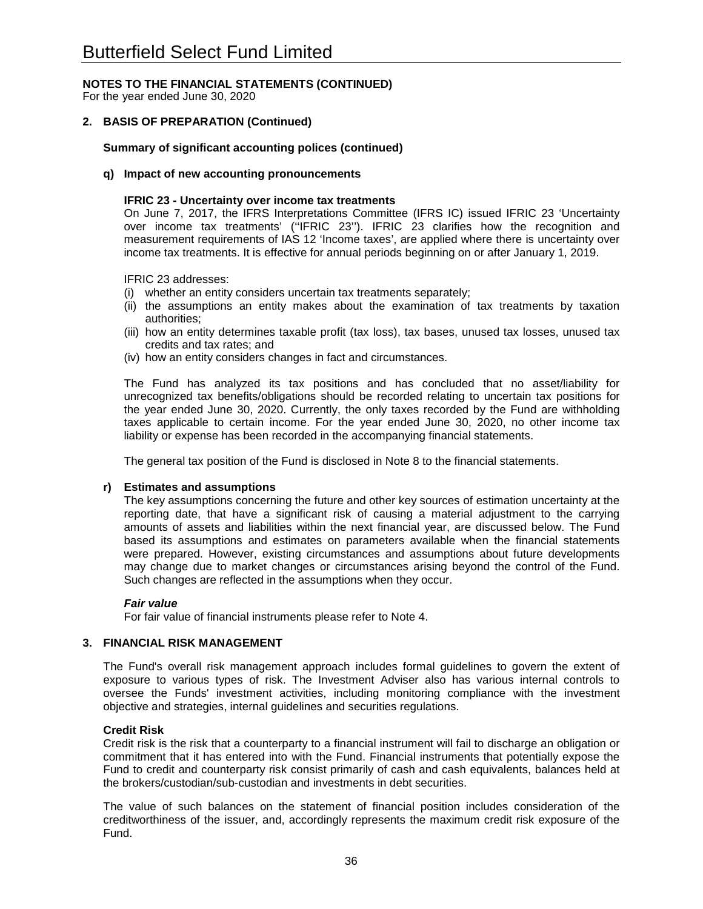For the year ended June 30, 2020

#### **2. BASIS OF PREPARATION (Continued)**

#### **Summary of significant accounting polices (continued)**

#### **q) Impact of new accounting pronouncements**

#### **IFRIC 23 - Uncertainty over income tax treatments**

On June 7, 2017, the IFRS Interpretations Committee (IFRS IC) issued IFRIC 23 'Uncertainty over income tax treatments' (''IFRIC 23''). IFRIC 23 clarifies how the recognition and measurement requirements of IAS 12 'Income taxes', are applied where there is uncertainty over income tax treatments. It is effective for annual periods beginning on or after January 1, 2019.

IFRIC 23 addresses:

- (i) whether an entity considers uncertain tax treatments separately;
- (ii) the assumptions an entity makes about the examination of tax treatments by taxation authorities;
- (iii) how an entity determines taxable profit (tax loss), tax bases, unused tax losses, unused tax credits and tax rates; and
- (iv) how an entity considers changes in fact and circumstances.

The Fund has analyzed its tax positions and has concluded that no asset/liability for unrecognized tax benefits/obligations should be recorded relating to uncertain tax positions for the year ended June 30, 2020. Currently, the only taxes recorded by the Fund are withholding taxes applicable to certain income. For the year ended June 30, 2020, no other income tax liability or expense has been recorded in the accompanying financial statements.

The general tax position of the Fund is disclosed in Note 8 to the financial statements.

#### **r) Estimates and assumptions**

The key assumptions concerning the future and other key sources of estimation uncertainty at the reporting date, that have a significant risk of causing a material adjustment to the carrying amounts of assets and liabilities within the next financial year, are discussed below. The Fund based its assumptions and estimates on parameters available when the financial statements were prepared. However, existing circumstances and assumptions about future developments may change due to market changes or circumstances arising beyond the control of the Fund. Such changes are reflected in the assumptions when they occur.

#### *Fair value*

For fair value of financial instruments please refer to Note 4.

### **3. FINANCIAL RISK MANAGEMENT**

The Fund's overall risk management approach includes formal guidelines to govern the extent of exposure to various types of risk. The Investment Adviser also has various internal controls to oversee the Funds' investment activities, including monitoring compliance with the investment objective and strategies, internal guidelines and securities regulations.

#### **Credit Risk**

Credit risk is the risk that a counterparty to a financial instrument will fail to discharge an obligation or commitment that it has entered into with the Fund. Financial instruments that potentially expose the Fund to credit and counterparty risk consist primarily of cash and cash equivalents, balances held at the brokers/custodian/sub-custodian and investments in debt securities.

The value of such balances on the statement of financial position includes consideration of the creditworthiness of the issuer, and, accordingly represents the maximum credit risk exposure of the Fund.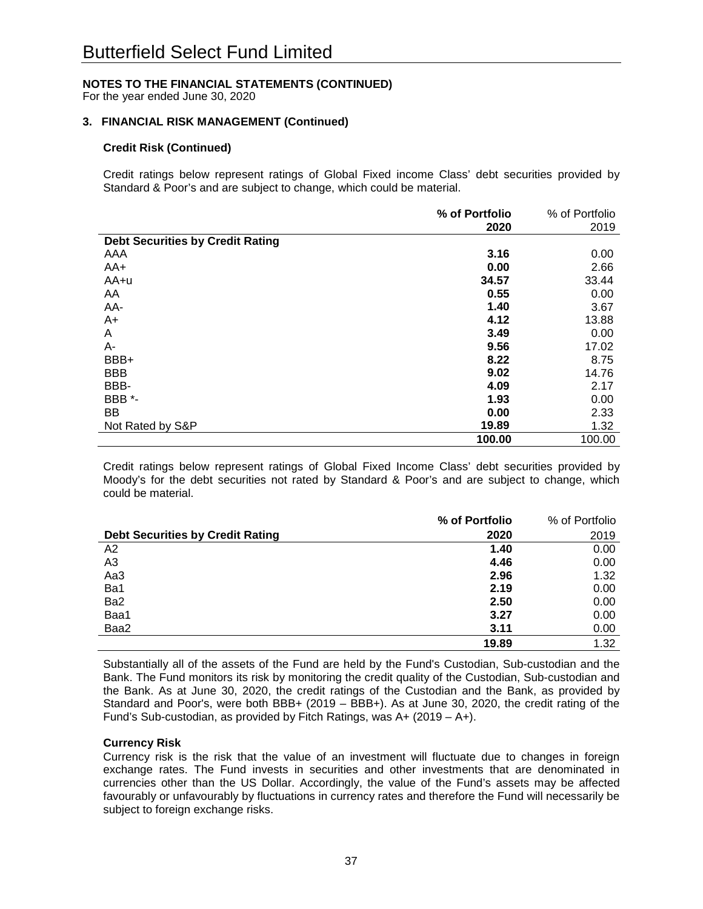For the year ended June 30, 2020

### **3. FINANCIAL RISK MANAGEMENT (Continued)**

#### **Credit Risk (Continued)**

Credit ratings below represent ratings of Global Fixed income Class' debt securities provided by Standard & Poor's and are subject to change, which could be material.

|                                         | % of Portfolio<br>2020 | % of Portfolio<br>2019 |
|-----------------------------------------|------------------------|------------------------|
| <b>Debt Securities by Credit Rating</b> |                        |                        |
| AAA                                     | 3.16                   | 0.00                   |
| AA+                                     | 0.00                   | 2.66                   |
| AA+u                                    | 34.57                  | 33.44                  |
| AA                                      | 0.55                   | 0.00                   |
| AA-                                     | 1.40                   | 3.67                   |
| A+                                      | 4.12                   | 13.88                  |
| A                                       | 3.49                   | 0.00                   |
| A-                                      | 9.56                   | 17.02                  |
| BBB+                                    | 8.22                   | 8.75                   |
| <b>BBB</b>                              | 9.02                   | 14.76                  |
| BBB-                                    | 4.09                   | 2.17                   |
| BBB *-                                  | 1.93                   | 0.00                   |
| BB                                      | 0.00                   | 2.33                   |
| Not Rated by S&P                        | 19.89                  | 1.32                   |
|                                         | 100.00                 | 100.00                 |

Credit ratings below represent ratings of Global Fixed Income Class' debt securities provided by Moody's for the debt securities not rated by Standard & Poor's and are subject to change, which could be material.

|                                         | % of Portfolio | % of Portfolio |
|-----------------------------------------|----------------|----------------|
| <b>Debt Securities by Credit Rating</b> | 2020           | 2019           |
| A2                                      | 1.40           | 0.00           |
| A <sub>3</sub>                          | 4.46           | 0.00           |
| Aa3                                     | 2.96           | 1.32           |
| Ba1                                     | 2.19           | 0.00           |
| Ba <sub>2</sub>                         | 2.50           | 0.00           |
| Baa1                                    | 3.27           | 0.00           |
| Baa2                                    | 3.11           | 0.00           |
|                                         | 19.89          | 1.32           |

Substantially all of the assets of the Fund are held by the Fund's Custodian, Sub-custodian and the Bank. The Fund monitors its risk by monitoring the credit quality of the Custodian, Sub-custodian and the Bank. As at June 30, 2020, the credit ratings of the Custodian and the Bank, as provided by Standard and Poor's, were both BBB+ (2019 – BBB+). As at June 30, 2020, the credit rating of the Fund's Sub-custodian, as provided by Fitch Ratings, was A+ (2019 – A+).

#### **Currency Risk**

Currency risk is the risk that the value of an investment will fluctuate due to changes in foreign exchange rates. The Fund invests in securities and other investments that are denominated in currencies other than the US Dollar. Accordingly, the value of the Fund's assets may be affected favourably or unfavourably by fluctuations in currency rates and therefore the Fund will necessarily be subject to foreign exchange risks.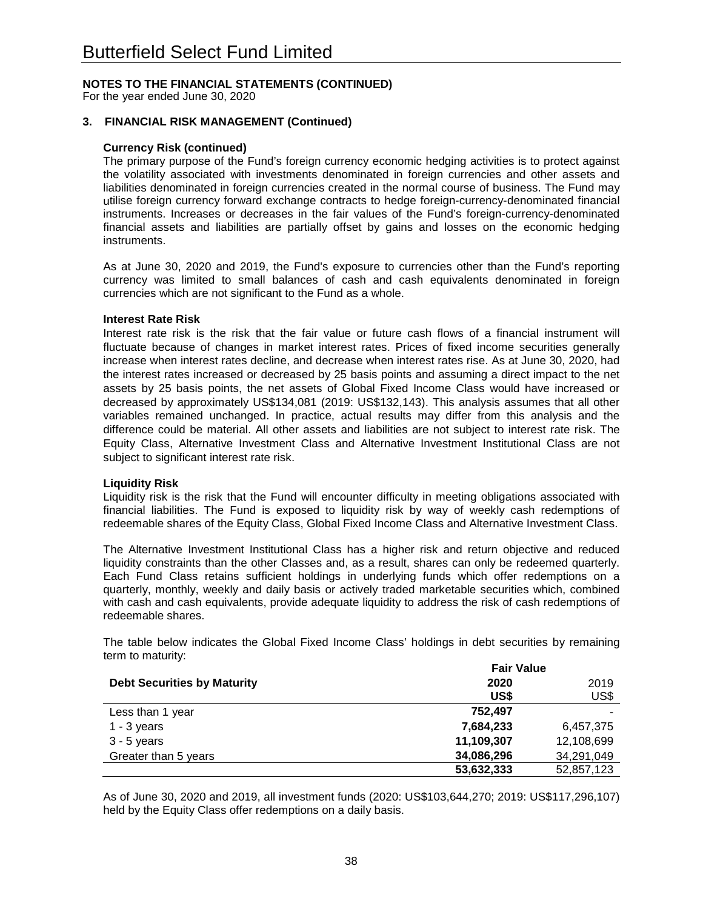For the year ended June 30, 2020

### **3. FINANCIAL RISK MANAGEMENT (Continued)**

#### **Currency Risk (continued)**

The primary purpose of the Fund's foreign currency economic hedging activities is to protect against the volatility associated with investments denominated in foreign currencies and other assets and liabilities denominated in foreign currencies created in the normal course of business. The Fund may utilise foreign currency forward exchange contracts to hedge foreign-currency-denominated financial instruments. Increases or decreases in the fair values of the Fund's foreign-currency-denominated financial assets and liabilities are partially offset by gains and losses on the economic hedging instruments.

As at June 30, 2020 and 2019, the Fund's exposure to currencies other than the Fund's reporting currency was limited to small balances of cash and cash equivalents denominated in foreign currencies which are not significant to the Fund as a whole.

#### **Interest Rate Risk**

Interest rate risk is the risk that the fair value or future cash flows of a financial instrument will fluctuate because of changes in market interest rates. Prices of fixed income securities generally increase when interest rates decline, and decrease when interest rates rise. As at June 30, 2020, had the interest rates increased or decreased by 25 basis points and assuming a direct impact to the net assets by 25 basis points, the net assets of Global Fixed Income Class would have increased or decreased by approximately US\$134,081 (2019: US\$132,143). This analysis assumes that all other variables remained unchanged. In practice, actual results may differ from this analysis and the difference could be material. All other assets and liabilities are not subject to interest rate risk. The Equity Class, Alternative Investment Class and Alternative Investment Institutional Class are not subject to significant interest rate risk.

#### **Liquidity Risk**

Liquidity risk is the risk that the Fund will encounter difficulty in meeting obligations associated with financial liabilities. The Fund is exposed to liquidity risk by way of weekly cash redemptions of redeemable shares of the Equity Class, Global Fixed Income Class and Alternative Investment Class.

The Alternative Investment Institutional Class has a higher risk and return objective and reduced liquidity constraints than the other Classes and, as a result, shares can only be redeemed quarterly. Each Fund Class retains sufficient holdings in underlying funds which offer redemptions on a quarterly, monthly, weekly and daily basis or actively traded marketable securities which, combined with cash and cash equivalents, provide adequate liquidity to address the risk of cash redemptions of redeemable shares.

The table below indicates the Global Fixed Income Class' holdings in debt securities by remaining term to maturity:

|                                    | <b>Fair Value</b> |            |  |
|------------------------------------|-------------------|------------|--|
| <b>Debt Securities by Maturity</b> | 2020              |            |  |
|                                    | US\$              | US\$       |  |
| Less than 1 year                   | 752,497           |            |  |
| $1 - 3$ years                      | 7,684,233         | 6,457,375  |  |
| $3 - 5$ years                      | 11,109,307        | 12,108,699 |  |
| Greater than 5 years               | 34,086,296        | 34,291,049 |  |
|                                    | 53,632,333        | 52,857,123 |  |

As of June 30, 2020 and 2019, all investment funds (2020: US\$103,644,270; 2019: US\$117,296,107) held by the Equity Class offer redemptions on a daily basis.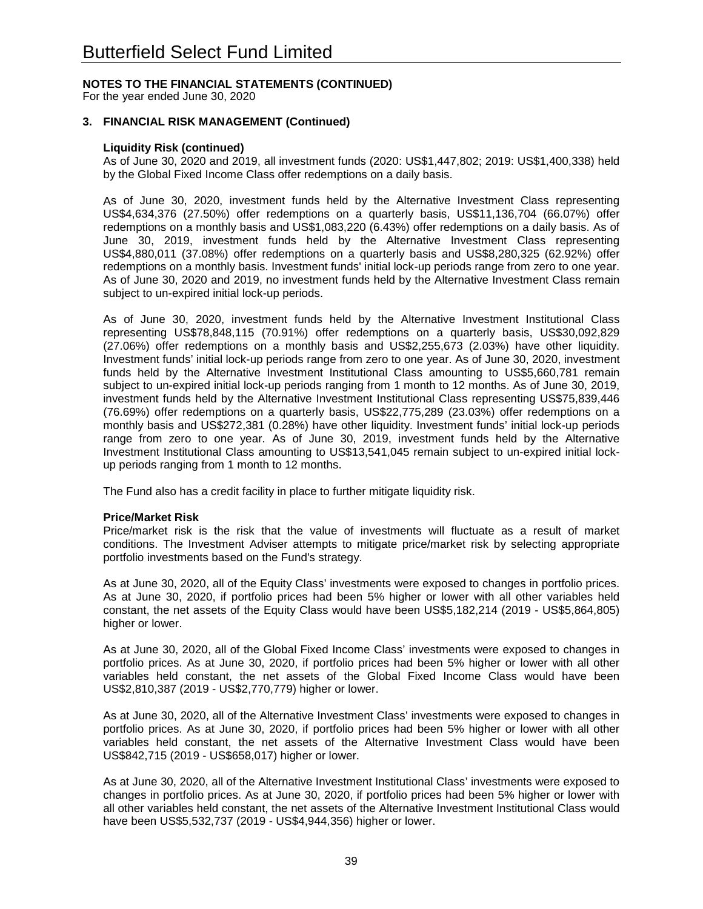For the year ended June 30, 2020

### **3. FINANCIAL RISK MANAGEMENT (Continued)**

#### **Liquidity Risk (continued)**

As of June 30, 2020 and 2019, all investment funds (2020: US\$1,447,802; 2019: US\$1,400,338) held by the Global Fixed Income Class offer redemptions on a daily basis.

As of June 30, 2020, investment funds held by the Alternative Investment Class representing US\$4,634,376 (27.50%) offer redemptions on a quarterly basis, US\$11,136,704 (66.07%) offer redemptions on a monthly basis and US\$1,083,220 (6.43%) offer redemptions on a daily basis. As of June 30, 2019, investment funds held by the Alternative Investment Class representing US\$4,880,011 (37.08%) offer redemptions on a quarterly basis and US\$8,280,325 (62.92%) offer redemptions on a monthly basis. Investment funds' initial lock-up periods range from zero to one year. As of June 30, 2020 and 2019, no investment funds held by the Alternative Investment Class remain subject to un-expired initial lock-up periods.

As of June 30, 2020, investment funds held by the Alternative Investment Institutional Class representing US\$78,848,115 (70.91%) offer redemptions on a quarterly basis, US\$30,092,829 (27.06%) offer redemptions on a monthly basis and US\$2,255,673 (2.03%) have other liquidity. Investment funds' initial lock-up periods range from zero to one year. As of June 30, 2020, investment funds held by the Alternative Investment Institutional Class amounting to US\$5,660,781 remain subject to un-expired initial lock-up periods ranging from 1 month to 12 months. As of June 30, 2019, investment funds held by the Alternative Investment Institutional Class representing US\$75,839,446 (76.69%) offer redemptions on a quarterly basis, US\$22,775,289 (23.03%) offer redemptions on a monthly basis and US\$272,381 (0.28%) have other liquidity. Investment funds' initial lock-up periods range from zero to one year. As of June 30, 2019, investment funds held by the Alternative Investment Institutional Class amounting to US\$13,541,045 remain subject to un-expired initial lockup periods ranging from 1 month to 12 months.

The Fund also has a credit facility in place to further mitigate liquidity risk.

#### **Price/Market Risk**

Price/market risk is the risk that the value of investments will fluctuate as a result of market conditions. The Investment Adviser attempts to mitigate price/market risk by selecting appropriate portfolio investments based on the Fund's strategy.

As at June 30, 2020, all of the Equity Class' investments were exposed to changes in portfolio prices. As at June 30, 2020, if portfolio prices had been 5% higher or lower with all other variables held constant, the net assets of the Equity Class would have been US\$5,182,214 (2019 - US\$5,864,805) higher or lower.

As at June 30, 2020, all of the Global Fixed Income Class' investments were exposed to changes in portfolio prices. As at June 30, 2020, if portfolio prices had been 5% higher or lower with all other variables held constant, the net assets of the Global Fixed Income Class would have been US\$2,810,387 (2019 - US\$2,770,779) higher or lower.

As at June 30, 2020, all of the Alternative Investment Class' investments were exposed to changes in portfolio prices. As at June 30, 2020, if portfolio prices had been 5% higher or lower with all other variables held constant, the net assets of the Alternative Investment Class would have been US\$842,715 (2019 - US\$658,017) higher or lower.

As at June 30, 2020, all of the Alternative Investment Institutional Class' investments were exposed to changes in portfolio prices. As at June 30, 2020, if portfolio prices had been 5% higher or lower with all other variables held constant, the net assets of the Alternative Investment Institutional Class would have been US\$5,532,737 (2019 - US\$4,944,356) higher or lower.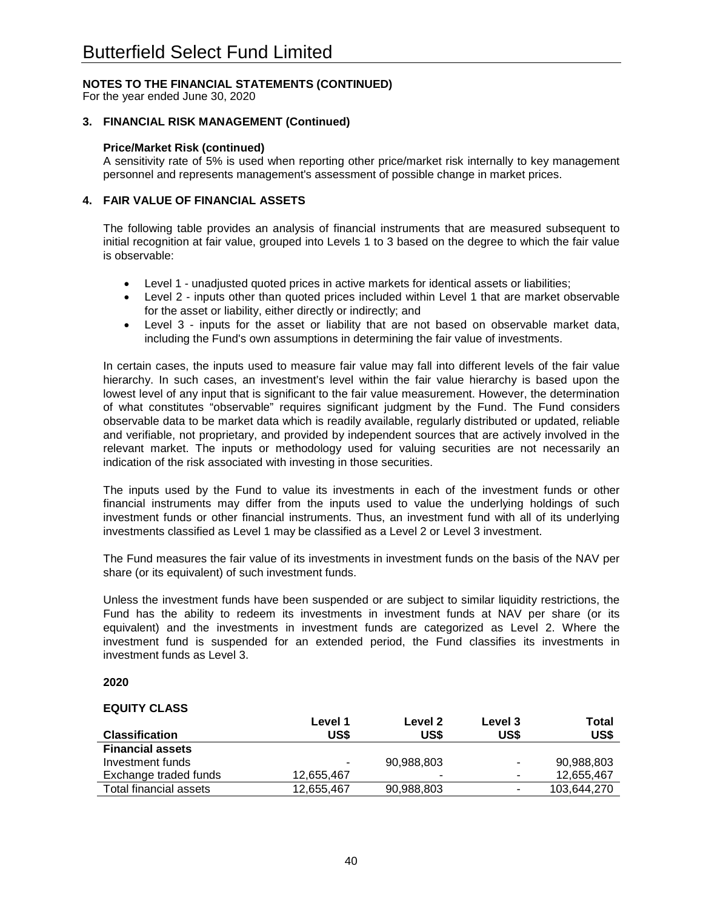For the year ended June 30, 2020

### **3. FINANCIAL RISK MANAGEMENT (Continued)**

#### **Price/Market Risk (continued)**

A sensitivity rate of 5% is used when reporting other price/market risk internally to key management personnel and represents management's assessment of possible change in market prices.

#### **4. FAIR VALUE OF FINANCIAL ASSETS**

The following table provides an analysis of financial instruments that are measured subsequent to initial recognition at fair value, grouped into Levels 1 to 3 based on the degree to which the fair value is observable:

- Level 1 unadjusted quoted prices in active markets for identical assets or liabilities;
- Level 2 inputs other than quoted prices included within Level 1 that are market observable for the asset or liability, either directly or indirectly; and
- Level 3 inputs for the asset or liability that are not based on observable market data, including the Fund's own assumptions in determining the fair value of investments.

In certain cases, the inputs used to measure fair value may fall into different levels of the fair value hierarchy. In such cases, an investment's level within the fair value hierarchy is based upon the lowest level of any input that is significant to the fair value measurement. However, the determination of what constitutes "observable" requires significant judgment by the Fund. The Fund considers observable data to be market data which is readily available, regularly distributed or updated, reliable and verifiable, not proprietary, and provided by independent sources that are actively involved in the relevant market. The inputs or methodology used for valuing securities are not necessarily an indication of the risk associated with investing in those securities.

The inputs used by the Fund to value its investments in each of the investment funds or other financial instruments may differ from the inputs used to value the underlying holdings of such investment funds or other financial instruments. Thus, an investment fund with all of its underlying investments classified as Level 1 may be classified as a Level 2 or Level 3 investment.

The Fund measures the fair value of its investments in investment funds on the basis of the NAV per share (or its equivalent) of such investment funds.

Unless the investment funds have been suspended or are subject to similar liquidity restrictions, the Fund has the ability to redeem its investments in investment funds at NAV per share (or its equivalent) and the investments in investment funds are categorized as Level 2. Where the investment fund is suspended for an extended period, the Fund classifies its investments in investment funds as Level 3.

#### **2020**

#### **EQUITY CLASS**

|                         | Level 1                  | Level 2    | Level 3 | Total       |
|-------------------------|--------------------------|------------|---------|-------------|
| <b>Classification</b>   | US\$                     | US\$       | US\$    | US\$        |
| <b>Financial assets</b> |                          |            |         |             |
| Investment funds        | $\overline{\phantom{a}}$ | 90,988,803 | ۰       | 90,988,803  |
| Exchange traded funds   | 12,655,467               | ۰          | ۰       | 12,655,467  |
| Total financial assets  | 12,655,467               | 90,988,803 | -       | 103,644,270 |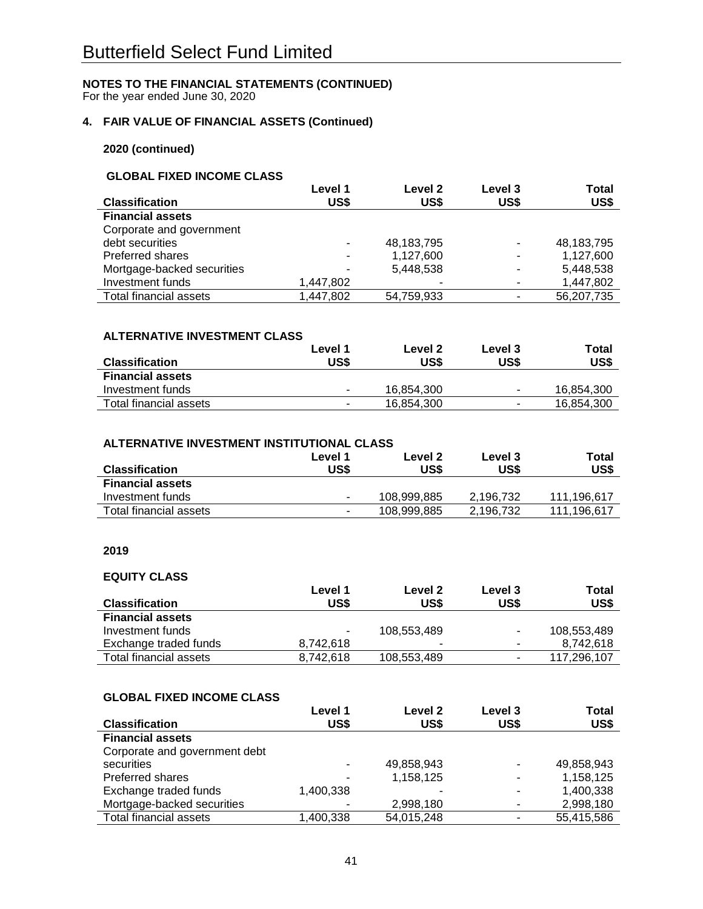For the year ended June 30, 2020

### **4. FAIR VALUE OF FINANCIAL ASSETS (Continued)**

#### **2020 (continued)**

#### **GLOBAL FIXED INCOME CLASS**

|                            | Level 1   | Level 2    | Level 3 | Total      |
|----------------------------|-----------|------------|---------|------------|
| <b>Classification</b>      | US\$      | US\$       | US\$    | US\$       |
| <b>Financial assets</b>    |           |            |         |            |
| Corporate and government   |           |            |         |            |
| debt securities            | ۰         | 48,183,795 | ۰       | 48,183,795 |
| <b>Preferred shares</b>    |           | 1,127,600  | ۰       | 1,127,600  |
| Mortgage-backed securities |           | 5.448.538  | ۰       | 5,448,538  |
| Investment funds           | 1,447,802 |            | ۰       | 1,447,802  |
| Total financial assets     | 1,447,802 | 54,759,933 |         | 56,207,735 |

### **ALTERNATIVE INVESTMENT CLASS**

|                         | Level 1 | Level 2    | Level 3                  | Total      |
|-------------------------|---------|------------|--------------------------|------------|
| <b>Classification</b>   | US\$    | US\$       | US\$                     | US\$       |
| <b>Financial assets</b> |         |            |                          |            |
| Investment funds        | ۰       | 16.854.300 | ۰                        | 16,854,300 |
| Total financial assets  | $\sim$  | 16.854.300 | $\overline{\phantom{0}}$ | 16,854,300 |

#### **ALTERNATIVE INVESTMENT INSTITUTIONAL CLASS**

|                         | Level 1 | Level 2     | Level 3   | Total       |
|-------------------------|---------|-------------|-----------|-------------|
| <b>Classification</b>   | US\$    | US\$        | US\$      | US\$        |
| <b>Financial assets</b> |         |             |           |             |
| Investment funds        | ۰.      | 108,999,885 | 2.196.732 | 111,196,617 |
| Total financial assets  | ۰.      | 108.999.885 | 2.196.732 | 111.196.617 |

#### **2019**

#### **EQUITY CLASS**

|                         | Level 1   | Level 2     | Level 3        | Total       |
|-------------------------|-----------|-------------|----------------|-------------|
| <b>Classification</b>   | US\$      | US\$        | US\$           | US\$        |
| <b>Financial assets</b> |           |             |                |             |
| Investment funds        | ۰         | 108.553.489 | $\blacksquare$ | 108,553,489 |
| Exchange traded funds   | 8.742.618 |             | ۰              | 8,742,618   |
| Total financial assets  | 8.742.618 | 108,553,489 | $\blacksquare$ | 117.296.107 |

#### **GLOBAL FIXED INCOME CLASS**

|                               | Level 1   | Level 2    | Level 3 | Total      |
|-------------------------------|-----------|------------|---------|------------|
| <b>Classification</b>         | US\$      | US\$       | US\$    | US\$       |
| <b>Financial assets</b>       |           |            |         |            |
| Corporate and government debt |           |            |         |            |
| securities                    | ۰         | 49,858,943 | ۰       | 49,858,943 |
| Preferred shares              | ۰         | 1,158,125  | -       | 1,158,125  |
| Exchange traded funds         | 1.400.338 |            | -       | 1,400,338  |
| Mortgage-backed securities    |           | 2,998,180  |         | 2,998,180  |
| <b>Total financial assets</b> | 1,400,338 | 54,015,248 |         | 55,415,586 |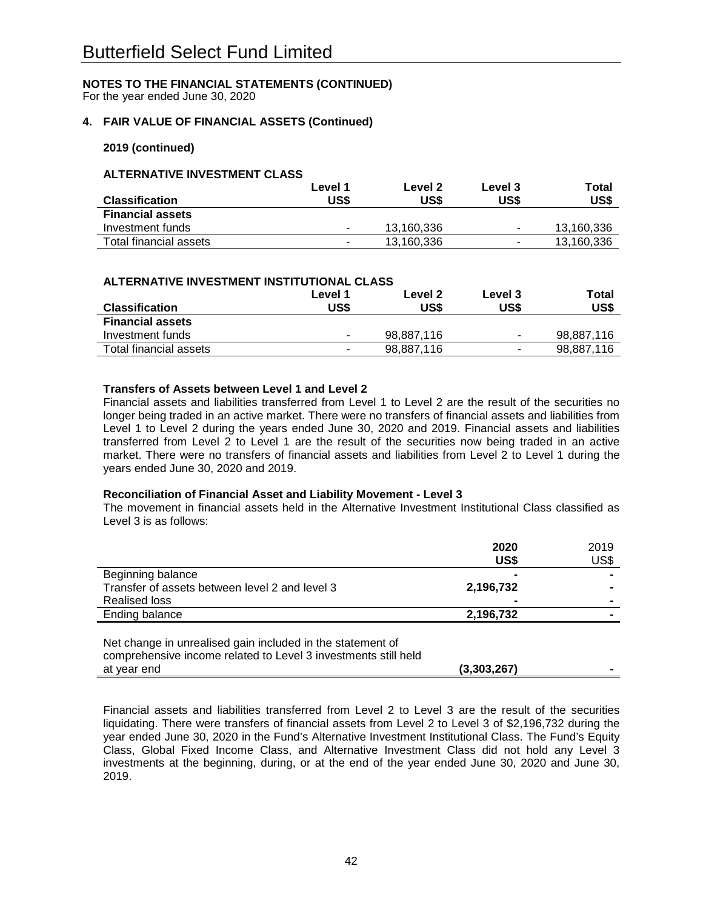For the year ended June 30, 2020

#### **4. FAIR VALUE OF FINANCIAL ASSETS (Continued)**

#### **2019 (continued)**

#### **ALTERNATIVE INVESTMENT CLASS**

|                         | Level 1 | Level 2    | <b>Level 3</b> | Total      |
|-------------------------|---------|------------|----------------|------------|
| <b>Classification</b>   | US\$    | US\$       | US\$           | US\$       |
| <b>Financial assets</b> |         |            |                |            |
| Investment funds        | $\sim$  | 13,160,336 | ۰              | 13,160,336 |
| Total financial assets  | $\sim$  | 13,160,336 | ٠              | 13,160,336 |

### **ALTERNATIVE INVESTMENT INSTITUTIONAL CLASS**

|                         | Level 1                  | Level 2    | Level 3        | Total      |
|-------------------------|--------------------------|------------|----------------|------------|
| <b>Classification</b>   | US\$                     | US\$       | US\$           | US\$       |
| <b>Financial assets</b> |                          |            |                |            |
| Investment funds        | $\overline{\phantom{a}}$ | 98.887.116 | ۰              | 98.887.116 |
| Total financial assets  | $\sim$                   | 98.887.116 | $\blacksquare$ | 98.887.116 |

#### **Transfers of Assets between Level 1 and Level 2**

Financial assets and liabilities transferred from Level 1 to Level 2 are the result of the securities no longer being traded in an active market. There were no transfers of financial assets and liabilities from Level 1 to Level 2 during the years ended June 30, 2020 and 2019. Financial assets and liabilities transferred from Level 2 to Level 1 are the result of the securities now being traded in an active market. There were no transfers of financial assets and liabilities from Level 2 to Level 1 during the years ended June 30, 2020 and 2019.

#### **Reconciliation of Financial Asset and Liability Movement - Level 3**

The movement in financial assets held in the Alternative Investment Institutional Class classified as Level 3 is as follows:

|                                                | 2020<br>US\$ | 2019<br>US\$ |
|------------------------------------------------|--------------|--------------|
| Beginning balance                              |              |              |
| Transfer of assets between level 2 and level 3 | 2,196,732    |              |
| <b>Realised loss</b>                           |              |              |
| Ending balance                                 | 2,196,732    |              |
|                                                |              |              |

Net change in unrealised gain included in the statement of comprehensive income related to Level 3 investments still held at year end **(3,303,267) -**

Financial assets and liabilities transferred from Level 2 to Level 3 are the result of the securities liquidating. There were transfers of financial assets from Level 2 to Level 3 of \$2,196,732 during the year ended June 30, 2020 in the Fund's Alternative Investment Institutional Class. The Fund's Equity Class, Global Fixed Income Class, and Alternative Investment Class did not hold any Level 3 investments at the beginning, during, or at the end of the year ended June 30, 2020 and June 30, 2019.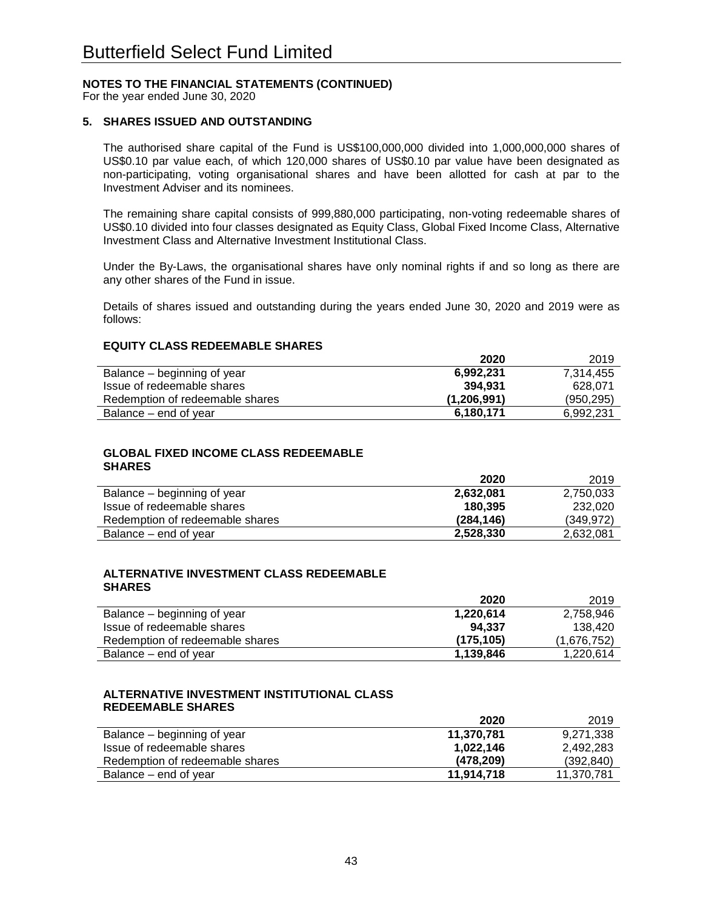For the year ended June 30, 2020

#### **5. SHARES ISSUED AND OUTSTANDING**

The authorised share capital of the Fund is US\$100,000,000 divided into 1,000,000,000 shares of US\$0.10 par value each, of which 120,000 shares of US\$0.10 par value have been designated as non-participating, voting organisational shares and have been allotted for cash at par to the Investment Adviser and its nominees.

The remaining share capital consists of 999,880,000 participating, non-voting redeemable shares of US\$0.10 divided into four classes designated as Equity Class, Global Fixed Income Class, Alternative Investment Class and Alternative Investment Institutional Class.

Under the By-Laws, the organisational shares have only nominal rights if and so long as there are any other shares of the Fund in issue.

Details of shares issued and outstanding during the years ended June 30, 2020 and 2019 were as follows:

#### **EQUITY CLASS REDEEMABLE SHARES**

|                                 | 2020        | 2019       |
|---------------------------------|-------------|------------|
| Balance – beginning of year     | 6,992,231   | 7,314,455  |
| Issue of redeemable shares      | 394.931     | 628.071    |
| Redemption of redeemable shares | (1.206.991) | (950, 295) |
| Balance – end of year           | 6.180.171   | 6.992.231  |

#### **GLOBAL FIXED INCOME CLASS REDEEMABLE SHARES**

|                                 | 2020      | 2019      |
|---------------------------------|-----------|-----------|
| Balance – beginning of year     | 2,632,081 | 2,750,033 |
| Issue of redeemable shares      | 180.395   | 232.020   |
| Redemption of redeemable shares | (284.146) | (349.972) |
| Balance – end of year           | 2,528,330 | 2,632,081 |

#### **ALTERNATIVE INVESTMENT CLASS REDEEMABLE SHARES**

|                                 | 2020      | 2019        |
|---------------------------------|-----------|-------------|
| Balance – beginning of year     | 1,220,614 | 2,758,946   |
| Issue of redeemable shares      | 94.337    | 138.420     |
| Redemption of redeemable shares | (175.105) | (1.676.752) |
| Balance – end of year           | 1.139.846 | 1.220.614   |

#### **ALTERNATIVE INVESTMENT INSTITUTIONAL CLASS REDEEMABLE SHARES**

| 2020       | 2019       |
|------------|------------|
| 11,370,781 | 9,271,338  |
| 1,022,146  | 2,492,283  |
| (478, 209) | (392, 840) |
| 11.914.718 | 11,370,781 |
|            |            |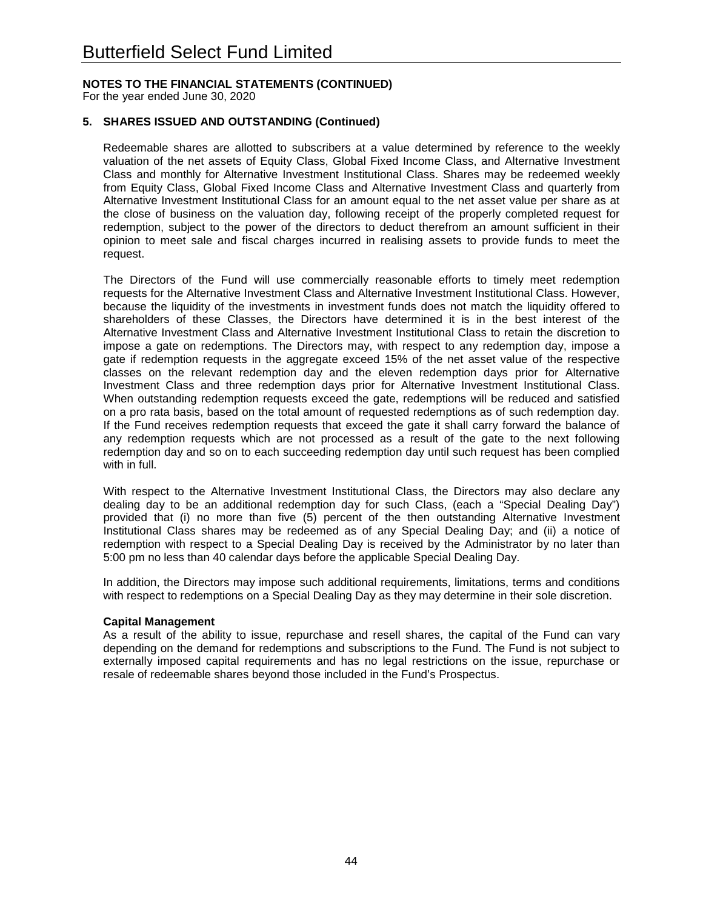For the year ended June 30, 2020

### **5. SHARES ISSUED AND OUTSTANDING (Continued)**

Redeemable shares are allotted to subscribers at a value determined by reference to the weekly valuation of the net assets of Equity Class, Global Fixed Income Class, and Alternative Investment Class and monthly for Alternative Investment Institutional Class. Shares may be redeemed weekly from Equity Class, Global Fixed Income Class and Alternative Investment Class and quarterly from Alternative Investment Institutional Class for an amount equal to the net asset value per share as at the close of business on the valuation day, following receipt of the properly completed request for redemption, subject to the power of the directors to deduct therefrom an amount sufficient in their opinion to meet sale and fiscal charges incurred in realising assets to provide funds to meet the request.

The Directors of the Fund will use commercially reasonable efforts to timely meet redemption requests for the Alternative Investment Class and Alternative Investment Institutional Class. However, because the liquidity of the investments in investment funds does not match the liquidity offered to shareholders of these Classes, the Directors have determined it is in the best interest of the Alternative Investment Class and Alternative Investment Institutional Class to retain the discretion to impose a gate on redemptions. The Directors may, with respect to any redemption day, impose a gate if redemption requests in the aggregate exceed 15% of the net asset value of the respective classes on the relevant redemption day and the eleven redemption days prior for Alternative Investment Class and three redemption days prior for Alternative Investment Institutional Class. When outstanding redemption requests exceed the gate, redemptions will be reduced and satisfied on a pro rata basis, based on the total amount of requested redemptions as of such redemption day. If the Fund receives redemption requests that exceed the gate it shall carry forward the balance of any redemption requests which are not processed as a result of the gate to the next following redemption day and so on to each succeeding redemption day until such request has been complied with in full.

With respect to the Alternative Investment Institutional Class, the Directors may also declare any dealing day to be an additional redemption day for such Class, (each a "Special Dealing Day") provided that (i) no more than five (5) percent of the then outstanding Alternative Investment Institutional Class shares may be redeemed as of any Special Dealing Day; and (ii) a notice of redemption with respect to a Special Dealing Day is received by the Administrator by no later than 5:00 pm no less than 40 calendar days before the applicable Special Dealing Day.

In addition, the Directors may impose such additional requirements, limitations, terms and conditions with respect to redemptions on a Special Dealing Day as they may determine in their sole discretion.

#### **Capital Management**

As a result of the ability to issue, repurchase and resell shares, the capital of the Fund can vary depending on the demand for redemptions and subscriptions to the Fund. The Fund is not subject to externally imposed capital requirements and has no legal restrictions on the issue, repurchase or resale of redeemable shares beyond those included in the Fund's Prospectus.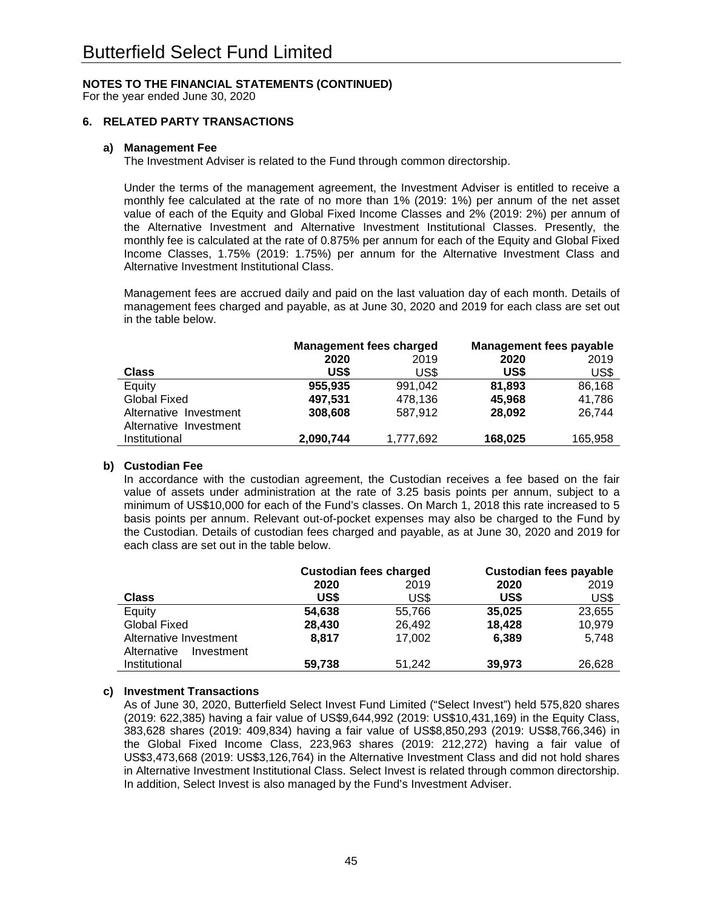For the year ended June 30, 2020

#### **6. RELATED PARTY TRANSACTIONS**

#### **a) Management Fee**

The Investment Adviser is related to the Fund through common directorship.

Under the terms of the management agreement, the Investment Adviser is entitled to receive a monthly fee calculated at the rate of no more than 1% (2019: 1%) per annum of the net asset value of each of the Equity and Global Fixed Income Classes and 2% (2019: 2%) per annum of the Alternative Investment and Alternative Investment Institutional Classes. Presently, the monthly fee is calculated at the rate of 0.875% per annum for each of the Equity and Global Fixed Income Classes, 1.75% (2019: 1.75%) per annum for the Alternative Investment Class and Alternative Investment Institutional Class.

Management fees are accrued daily and paid on the last valuation day of each month. Details of management fees charged and payable, as at June 30, 2020 and 2019 for each class are set out in the table below.

|                        | <b>Management fees charged</b> |           | <b>Management fees payable</b> |         |  |  |
|------------------------|--------------------------------|-----------|--------------------------------|---------|--|--|
|                        | 2020                           | 2019      | 2020                           | 2019    |  |  |
| <b>Class</b>           | US\$                           | US\$      | US\$                           | US\$    |  |  |
| Equity                 | 955,935                        | 991,042   | 81,893                         | 86,168  |  |  |
| <b>Global Fixed</b>    | 497,531                        | 478,136   | 45,968                         | 41,786  |  |  |
| Alternative Investment | 308,608                        | 587,912   | 28,092                         | 26,744  |  |  |
| Alternative Investment |                                |           |                                |         |  |  |
| Institutional          | 2,090,744                      | 1,777,692 | 168,025                        | 165,958 |  |  |

### **b) Custodian Fee**

In accordance with the custodian agreement, the Custodian receives a fee based on the fair value of assets under administration at the rate of 3.25 basis points per annum, subject to a minimum of US\$10,000 for each of the Fund's classes. On March 1, 2018 this rate increased to 5 basis points per annum. Relevant out-of-pocket expenses may also be charged to the Fund by the Custodian. Details of custodian fees charged and payable, as at June 30, 2020 and 2019 for each class are set out in the table below.

|                           | <b>Custodian fees charged</b> |        | <b>Custodian fees payable</b> |        |  |
|---------------------------|-------------------------------|--------|-------------------------------|--------|--|
|                           | 2020                          | 2019   | 2020                          | 2019   |  |
| <b>Class</b>              | US\$                          | US\$   | US\$                          | US\$   |  |
| Equity                    | 54,638                        | 55,766 | 35.025                        | 23,655 |  |
| <b>Global Fixed</b>       | 28,430                        | 26,492 | 18,428                        | 10,979 |  |
| Alternative Investment    | 8.817                         | 17,002 | 6,389                         | 5,748  |  |
| Alternative<br>Investment |                               |        |                               |        |  |
| Institutional             | 59,738                        | 51.242 | 39,973                        | 26,628 |  |

### **c) Investment Transactions**

As of June 30, 2020, Butterfield Select Invest Fund Limited ("Select Invest") held 575,820 shares (2019: 622,385) having a fair value of US\$9,644,992 (2019: US\$10,431,169) in the Equity Class, 383,628 shares (2019: 409,834) having a fair value of US\$8,850,293 (2019: US\$8,766,346) in the Global Fixed Income Class, 223,963 shares (2019: 212,272) having a fair value of US\$3,473,668 (2019: US\$3,126,764) in the Alternative Investment Class and did not hold shares in Alternative Investment Institutional Class. Select Invest is related through common directorship. In addition, Select Invest is also managed by the Fund's Investment Adviser.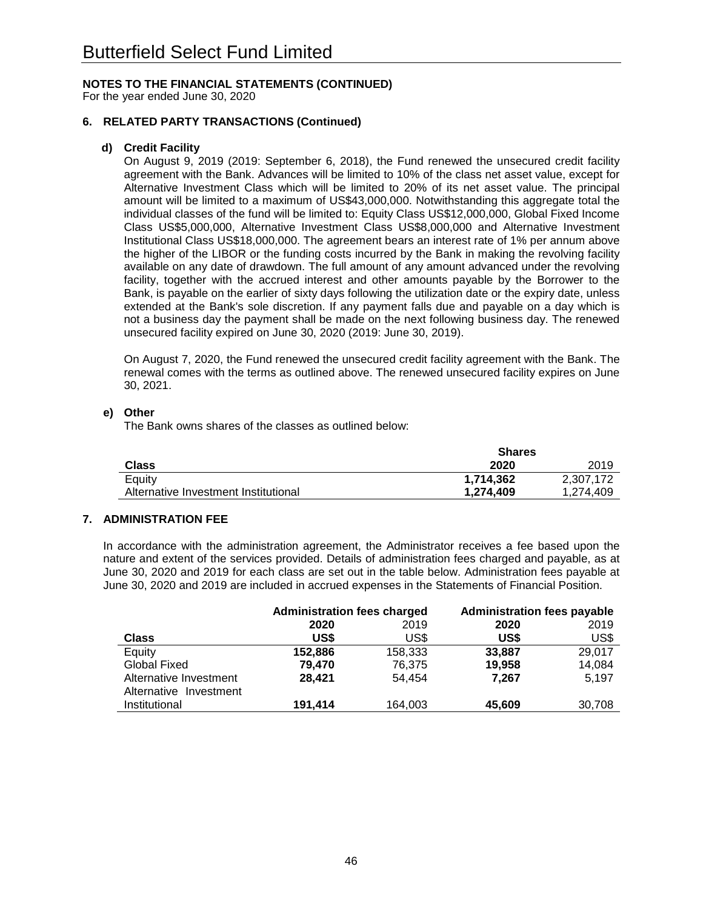For the year ended June 30, 2020

#### **6. RELATED PARTY TRANSACTIONS (Continued)**

#### **d) Credit Facility**

On August 9, 2019 (2019: September 6, 2018), the Fund renewed the unsecured credit facility agreement with the Bank. Advances will be limited to 10% of the class net asset value, except for Alternative Investment Class which will be limited to 20% of its net asset value. The principal amount will be limited to a maximum of US\$43,000,000. Notwithstanding this aggregate total the individual classes of the fund will be limited to: Equity Class US\$12,000,000, Global Fixed Income Class US\$5,000,000, Alternative Investment Class US\$8,000,000 and Alternative Investment Institutional Class US\$18,000,000. The agreement bears an interest rate of 1% per annum above the higher of the LIBOR or the funding costs incurred by the Bank in making the revolving facility available on any date of drawdown. The full amount of any amount advanced under the revolving facility, together with the accrued interest and other amounts payable by the Borrower to the Bank, is payable on the earlier of sixty days following the utilization date or the expiry date, unless extended at the Bank's sole discretion. If any payment falls due and payable on a day which is not a business day the payment shall be made on the next following business day. The renewed unsecured facility expired on June 30, 2020 (2019: June 30, 2019).

On August 7, 2020, the Fund renewed the unsecured credit facility agreement with the Bank. The renewal comes with the terms as outlined above. The renewed unsecured facility expires on June 30, 2021.

#### **e) Other**

The Bank owns shares of the classes as outlined below:

|                                      | <b>Shares</b> |           |
|--------------------------------------|---------------|-----------|
| <b>Class</b>                         | 2020          | 2019      |
| Equity                               | 1,714,362     | 2,307,172 |
| Alternative Investment Institutional | 1.274.409     | 1.274.409 |

#### **7. ADMINISTRATION FEE**

In accordance with the administration agreement, the Administrator receives a fee based upon the nature and extent of the services provided. Details of administration fees charged and payable, as at June 30, 2020 and 2019 for each class are set out in the table below. Administration fees payable at June 30, 2020 and 2019 are included in accrued expenses in the Statements of Financial Position.

|                        | <b>Administration fees charged</b> |         | <b>Administration fees payable</b> |        |  |  |
|------------------------|------------------------------------|---------|------------------------------------|--------|--|--|
|                        | 2020                               | 2019    |                                    | 2019   |  |  |
| <b>Class</b>           | US\$                               | US\$    | US\$                               | US\$   |  |  |
| Equity                 | 152,886                            | 158,333 | 33,887                             | 29,017 |  |  |
| <b>Global Fixed</b>    | 79,470                             | 76,375  | 19,958                             | 14,084 |  |  |
| Alternative Investment | 28.421                             | 54.454  | 7.267                              | 5.197  |  |  |
| Alternative Investment |                                    |         |                                    |        |  |  |
| Institutional          | 191,414                            | 164,003 | 45,609                             | 30,708 |  |  |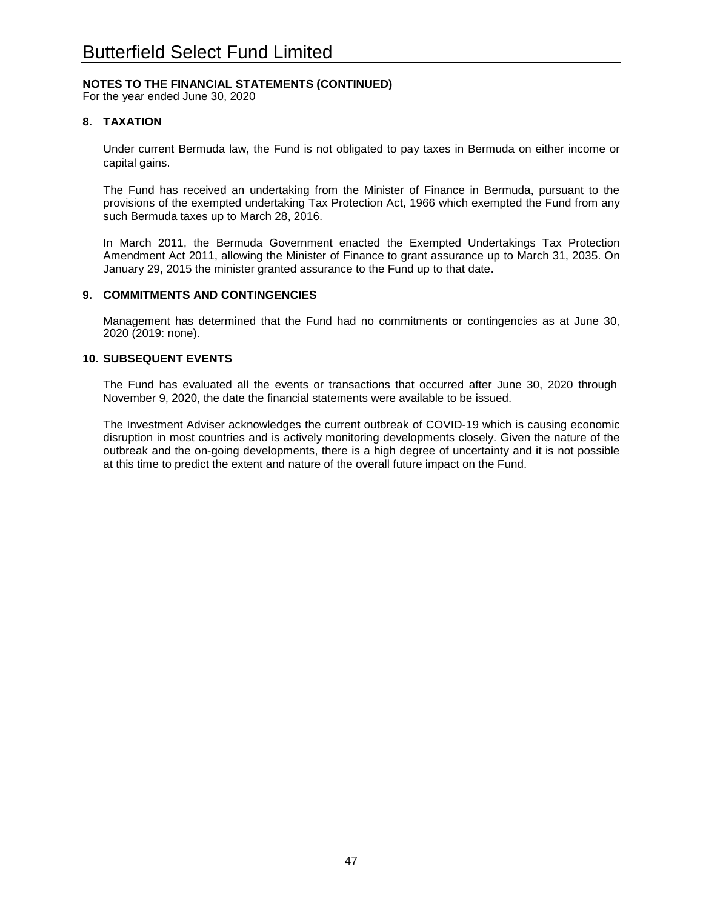For the year ended June 30, 2020

#### **8. TAXATION**

Under current Bermuda law, the Fund is not obligated to pay taxes in Bermuda on either income or capital gains.

The Fund has received an undertaking from the Minister of Finance in Bermuda, pursuant to the provisions of the exempted undertaking Tax Protection Act, 1966 which exempted the Fund from any such Bermuda taxes up to March 28, 2016.

In March 2011, the Bermuda Government enacted the Exempted Undertakings Tax Protection Amendment Act 2011, allowing the Minister of Finance to grant assurance up to March 31, 2035. On January 29, 2015 the minister granted assurance to the Fund up to that date.

#### **9. COMMITMENTS AND CONTINGENCIES**

Management has determined that the Fund had no commitments or contingencies as at June 30, 2020 (2019: none).

#### **10. SUBSEQUENT EVENTS**

The Fund has evaluated all the events or transactions that occurred after June 30, 2020 through November 9, 2020, the date the financial statements were available to be issued.

The Investment Adviser acknowledges the current outbreak of COVID-19 which is causing economic disruption in most countries and is actively monitoring developments closely. Given the nature of the outbreak and the on-going developments, there is a high degree of uncertainty and it is not possible at this time to predict the extent and nature of the overall future impact on the Fund.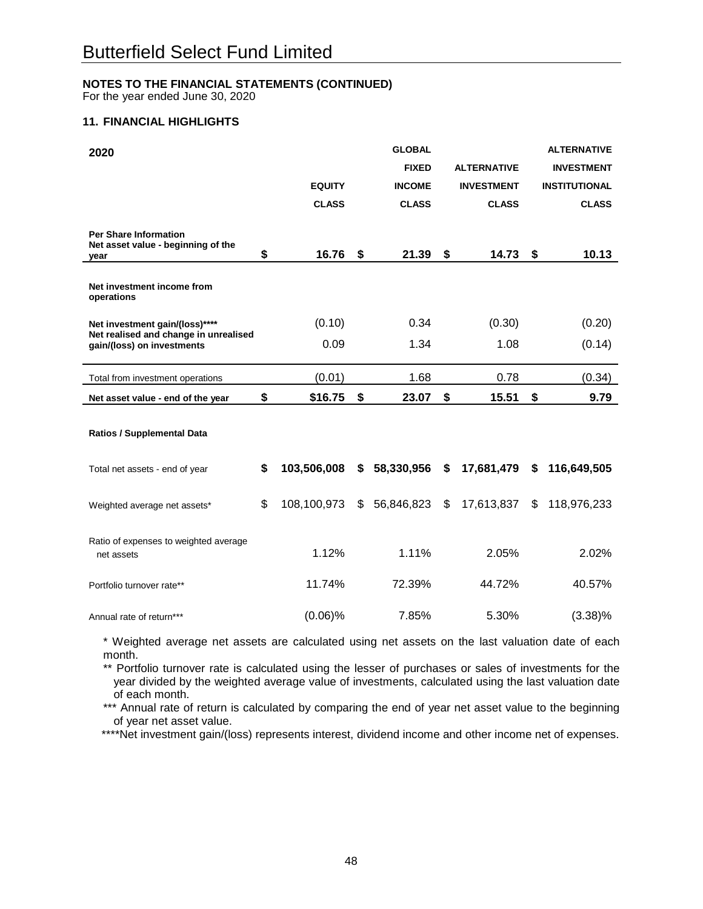For the year ended June 30, 2020

### **11. FINANCIAL HIGHLIGHTS**

| 2020                                                                       |                   | <b>GLOBAL</b>    |                    | <b>ALTERNATIVE</b>   |
|----------------------------------------------------------------------------|-------------------|------------------|--------------------|----------------------|
|                                                                            |                   | <b>FIXED</b>     | <b>ALTERNATIVE</b> | <b>INVESTMENT</b>    |
|                                                                            | <b>EQUITY</b>     | <b>INCOME</b>    | <b>INVESTMENT</b>  | <b>INSTITUTIONAL</b> |
|                                                                            | <b>CLASS</b>      | <b>CLASS</b>     | <b>CLASS</b>       | <b>CLASS</b>         |
| <b>Per Share Information</b><br>Net asset value - beginning of the<br>vear | \$<br>16.76       | \$<br>21.39      | \$<br>14.73        | \$<br>10.13          |
| Net investment income from<br>operations                                   |                   |                  |                    |                      |
| Net investment gain/(loss)****                                             | (0.10)            | 0.34             | (0.30)             | (0.20)               |
| Net realised and change in unrealised<br>gain/(loss) on investments        | 0.09              | 1.34             | 1.08               | (0.14)               |
| Total from investment operations                                           | (0.01)            | 1.68             | 0.78               | (0.34)               |
| Net asset value - end of the year                                          | \$<br>\$16.75     | \$<br>23.07      | \$<br>15.51        | \$<br>9.79           |
| <b>Ratios / Supplemental Data</b>                                          |                   |                  |                    |                      |
| Total net assets - end of year                                             | \$<br>103,506,008 | \$<br>58,330,956 | \$<br>17,681,479   | \$116,649,505        |
| Weighted average net assets*                                               | \$<br>108,100,973 | \$<br>56,846,823 | \$<br>17,613,837   | \$<br>118,976,233    |
| Ratio of expenses to weighted average<br>net assets                        | 1.12%             | 1.11%            | 2.05%              | 2.02%                |
| Portfolio turnover rate**                                                  | 11.74%            | 72.39%           | 44.72%             | 40.57%               |
| Annual rate of return***                                                   | $(0.06)\%$        | 7.85%            | 5.30%              | $(3.38)\%$           |

\* Weighted average net assets are calculated using net assets on the last valuation date of each month.

\*\* Portfolio turnover rate is calculated using the lesser of purchases or sales of investments for the year divided by the weighted average value of investments, calculated using the last valuation date of each month.

\*\*\* Annual rate of return is calculated by comparing the end of year net asset value to the beginning of year net asset value.

\*\*\*\*Net investment gain/(loss) represents interest, dividend income and other income net of expenses.